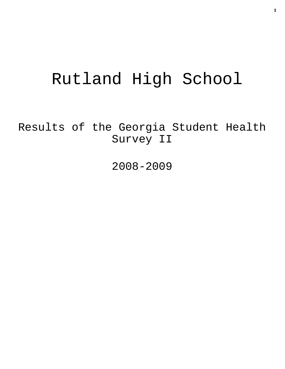# Rutland High School

Results of the Georgia Student Health Survey II

2008-2009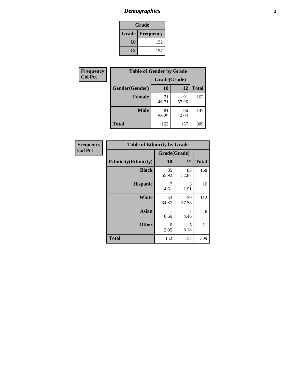# *Demographics* **2**

| Grade                    |     |  |  |  |
|--------------------------|-----|--|--|--|
| <b>Grade   Frequency</b> |     |  |  |  |
| 10                       | 152 |  |  |  |
| 12                       | 157 |  |  |  |

| <b>Frequency</b> | <b>Table of Gender by Grade</b> |              |             |              |
|------------------|---------------------------------|--------------|-------------|--------------|
| <b>Col Pct</b>   |                                 | Grade(Grade) |             |              |
|                  | Gender(Gender)                  | <b>10</b>    | 12          | <b>Total</b> |
|                  | <b>Female</b>                   | 71<br>46.71  | 91<br>57.96 | 162          |
|                  | <b>Male</b>                     | 81<br>53.29  | 66<br>42.04 | 147          |
|                  | <b>Total</b>                    | 152          | 157         | 309          |

| <b>Frequency</b> |
|------------------|
| <b>Col Pct</b>   |

| <b>Table of Ethnicity by Grade</b> |              |             |              |  |  |  |
|------------------------------------|--------------|-------------|--------------|--|--|--|
|                                    | Grade(Grade) |             |              |  |  |  |
| <b>Ethnicity</b> (Ethnicity)       | 10           | 12          | <b>Total</b> |  |  |  |
| <b>Black</b>                       | 85<br>55.92  | 83<br>52.87 | 168          |  |  |  |
| <b>Hispanic</b>                    | 7<br>4.61    | 3<br>1.91   | 10           |  |  |  |
| White                              | 53<br>34.87  | 59<br>37.58 | 112          |  |  |  |
| <b>Asian</b>                       | 1<br>0.66    | 7<br>4.46   | 8            |  |  |  |
| <b>Other</b>                       | 6<br>3.95    | 5<br>3.18   | 11           |  |  |  |
| <b>Total</b>                       | 152          | 157         | 309          |  |  |  |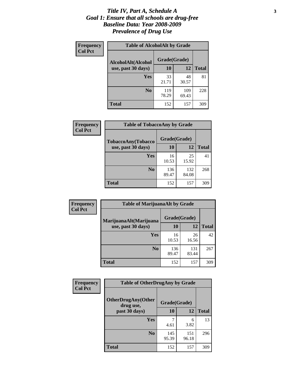#### *Title IV, Part A, Schedule A* **3** *Goal 1: Ensure that all schools are drug-free Baseline Data: Year 2008-2009 Prevalence of Drug Use*

| Frequency<br><b>Col Pct</b> | <b>Table of AlcoholAlt by Grade</b> |              |              |              |  |  |
|-----------------------------|-------------------------------------|--------------|--------------|--------------|--|--|
|                             | AlcoholAlt(Alcohol                  | Grade(Grade) |              |              |  |  |
|                             | use, past 30 days)                  | <b>10</b>    | 12           | <b>Total</b> |  |  |
|                             | <b>Yes</b>                          | 33<br>21.71  | 48<br>30.57  | 81           |  |  |
|                             | N <sub>0</sub>                      | 119<br>78.29 | 109<br>69.43 | 228          |  |  |
|                             | Total                               | 152          | 157          | 309          |  |  |

| Frequency      | <b>Table of TobaccoAny by Grade</b> |              |              |              |  |  |
|----------------|-------------------------------------|--------------|--------------|--------------|--|--|
| <b>Col Pct</b> | <b>TobaccoAny(Tobacco</b>           | Grade(Grade) |              |              |  |  |
|                | use, past 30 days)                  | 10           | 12           | <b>Total</b> |  |  |
|                | Yes                                 | 16<br>10.53  | 25<br>15.92  | 41           |  |  |
|                | N <sub>0</sub>                      | 136<br>89.47 | 132<br>84.08 | 268          |  |  |
|                | Total                               | 152          | 157          | 309          |  |  |

| Frequency<br><b>Col Pct</b> | <b>Table of MarijuanaAlt by Grade</b> |              |              |              |  |
|-----------------------------|---------------------------------------|--------------|--------------|--------------|--|
|                             | MarijuanaAlt(Marijuana                | Grade(Grade) |              |              |  |
|                             | use, past 30 days)                    | 10           | 12           | <b>Total</b> |  |
|                             | <b>Yes</b>                            | 16<br>10.53  | 26<br>16.56  | 42           |  |
|                             | N <sub>0</sub>                        | 136<br>89.47 | 131<br>83.44 | 267          |  |
|                             | <b>Total</b>                          | 152          | 157          | 309          |  |

| <b>Frequency</b> | <b>Table of OtherDrugAny by Grade</b>  |              |              |              |  |  |
|------------------|----------------------------------------|--------------|--------------|--------------|--|--|
| <b>Col Pct</b>   | <b>OtherDrugAny(Other</b><br>drug use, | Grade(Grade) |              |              |  |  |
|                  | past 30 days)                          | 10           | 12           | <b>Total</b> |  |  |
|                  | Yes                                    | 4.61         | 6<br>3.82    | 13           |  |  |
|                  | N <sub>0</sub>                         | 145<br>95.39 | 151<br>96.18 | 296          |  |  |
|                  | <b>Total</b>                           | 152          | 157          | 309          |  |  |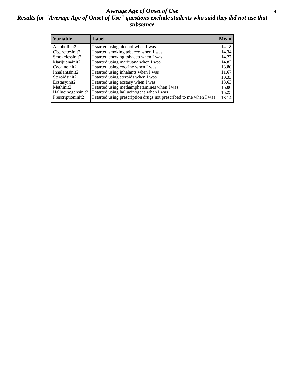#### *Average Age of Onset of Use* **4** *Results for "Average Age of Onset of Use" questions exclude students who said they did not use that substance*

| <b>Variable</b>    | Label                                                              | <b>Mean</b> |
|--------------------|--------------------------------------------------------------------|-------------|
| Alcoholinit2       | I started using alcohol when I was                                 | 14.18       |
| Cigarettesinit2    | I started smoking tobacco when I was                               | 14.34       |
| Smokelessinit2     | I started chewing tobacco when I was                               | 14.27       |
| Marijuanainit2     | I started using marijuana when I was                               | 14.82       |
| Cocaineinit2       | I started using cocaine when I was                                 | 13.80       |
| Inhalantsinit2     | I started using inhalants when I was                               | 11.67       |
| Steroidsinit2      | I started using steroids when I was                                | 10.33       |
| Ecstasyinit2       | I started using ecstasy when I was                                 | 13.63       |
| Methinit2          | I started using methamphetamines when I was                        | 16.00       |
| Hallucinogensinit2 | I started using hallucinogens when I was                           | 15.25       |
| Prescriptioninit2  | I started using prescription drugs not prescribed to me when I was | 13.14       |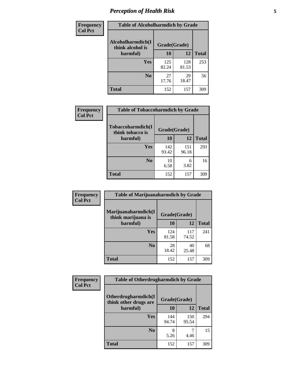# *Perception of Health Risk* **5**

| Frequency      | <b>Table of Alcoholharmdich by Grade</b> |              |              |              |  |
|----------------|------------------------------------------|--------------|--------------|--------------|--|
| <b>Col Pct</b> | Alcoholharmdich(I<br>think alcohol is    | Grade(Grade) |              |              |  |
|                | harmful)                                 | 10           | 12           | <b>Total</b> |  |
|                | Yes                                      | 125<br>82.24 | 128<br>81.53 | 253          |  |
|                | N <sub>0</sub>                           | 27<br>17.76  | 29<br>18.47  | 56           |  |
|                | <b>Total</b>                             | 152          | 157          | 309          |  |

| <b>Frequency</b> | <b>Table of Tobaccoharmdich by Grade</b>          |              |              |              |
|------------------|---------------------------------------------------|--------------|--------------|--------------|
| <b>Col Pct</b>   | Tobaccoharmdich(I<br>think tobacco is<br>harmful) | Grade(Grade) |              |              |
|                  |                                                   | 10           | 12           | <b>Total</b> |
|                  | Yes                                               | 142<br>93.42 | 151<br>96.18 | 293          |
|                  | N <sub>0</sub>                                    | 10<br>6.58   | 6<br>3.82    | 16           |
|                  | Total                                             | 152          | 157          | 309          |

| Frequency<br><b>Col Pct</b> | <b>Table of Marijuanaharmdich by Grade</b>                |              |              |              |  |  |
|-----------------------------|-----------------------------------------------------------|--------------|--------------|--------------|--|--|
|                             | Marijuanaharmdich(I<br>Grade(Grade)<br>think marijuana is |              |              |              |  |  |
|                             | harmful)                                                  | 10           | 12           | <b>Total</b> |  |  |
|                             | <b>Yes</b>                                                | 124<br>81.58 | 117<br>74.52 | 241          |  |  |
|                             | N <sub>0</sub>                                            | 28<br>18.42  | 40<br>25.48  | 68           |  |  |
|                             | <b>Total</b>                                              | 152          | 157          | 309          |  |  |

| Frequency      | <b>Table of Otherdrugharmdich by Grade</b>   |              |              |              |  |  |  |  |
|----------------|----------------------------------------------|--------------|--------------|--------------|--|--|--|--|
| <b>Col Pct</b> | Otherdrugharmdich(I<br>think other drugs are | Grade(Grade) |              |              |  |  |  |  |
|                | harmful)                                     | 10           | 12           | <b>Total</b> |  |  |  |  |
|                | Yes                                          | 144<br>94.74 | 150<br>95.54 | 294          |  |  |  |  |
|                | N <sub>0</sub>                               | 5.26         | ¬<br>4.46    | 15           |  |  |  |  |
|                | <b>Total</b>                                 | 152          | 157          | 309          |  |  |  |  |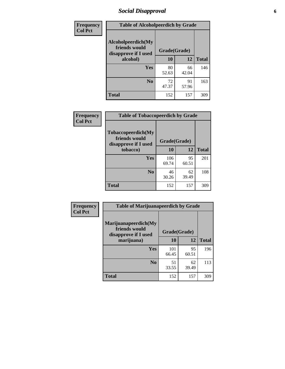# *Social Disapproval* **6**

| Frequency      | <b>Table of Alcoholpeerdich by Grade</b>                    |              |             |              |
|----------------|-------------------------------------------------------------|--------------|-------------|--------------|
| <b>Col Pct</b> | Alcoholpeerdich(My<br>friends would<br>disapprove if I used | Grade(Grade) |             |              |
|                | alcohol)                                                    | 10           | 12          | <b>Total</b> |
|                | <b>Yes</b>                                                  | 80<br>52.63  | 66<br>42.04 | 146          |
|                | N <sub>0</sub>                                              | 72<br>47.37  | 91<br>57.96 | 163          |
|                | <b>Total</b>                                                | 152          | 157         | 309          |

| <b>Frequency</b> |
|------------------|
| <b>Col Pct</b>   |

| <b>Table of Tobaccopeerdich by Grade</b>                            |              |             |              |  |  |  |  |
|---------------------------------------------------------------------|--------------|-------------|--------------|--|--|--|--|
| <b>Tobaccopeerdich</b> (My<br>friends would<br>disapprove if I used | Grade(Grade) |             |              |  |  |  |  |
| tobacco)                                                            | 10           | 12          | <b>Total</b> |  |  |  |  |
| Yes                                                                 | 106<br>69.74 | 95<br>60.51 | 201          |  |  |  |  |
| N <sub>0</sub>                                                      | 46<br>30.26  | 62<br>39.49 | 108          |  |  |  |  |
| <b>Total</b>                                                        | 152          | 157         | 309          |  |  |  |  |

| Frequency      | <b>Table of Marijuanapeerdich by Grade</b>                    |              |             |              |  |  |  |  |
|----------------|---------------------------------------------------------------|--------------|-------------|--------------|--|--|--|--|
| <b>Col Pct</b> | Marijuanapeerdich(My<br>friends would<br>disapprove if I used | Grade(Grade) |             |              |  |  |  |  |
|                | marijuana)                                                    | 10           | 12          | <b>Total</b> |  |  |  |  |
|                | <b>Yes</b>                                                    | 101<br>66.45 | 95<br>60.51 | 196          |  |  |  |  |
|                | N <sub>0</sub>                                                | 51<br>33.55  | 62<br>39.49 | 113          |  |  |  |  |
|                | <b>Total</b>                                                  | 152          | 157         | 309          |  |  |  |  |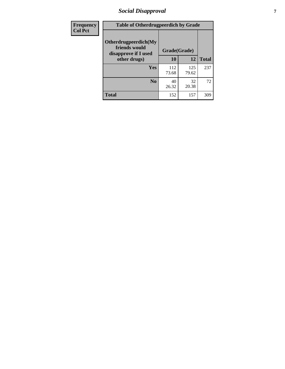# *Social Disapproval* **7**

| Frequency      | <b>Table of Otherdrugpeerdich by Grade</b>                    |              |              |              |  |  |  |  |
|----------------|---------------------------------------------------------------|--------------|--------------|--------------|--|--|--|--|
| <b>Col Pct</b> | Otherdrugpeerdich(My<br>friends would<br>disapprove if I used | Grade(Grade) |              |              |  |  |  |  |
|                | other drugs)                                                  | 10           | 12           | <b>Total</b> |  |  |  |  |
|                | Yes                                                           | 112<br>73.68 | 125<br>79.62 | 237          |  |  |  |  |
|                | N <sub>0</sub>                                                | 40<br>26.32  | 32<br>20.38  | 72           |  |  |  |  |
|                | <b>Total</b>                                                  | 152          | 157          | 309          |  |  |  |  |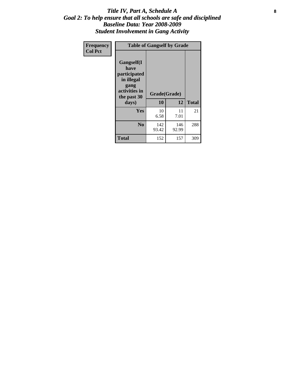#### Title IV, Part A, Schedule A **8** *Goal 2: To help ensure that all schools are safe and disciplined Baseline Data: Year 2008-2009 Student Involvement in Gang Activity*

| Frequency      | <b>Table of Gangself by Grade</b>                                                                 |                    |              |              |
|----------------|---------------------------------------------------------------------------------------------------|--------------------|--------------|--------------|
| <b>Col Pct</b> | Gangself(I<br>have<br>participated<br>in illegal<br>gang<br>activities in<br>the past 30<br>days) | Grade(Grade)<br>10 | 12           | <b>Total</b> |
|                | Yes                                                                                               | 10<br>6.58         | 11<br>7.01   | 21           |
|                | N <sub>0</sub>                                                                                    | 142<br>93.42       | 146<br>92.99 | 288          |
|                | <b>Total</b>                                                                                      | 152                | 157          | 309          |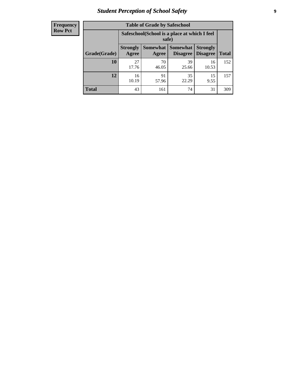# *Student Perception of School Safety* **9**

| <b>Frequency</b><br>Row Pct |
|-----------------------------|
|                             |

| <b>Table of Grade by Safeschool</b> |                                                                                                                                   |             |             |             |     |  |  |
|-------------------------------------|-----------------------------------------------------------------------------------------------------------------------------------|-------------|-------------|-------------|-----|--|--|
|                                     | Safeschool (School is a place at which I feel<br>safe)                                                                            |             |             |             |     |  |  |
| Grade(Grade)                        | <b>Somewhat   Somewhat</b><br><b>Strongly</b><br><b>Strongly</b><br><b>Disagree</b><br>Agree<br>Disagree<br><b>Total</b><br>Agree |             |             |             |     |  |  |
| 10                                  | 27<br>17.76                                                                                                                       | 70<br>46.05 | 39<br>25.66 | 16<br>10.53 | 152 |  |  |
| 12                                  | 16<br>10.19                                                                                                                       | 91<br>57.96 | 35<br>22.29 | 15<br>9.55  | 157 |  |  |
| <b>Total</b>                        | 43                                                                                                                                | 161         | 74          | 31          | 309 |  |  |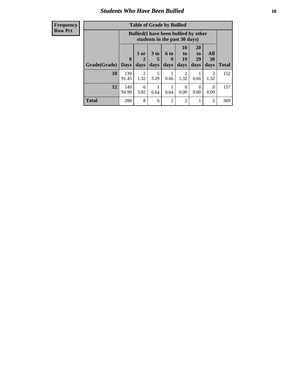#### *Students Who Have Been Bullied* **10**

| <b>Frequency</b> |
|------------------|
| Row Pct          |

| <b>Table of Grade by Bullied</b> |                             |                                                                               |                              |                          |                        |                               |                        |              |
|----------------------------------|-----------------------------|-------------------------------------------------------------------------------|------------------------------|--------------------------|------------------------|-------------------------------|------------------------|--------------|
|                                  |                             | <b>Bullied</b> (I have been bullied by other<br>students in the past 30 days) |                              |                          |                        |                               |                        |              |
| Grade(Grade)                     | $\mathbf{0}$<br><b>Days</b> | 1 or<br>2<br>days                                                             | 3 <sub>to</sub><br>5<br>days | <b>6 to</b><br>9<br>days | 10<br>to<br>19<br>days | <b>20</b><br>to<br>29<br>days | All<br>30<br>days      | <b>Total</b> |
| 10                               | 139<br>91.45                | $\overline{2}$<br>1.32                                                        | 5<br>3.29                    | 0.66                     | 2<br>1.32              | 0.66                          | $\mathfrak{D}$<br>1.32 | 152          |
| 12                               | 149<br>94.90                | 6<br>3.82                                                                     | 0.64                         | 0.64                     | $\Omega$<br>0.00       | $\theta$<br>0.00              | 0<br>0.00              | 157          |
| <b>Total</b>                     | 288                         | 8                                                                             | 6                            | $\overline{2}$           | 2                      | 1                             | 2                      | 309          |

 $\blacksquare$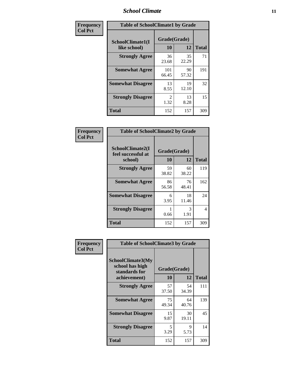### *School Climate* **11**

| Frequency      | <b>Table of SchoolClimate1 by Grade</b> |                        |             |              |  |  |  |
|----------------|-----------------------------------------|------------------------|-------------|--------------|--|--|--|
| <b>Col Pct</b> | SchoolClimate1(I<br>like school)        | Grade(Grade)<br>10     | 12          | <b>Total</b> |  |  |  |
|                | <b>Strongly Agree</b>                   | 36<br>23.68            | 35<br>22.29 | 71           |  |  |  |
|                | <b>Somewhat Agree</b>                   | 101<br>66.45           | 90<br>57.32 | 191          |  |  |  |
|                | <b>Somewhat Disagree</b>                | 13<br>8.55             | 19<br>12.10 | 32           |  |  |  |
|                | <b>Strongly Disagree</b>                | $\mathfrak{D}$<br>1.32 | 13<br>8.28  | 15           |  |  |  |
|                | <b>Total</b>                            | 152                    | 157         | 309          |  |  |  |

| <b>Frequency</b> |
|------------------|
| <b>Col Pct</b>   |

| <b>Table of SchoolClimate2 by Grade</b>           |                    |             |              |  |  |
|---------------------------------------------------|--------------------|-------------|--------------|--|--|
| SchoolClimate2(I<br>feel successful at<br>school) | Grade(Grade)<br>10 | 12          | <b>Total</b> |  |  |
| <b>Strongly Agree</b>                             | 59<br>38.82        | 60<br>38.22 | 119          |  |  |
| <b>Somewhat Agree</b>                             | 86<br>56.58        | 76<br>48.41 | 162          |  |  |
| <b>Somewhat Disagree</b>                          | 6<br>3.95          | 18<br>11.46 | 24           |  |  |
| <b>Strongly Disagree</b>                          | 0.66               | 3<br>1.91   | 4            |  |  |
| Total                                             | 152                | 157         | 309          |  |  |

| Frequency      | <b>Table of SchoolClimate3 by Grade</b>                                      |                    |             |              |  |
|----------------|------------------------------------------------------------------------------|--------------------|-------------|--------------|--|
| <b>Col Pct</b> | <b>SchoolClimate3(My</b><br>school has high<br>standards for<br>achievement) | Grade(Grade)<br>10 | 12          | <b>Total</b> |  |
|                | <b>Strongly Agree</b>                                                        | 57                 | 54          | 111          |  |
|                |                                                                              | 37.50              | 34.39       |              |  |
|                | <b>Somewhat Agree</b>                                                        | 75<br>49.34        | 64<br>40.76 | 139          |  |
|                | <b>Somewhat Disagree</b>                                                     | 15<br>9.87         | 30<br>19.11 | 45           |  |
|                | <b>Strongly Disagree</b>                                                     | 5<br>3.29          | 9<br>5.73   | 14           |  |
|                | Total                                                                        | 152                | 157         | 309          |  |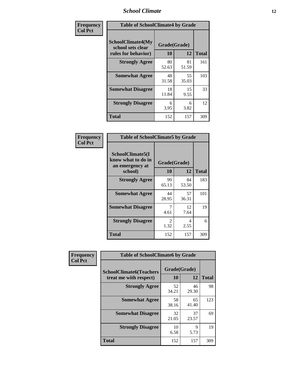### *School Climate* **12**

| Frequency      | <b>Table of SchoolClimate4 by Grade</b>                              |                    |             |              |
|----------------|----------------------------------------------------------------------|--------------------|-------------|--------------|
| <b>Col Pct</b> | <b>SchoolClimate4(My</b><br>school sets clear<br>rules for behavior) | Grade(Grade)<br>10 | 12          | <b>Total</b> |
|                | <b>Strongly Agree</b>                                                | 80<br>52.63        | 81<br>51.59 | 161          |
|                | <b>Somewhat Agree</b>                                                | 48<br>31.58        | 55<br>35.03 | 103          |
|                | <b>Somewhat Disagree</b>                                             | 18<br>11.84        | 15<br>9.55  | 33           |
|                | <b>Strongly Disagree</b>                                             | 6<br>3.95          | 6<br>3.82   | 12           |
|                | <b>Total</b>                                                         | 152                | 157         | 309          |

| <b>Table of SchoolClimate5 by Grade</b>                   |              |             |              |  |  |
|-----------------------------------------------------------|--------------|-------------|--------------|--|--|
| SchoolClimate5(I<br>know what to do in<br>an emergency at | Grade(Grade) |             |              |  |  |
| school)                                                   | 10           | 12          | <b>Total</b> |  |  |
| <b>Strongly Agree</b>                                     | 99<br>65.13  | 84<br>53.50 | 183          |  |  |
| <b>Somewhat Agree</b>                                     | 44<br>28.95  | 57<br>36.31 | 101          |  |  |
| <b>Somewhat Disagree</b>                                  | 7<br>4.61    | 12<br>7.64  | 19           |  |  |
| <b>Strongly Disagree</b>                                  | 2<br>1.32    | 4<br>2.55   | 6            |  |  |
| Total                                                     | 152          | 157         | 309          |  |  |

| Frequency      | <b>Table of SchoolClimate6 by Grade</b>                  |                    |             |              |  |
|----------------|----------------------------------------------------------|--------------------|-------------|--------------|--|
| <b>Col Pct</b> | <b>SchoolClimate6(Teachers</b><br>treat me with respect) | Grade(Grade)<br>10 | 12          | <b>Total</b> |  |
|                | <b>Strongly Agree</b>                                    | 52<br>34.21        | 46<br>29.30 | 98           |  |
|                | <b>Somewhat Agree</b>                                    | 58<br>38.16        | 65<br>41.40 | 123          |  |
|                | <b>Somewhat Disagree</b>                                 | 32<br>21.05        | 37<br>23.57 | 69           |  |
|                | <b>Strongly Disagree</b>                                 | 10<br>6.58         | 9<br>5.73   | 19           |  |
|                | <b>Total</b>                                             | 152                | 157         | 309          |  |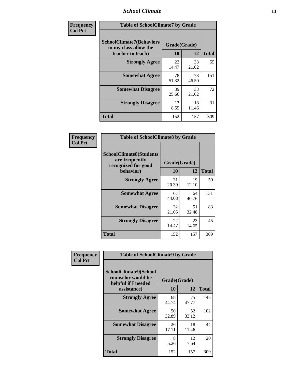### *School Climate* **13**

| Frequency      | <b>Table of SchoolClimate7 by Grade</b>                                       |                           |             |              |  |
|----------------|-------------------------------------------------------------------------------|---------------------------|-------------|--------------|--|
| <b>Col Pct</b> | <b>SchoolClimate7(Behaviors</b><br>in my class allow the<br>teacher to teach) | Grade(Grade)<br><b>10</b> | 12          | <b>Total</b> |  |
|                | <b>Strongly Agree</b>                                                         | 22<br>14.47               | 33<br>21.02 | 55           |  |
|                | <b>Somewhat Agree</b>                                                         | 78<br>51.32               | 73<br>46.50 | 151          |  |
|                | <b>Somewhat Disagree</b>                                                      | 39<br>25.66               | 33<br>21.02 | 72           |  |
|                | <b>Strongly Disagree</b>                                                      | 13<br>8.55                | 18<br>11.46 | 31           |  |
|                | <b>Total</b>                                                                  | 152                       | 157         | 309          |  |

| Frequency      | <b>Table of SchoolClimate8 by Grade</b>                                              |                    |             |              |  |  |
|----------------|--------------------------------------------------------------------------------------|--------------------|-------------|--------------|--|--|
| <b>Col Pct</b> | <b>SchoolClimate8(Students</b><br>are frequently<br>recognized for good<br>behavior) | Grade(Grade)<br>10 | 12          | <b>Total</b> |  |  |
|                | <b>Strongly Agree</b>                                                                | 31<br>20.39        | 19<br>12.10 | 50           |  |  |
|                | <b>Somewhat Agree</b>                                                                | 67<br>44.08        | 64<br>40.76 | 131          |  |  |
|                | <b>Somewhat Disagree</b>                                                             | 32<br>21.05        | 51<br>32.48 | 83           |  |  |
|                | <b>Strongly Disagree</b>                                                             | 22<br>14.47        | 23<br>14.65 | 45           |  |  |
|                | <b>Total</b>                                                                         | 152                | 157         | 309          |  |  |

| Frequency      | <b>Table of SchoolClimate9 by Grade</b>                                           |                    |             |              |
|----------------|-----------------------------------------------------------------------------------|--------------------|-------------|--------------|
| <b>Col Pct</b> | SchoolClimate9(School<br>counselor would be<br>helpful if I needed<br>assistance) | Grade(Grade)<br>10 | 12          | <b>Total</b> |
|                | <b>Strongly Agree</b>                                                             | 68<br>44.74        | 75<br>47.77 | 143          |
|                | <b>Somewhat Agree</b>                                                             | 50<br>32.89        | 52<br>33.12 | 102          |
|                | <b>Somewhat Disagree</b>                                                          | 26<br>17.11        | 18<br>11.46 | 44           |
|                | <b>Strongly Disagree</b>                                                          | 8<br>5.26          | 12<br>7.64  | 20           |
|                | Total                                                                             | 152                | 157         | 309          |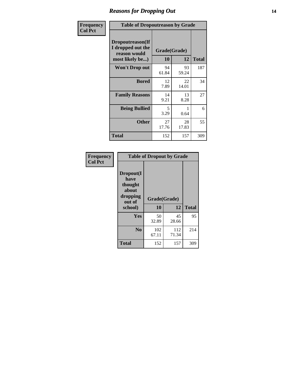### *Reasons for Dropping Out* **14**

| Frequency      | <b>Table of Dropoutreason by Grade</b>                                   |             |                    |              |  |
|----------------|--------------------------------------------------------------------------|-------------|--------------------|--------------|--|
| <b>Col Pct</b> | Dropoutreason(If<br>I dropped out the<br>reason would<br>most likely be) | 10          | Grade(Grade)<br>12 | <b>Total</b> |  |
|                | <b>Won't Drop out</b>                                                    | 94<br>61.84 | 93<br>59.24        | 187          |  |
|                | <b>Bored</b>                                                             | 12<br>7.89  | 22<br>14.01        | 34           |  |
|                | <b>Family Reasons</b>                                                    | 14<br>9.21  | 13<br>8.28         | 27           |  |
|                | <b>Being Bullied</b>                                                     | 5<br>3.29   | 0.64               | 6            |  |
|                | <b>Other</b>                                                             | 27<br>17.76 | 28<br>17.83        | 55           |  |
|                | <b>Total</b>                                                             | 152         | 157                | 309          |  |

| Frequency<br><b>Col Pct</b> | <b>Table of Dropout by Grade</b>                                       |                    |              |              |  |
|-----------------------------|------------------------------------------------------------------------|--------------------|--------------|--------------|--|
|                             | Dropout(I<br>have<br>thought<br>about<br>dropping<br>out of<br>school) | Grade(Grade)<br>10 | 12           | <b>Total</b> |  |
|                             |                                                                        |                    |              |              |  |
|                             | Yes                                                                    | 50<br>32.89        | 45<br>28.66  | 95           |  |
|                             | N <sub>0</sub>                                                         | 102<br>67.11       | 112<br>71.34 | 214          |  |
|                             |                                                                        |                    |              |              |  |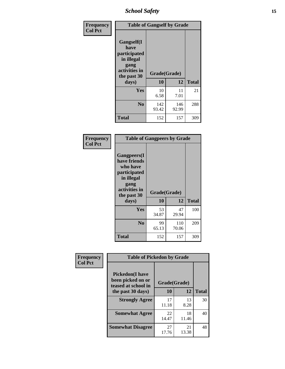*School Safety* **15**

| Frequency      | <b>Table of Gangself by Grade</b>                                                                 |                    |              |              |  |
|----------------|---------------------------------------------------------------------------------------------------|--------------------|--------------|--------------|--|
| <b>Col Pct</b> | Gangself(I<br>have<br>participated<br>in illegal<br>gang<br>activities in<br>the past 30<br>days) | Grade(Grade)<br>10 | 12           | <b>Total</b> |  |
|                | Yes                                                                                               | 10<br>6.58         | 11<br>7.01   | 21           |  |
|                | N <sub>0</sub>                                                                                    | 142<br>93.42       | 146<br>92.99 | 288          |  |
|                | <b>Total</b>                                                                                      | 152                | 157          | 309          |  |

| Frequency<br><b>Col Pct</b> | <b>Table of Gangpeers by Grade</b>                                                                                             |                    |              |              |
|-----------------------------|--------------------------------------------------------------------------------------------------------------------------------|--------------------|--------------|--------------|
|                             | <b>Gangpeers</b> (I<br>have friends<br>who have<br>participated<br>in illegal<br>gang<br>activities in<br>the past 30<br>days) | Grade(Grade)<br>10 | 12           | <b>Total</b> |
|                             | Yes                                                                                                                            | 53<br>34.87        | 47<br>29.94  | 100          |
|                             | N <sub>0</sub>                                                                                                                 | 99<br>65.13        | 110<br>70.06 | 209          |
|                             | <b>Total</b>                                                                                                                   | 152                | 157          | 309          |

| Frequency      | <b>Table of Pickedon by Grade</b>                                   |              |             |              |  |  |  |  |  |  |
|----------------|---------------------------------------------------------------------|--------------|-------------|--------------|--|--|--|--|--|--|
| <b>Col Pct</b> | <b>Pickedon</b> (I have<br>been picked on or<br>teased at school in | Grade(Grade) |             |              |  |  |  |  |  |  |
|                | the past 30 days)                                                   | 10           | 12          | <b>Total</b> |  |  |  |  |  |  |
|                | <b>Strongly Agree</b>                                               | 17<br>11.18  | 13<br>8.28  | 30           |  |  |  |  |  |  |
|                | <b>Somewhat Agree</b>                                               | 22<br>14.47  | 18<br>11.46 | 40           |  |  |  |  |  |  |
|                | <b>Somewhat Disagree</b>                                            | 27<br>17.76  | 21<br>13.38 | 48           |  |  |  |  |  |  |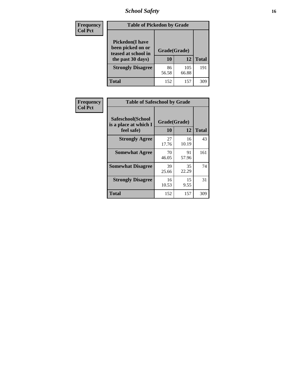# *School Safety* **16**

| <b>Frequency</b> | <b>Table of Pickedon by Grade</b>                                                        |                    |              |              |
|------------------|------------------------------------------------------------------------------------------|--------------------|--------------|--------------|
| <b>Col Pct</b>   | <b>Pickedon</b> (I have<br>been picked on or<br>teased at school in<br>the past 30 days) | Grade(Grade)<br>10 | 12           | <b>Total</b> |
|                  | <b>Strongly Disagree</b>                                                                 | 86<br>56.58        | 105<br>66.88 | 191          |
|                  | <b>Total</b>                                                                             | 152                | 157          | 309          |

| Frequency      | <b>Table of Safeschool by Grade</b>                      |                    |             |              |
|----------------|----------------------------------------------------------|--------------------|-------------|--------------|
| <b>Col Pct</b> | Safeschool(School<br>is a place at which I<br>feel safe) | Grade(Grade)<br>10 | 12          | <b>Total</b> |
|                | <b>Strongly Agree</b>                                    | 27<br>17.76        | 16<br>10.19 | 43           |
|                | <b>Somewhat Agree</b>                                    | 70<br>46.05        | 91<br>57.96 | 161          |
|                | <b>Somewhat Disagree</b>                                 | 39<br>25.66        | 35<br>22.29 | 74           |
|                | <b>Strongly Disagree</b>                                 | 16<br>10.53        | 15<br>9.55  | 31           |
|                | <b>Total</b>                                             | 152                | 157         | 309          |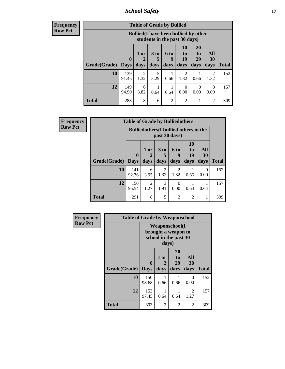*School Safety* **17**

| <b>Frequend</b><br>Row Pct |
|----------------------------|

| $\overline{\textbf{c}\textbf{y}}$ |              | <b>Table of Grade by Bullied</b> |                                                                               |              |                          |                        |                               |                   |              |  |  |
|-----------------------------------|--------------|----------------------------------|-------------------------------------------------------------------------------|--------------|--------------------------|------------------------|-------------------------------|-------------------|--------------|--|--|
|                                   |              |                                  | <b>Bullied</b> (I have been bullied by other<br>students in the past 30 days) |              |                          |                        |                               |                   |              |  |  |
|                                   | Grade(Grade) | $\mathbf 0$<br><b>Days</b>       | 1 or<br>2<br>days                                                             | 3 to<br>days | <b>6 to</b><br>9<br>days | 10<br>to<br>19<br>days | <b>20</b><br>to<br>29<br>days | All<br>30<br>days | <b>Total</b> |  |  |
|                                   | 10           | 139<br>91.45                     | 2<br>1.32                                                                     | 5<br>3.29    | 0.66                     | 2<br>1.32              | 0.66                          | 2<br>1.32         | 152          |  |  |
|                                   | 12           | 149<br>94.90                     | 6<br>3.82                                                                     | 0.64         | 0.64                     | $\Omega$<br>0.00       | 0<br>0.00                     | $\Omega$<br>0.00  | 157          |  |  |
|                                   | <b>Total</b> | 288                              | 8                                                                             | 6            | $\overline{2}$           | $\mathfrak{D}$         |                               | 2                 | 309          |  |  |

| Frequency      |                     | <b>Table of Grade by Bulliedothers</b> |                                                                |              |                          |                        |                   |              |  |  |  |
|----------------|---------------------|----------------------------------------|----------------------------------------------------------------|--------------|--------------------------|------------------------|-------------------|--------------|--|--|--|
| <b>Row Pct</b> |                     |                                        | <b>Bulliedothers</b> (I bullied others in the<br>past 30 days) |              |                          |                        |                   |              |  |  |  |
|                | Grade(Grade)   Days | $\mathbf 0$                            | 1 or<br>days                                                   | 3 to<br>days | <b>6 to</b><br>9<br>days | 10<br>to<br>19<br>days | All<br>30<br>days | <b>Total</b> |  |  |  |
|                | 10                  | 141<br>92.76                           | 6<br>3.95                                                      | 2<br>1.32    | $\mathfrak{D}$<br>1.32   | 0.66                   | 0<br>0.00         | 152          |  |  |  |
|                | 12                  | 150<br>95.54                           | $\overline{2}$<br>1.27                                         | 3<br>1.91    | 0<br>0.00                | 0.64                   | 0.64              | 157          |  |  |  |
|                | <b>Total</b>        | 291                                    | 8                                                              | 5            | $\overline{c}$           | 2                      | 1                 | 309          |  |  |  |

| <b>Frequency</b> | <b>Table of Grade by Weaponschool</b> |                                 |                                                                                 |                        |                          |              |  |  |  |  |
|------------------|---------------------------------------|---------------------------------|---------------------------------------------------------------------------------|------------------------|--------------------------|--------------|--|--|--|--|
| <b>Row Pct</b>   |                                       |                                 | <b>Weaponschool</b> (I<br>brought a weapon to<br>school in the past 30<br>days) |                        |                          |              |  |  |  |  |
|                  | Grade(Grade)                          | $\boldsymbol{0}$<br><b>Days</b> | 1 or<br>2<br>days                                                               | 20<br>to<br>29<br>days | <b>All</b><br>30<br>days | <b>Total</b> |  |  |  |  |
|                  | 10                                    | 150<br>98.68                    | 0.66                                                                            | 0.66                   | 0<br>0.00                | 152          |  |  |  |  |
|                  | 12                                    | 153<br>97.45                    | 0.64                                                                            | 0.64                   | 2<br>1.27                | 157          |  |  |  |  |
|                  | <b>Total</b>                          | 303                             | $\mathfrak{D}$                                                                  | 2                      | $\overline{c}$           | 309          |  |  |  |  |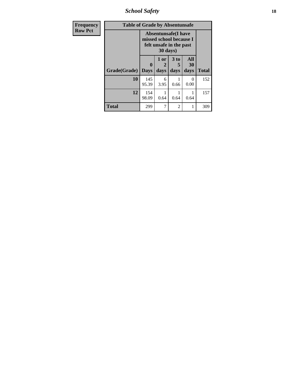*School Safety* **18**

| <b>Frequency</b> | <b>Table of Grade by Absentunsafe</b> |                  |                                                                                              |                   |                   |              |  |  |  |  |
|------------------|---------------------------------------|------------------|----------------------------------------------------------------------------------------------|-------------------|-------------------|--------------|--|--|--|--|
| <b>Row Pct</b>   |                                       |                  | <b>Absentunsafe(I have</b><br>missed school because I<br>felt unsafe in the past<br>30 days) |                   |                   |              |  |  |  |  |
|                  | Grade(Grade)                          | 0<br><b>Days</b> | 1 or<br>2<br>days                                                                            | 3 to<br>5<br>days | All<br>30<br>days | <b>Total</b> |  |  |  |  |
|                  | 10                                    | 145<br>95.39     | 6<br>3.95                                                                                    | 0.66              | 0<br>0.00         | 152          |  |  |  |  |
|                  | 12                                    | 154<br>98.09     | 0.64                                                                                         | 0.64              | 0.64              | 157          |  |  |  |  |
|                  | Total                                 | 299              | 7                                                                                            | $\overline{c}$    | 1                 | 309          |  |  |  |  |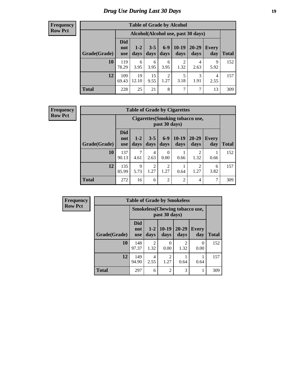# *Drug Use During Last 30 Days* **19**

#### **Frequency Row Pct**

| <b>Table of Grade by Alcohol</b> |                          |                                    |                 |                        |                        |                   |              |              |  |
|----------------------------------|--------------------------|------------------------------------|-----------------|------------------------|------------------------|-------------------|--------------|--------------|--|
|                                  |                          | Alcohol(Alcohol use, past 30 days) |                 |                        |                        |                   |              |              |  |
| Grade(Grade)                     | <b>Did</b><br>not<br>use | $1 - 2$<br>days                    | $3 - 5$<br>days | $6 - 9$<br>days        | $10-19$<br>days        | $20 - 29$<br>days | Every<br>day | <b>Total</b> |  |
| 10                               | 119<br>78.29             | 6<br>3.95                          | 6<br>3.95       | 6<br>3.95              | $\overline{2}$<br>1.32 | 4<br>2.63         | 9<br>5.92    | 152          |  |
| 12                               | 109<br>69.43             | 19<br>12.10                        | 15<br>9.55      | $\overline{2}$<br>1.27 | 5<br>3.18              | 3<br>1.91         | 4<br>2.55    | 157          |  |
| <b>Total</b>                     | 228                      | 25                                 | 21              | 8                      | $\overline{7}$         | 7                 | 13           | 309          |  |

#### **Frequency Row Pct**

| <b>Table of Grade by Cigarettes</b> |                                 |                                                   |                        |                        |                 |                        |                     |       |  |
|-------------------------------------|---------------------------------|---------------------------------------------------|------------------------|------------------------|-----------------|------------------------|---------------------|-------|--|
|                                     |                                 | Cigarettes (Smoking tobacco use,<br>past 30 days) |                        |                        |                 |                        |                     |       |  |
| Grade(Grade)                        | <b>Did</b><br>not<br><b>use</b> | $1-2$<br>days                                     | $3 - 5$<br>days        | $6 - 9$<br>days        | $10-19$<br>days | $20 - 29$<br>days      | <b>Every</b><br>day | Total |  |
| 10                                  | 137<br>90.13                    | 7<br>4.61                                         | 4<br>2.63              | $\Omega$<br>0.00       | 0.66            | $\overline{2}$<br>1.32 | 0.66                | 152   |  |
| 12                                  | 135<br>85.99                    | $\mathbf Q$<br>5.73                               | $\mathfrak{D}$<br>1.27 | $\overline{2}$<br>1.27 | 0.64            | 2<br>1.27              | 6<br>3.82           | 157   |  |
| <b>Total</b>                        | 272                             | 16                                                | 6                      | $\overline{2}$         | $\overline{2}$  | 4                      | 7                   | 309   |  |

| Frequency      |              | <b>Table of Grade by Smokeless</b>                     |                 |                        |                        |                     |              |  |  |  |
|----------------|--------------|--------------------------------------------------------|-----------------|------------------------|------------------------|---------------------|--------------|--|--|--|
| <b>Row Pct</b> |              | <b>Smokeless</b> (Chewing tobaccouse,<br>past 30 days) |                 |                        |                        |                     |              |  |  |  |
|                | Grade(Grade) | <b>Did</b><br>not<br><b>use</b>                        | $1 - 2$<br>days | $10-19$<br>days        | 20-29<br>days          | <b>Every</b><br>day | <b>Total</b> |  |  |  |
|                | 10           | 148<br>97.37                                           | 2<br>1.32       | $\Omega$<br>0.00       | $\mathfrak{D}$<br>1.32 | $\theta$<br>0.00    | 152          |  |  |  |
|                | 12           | 149<br>94.90                                           | 4<br>2.55       | $\mathfrak{D}$<br>1.27 | 0.64                   | 0.64                | 157          |  |  |  |
|                | <b>Total</b> | 297                                                    | 6               | $\overline{2}$         | 3                      |                     | 309          |  |  |  |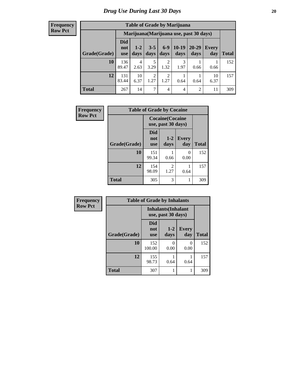#### **Frequency Row Pct**

| <b>Table of Grade by Marijuana</b> |                          |                                         |                        |                        |                 |                |              |       |  |
|------------------------------------|--------------------------|-----------------------------------------|------------------------|------------------------|-----------------|----------------|--------------|-------|--|
|                                    |                          | Marijuana (Marijuana use, past 30 days) |                        |                        |                 |                |              |       |  |
| Grade(Grade)                       | Did<br>not<br><b>use</b> | $1 - 2$<br>days                         | $3 - 5$<br>days        | $6 - 9$<br>days        | $10-19$<br>days | 20-29<br>days  | Every<br>day | Total |  |
| 10                                 | 136<br>89.47             | $\overline{4}$<br>2.63                  | 5<br>3.29              | $\overline{2}$<br>1.32 | 3<br>1.97       | 0.66           | 0.66         | 152   |  |
| 12                                 | 131<br>83.44             | 10<br>6.37                              | $\overline{2}$<br>1.27 | $\overline{c}$<br>1.27 | 0.64            | 0.64           | 10<br>6.37   | 157   |  |
| <b>Total</b>                       | 267                      | 14                                      | 7                      | 4                      | 4               | $\overline{2}$ | 11           | 309   |  |

| Frequency      | <b>Table of Grade by Cocaine</b> |                                 |                                               |                     |              |  |  |  |
|----------------|----------------------------------|---------------------------------|-----------------------------------------------|---------------------|--------------|--|--|--|
| <b>Row Pct</b> |                                  |                                 | <b>Cocaine</b> (Cocaine<br>use, past 30 days) |                     |              |  |  |  |
|                | Grade(Grade)                     | <b>Did</b><br>not<br><b>use</b> | $1 - 2$<br>days                               | <b>Every</b><br>day | <b>Total</b> |  |  |  |
|                | 10                               | 151<br>99.34                    | 0.66                                          | 0<br>0.00           | 152          |  |  |  |
|                | 12                               | 154<br>98.09                    | $\overline{c}$<br>1.27                        | 0.64                | 157          |  |  |  |
|                | <b>Total</b>                     | 305                             | 3                                             | 1                   | 309          |  |  |  |

| Frequency      |              | <b>Table of Grade by Inhalants</b>               |                 |                     |              |  |  |
|----------------|--------------|--------------------------------------------------|-----------------|---------------------|--------------|--|--|
| <b>Row Pct</b> |              | <b>Inhalants</b> (Inhalant<br>use, past 30 days) |                 |                     |              |  |  |
|                | Grade(Grade) | Did<br>not<br><b>use</b>                         | $1 - 2$<br>days | <b>Every</b><br>day | <b>Total</b> |  |  |
|                | 10           | 152<br>100.00                                    | 0<br>0.00       | 0<br>0.00           | 152          |  |  |
|                | 12           | 155<br>98.73                                     | 0.64            | 0.64                | 157          |  |  |
|                | <b>Total</b> | 307                                              |                 |                     | 309          |  |  |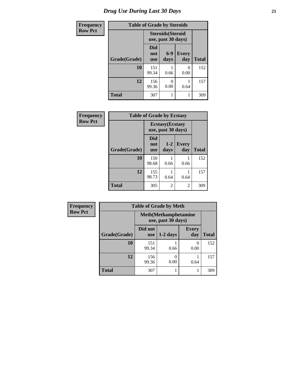# *Drug Use During Last 30 Days* **21**

| <b>Frequency</b> |              | <b>Table of Grade by Steroids</b>              |               |                     |              |
|------------------|--------------|------------------------------------------------|---------------|---------------------|--------------|
| <b>Row Pct</b>   |              | <b>Steroids</b> (Steroid<br>use, past 30 days) |               |                     |              |
|                  | Grade(Grade) | Did<br>not<br><b>use</b>                       | $6-9$<br>days | <b>Every</b><br>day | <b>Total</b> |
|                  | 10           | 151<br>99.34                                   | 0.66          | $\theta$<br>0.00    | 152          |
|                  | 12           | 156<br>99.36                                   | 0<br>0.00     | 0.64                | 157          |
|                  | <b>Total</b> | 307                                            |               |                     | 309          |

| Frequency      |              | <b>Table of Grade by Ecstasy</b> |                                               |              |              |
|----------------|--------------|----------------------------------|-----------------------------------------------|--------------|--------------|
| <b>Row Pct</b> |              |                                  | <b>Ecstasy</b> (Ecstasy<br>use, past 30 days) |              |              |
|                | Grade(Grade) | Did<br>not<br><b>use</b>         | $1 - 2$<br>days                               | Every<br>day | <b>Total</b> |
|                | 10           | 150<br>98.68                     | 0.66                                          | 0.66         | 152          |
|                | 12           | 155<br>98.73                     | 0.64                                          | 0.64         | 157          |
|                | <b>Total</b> | 305                              | 2                                             | 2            | 309          |

| Frequency      |              | <b>Table of Grade by Meth</b>                      |            |                           |              |
|----------------|--------------|----------------------------------------------------|------------|---------------------------|--------------|
| <b>Row Pct</b> |              | <b>Meth</b> (Methamphetamine<br>use, past 30 days) |            |                           |              |
|                | Grade(Grade) | Did not<br>use                                     | $1-2$ days | <b>Every</b><br>day       | <b>Total</b> |
|                | 10           | 151<br>99.34                                       | 0.66       | $\mathbf{\Omega}$<br>0.00 | 152          |
|                | 12           | 156<br>99.36                                       | 0.00       | 0.64                      | 157          |
|                | <b>Total</b> | 307                                                |            |                           | 309          |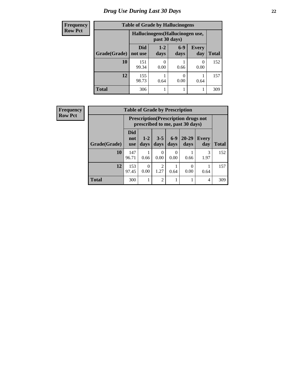# *Drug Use During Last 30 Days* **22**

| <b>Frequency</b> |              | <b>Table of Grade by Hallucinogens</b> |                                                   |                       |                     |              |  |  |
|------------------|--------------|----------------------------------------|---------------------------------------------------|-----------------------|---------------------|--------------|--|--|
| <b>Row Pct</b>   |              |                                        | Hallucinogens (Hallucinogen use,<br>past 30 days) |                       |                     |              |  |  |
|                  | Grade(Grade) | Did<br>not use                         | $1 - 2$<br>days                                   | $6-9$<br>days         | <b>Every</b><br>day | <b>Total</b> |  |  |
|                  | 10           | 151<br>99.34                           | 0.00                                              | 0.66                  | $\left($<br>0.00    | 152          |  |  |
|                  | 12           | 155<br>98.73                           | 0.64                                              | $\mathcal{O}$<br>0.00 | 0.64                | 157          |  |  |
|                  | <b>Total</b> | 306                                    |                                                   |                       |                     | 309          |  |  |

| <b>Frequency</b> |              | <b>Table of Grade by Prescription</b> |                                                                                |                        |               |                   |                     |              |  |
|------------------|--------------|---------------------------------------|--------------------------------------------------------------------------------|------------------------|---------------|-------------------|---------------------|--------------|--|
| <b>Row Pct</b>   |              |                                       | <b>Prescription</b> (Prescription drugs not<br>prescribed to me, past 30 days) |                        |               |                   |                     |              |  |
|                  | Grade(Grade) | <b>Did</b><br>not<br><b>use</b>       | $1-2$<br>days                                                                  | $3 - 5$<br>days        | $6-9$<br>days | $20 - 29$<br>days | <b>Every</b><br>day | <b>Total</b> |  |
|                  | 10           | 147<br>96.71                          | 0.66                                                                           | 0<br>0.00              | 0<br>0.00     | 0.66              | 3<br>1.97           | 152          |  |
|                  | 12           | 153<br>97.45                          | 0<br>0.00                                                                      | $\overline{2}$<br>1.27 | 0.64          | $\theta$<br>0.00  | 0.64                | 157          |  |
|                  | <b>Total</b> | 300                                   |                                                                                | $\overline{2}$         |               |                   | 4                   | 309          |  |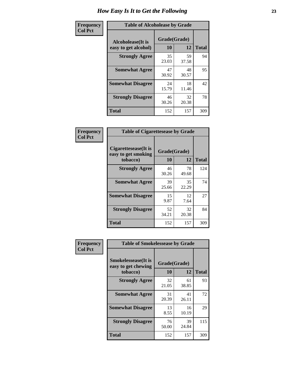| Frequency      | <b>Table of Alcoholease by Grade</b>              |                          |             |              |  |
|----------------|---------------------------------------------------|--------------------------|-------------|--------------|--|
| <b>Col Pct</b> | <b>Alcoholease</b> (It is<br>easy to get alcohol) | Grade(Grade)<br>10<br>12 |             | <b>Total</b> |  |
|                | <b>Strongly Agree</b>                             | 35<br>23.03              | 59<br>37.58 | 94           |  |
|                | <b>Somewhat Agree</b>                             | 47<br>30.92              | 48<br>30.57 | 95           |  |
|                | <b>Somewhat Disagree</b>                          | 24<br>15.79              | 18<br>11.46 | 42           |  |
|                | <b>Strongly Disagree</b>                          | 46<br>30.26              | 32<br>20.38 | 78           |  |
|                | <b>Total</b>                                      | 152                      | 157         | 309          |  |

| Frequency      | <b>Table of Cigarettesease by Grade</b>                  |                           |             |              |
|----------------|----------------------------------------------------------|---------------------------|-------------|--------------|
| <b>Col Pct</b> | Cigarettesease (It is<br>easy to get smoking<br>tobacco) | Grade(Grade)<br><b>10</b> | 12          | <b>Total</b> |
|                | <b>Strongly Agree</b>                                    | 46<br>30.26               | 78<br>49.68 | 124          |
|                | <b>Somewhat Agree</b>                                    | 39<br>25.66               | 35<br>22.29 | 74           |
|                | <b>Somewhat Disagree</b>                                 | 15<br>9.87                | 12<br>7.64  | 27           |
|                | <b>Strongly Disagree</b>                                 | 52<br>34.21               | 32<br>20.38 | 84           |
|                | <b>Total</b>                                             | 152                       | 157         | 309          |

| Frequency      | <b>Table of Smokelessease by Grade</b>                         |                    |             |              |
|----------------|----------------------------------------------------------------|--------------------|-------------|--------------|
| <b>Col Pct</b> | <b>Smokelessease</b> (It is<br>easy to get chewing<br>tobacco) | Grade(Grade)<br>10 | 12          | <b>Total</b> |
|                | <b>Strongly Agree</b>                                          | 32<br>21.05        | 61<br>38.85 | 93           |
|                | <b>Somewhat Agree</b>                                          | 31<br>20.39        | 41<br>26.11 | 72           |
|                | <b>Somewhat Disagree</b>                                       | 13<br>8.55         | 16<br>10.19 | 29           |
|                | <b>Strongly Disagree</b>                                       | 76<br>50.00        | 39<br>24.84 | 115          |
|                | <b>Total</b>                                                   | 152                | 157         | 309          |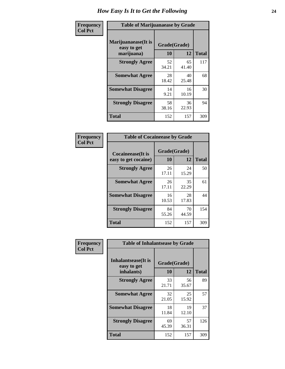| Frequency      | <b>Table of Marijuanaease by Grade</b>           |                    |             |              |  |
|----------------|--------------------------------------------------|--------------------|-------------|--------------|--|
| <b>Col Pct</b> | Marijuanaease(It is<br>easy to get<br>marijuana) | Grade(Grade)<br>10 | 12          | <b>Total</b> |  |
|                | <b>Strongly Agree</b>                            | 52<br>34.21        | 65<br>41.40 | 117          |  |
|                | <b>Somewhat Agree</b>                            | 28<br>18.42        | 40<br>25.48 | 68           |  |
|                | <b>Somewhat Disagree</b>                         | 14<br>9.21         | 16<br>10.19 | 30           |  |
|                | <b>Strongly Disagree</b>                         | 58<br>38.16        | 36<br>22.93 | 94           |  |
|                | <b>Total</b>                                     | 152                | 157         | 309          |  |

| <b>Table of Cocaineease by Grade</b>              |             |              |              |  |  |  |  |  |  |  |
|---------------------------------------------------|-------------|--------------|--------------|--|--|--|--|--|--|--|
| <b>Cocaineease</b> (It is<br>easy to get cocaine) | 10          | Grade(Grade) |              |  |  |  |  |  |  |  |
|                                                   |             | 12           | <b>Total</b> |  |  |  |  |  |  |  |
| <b>Strongly Agree</b>                             | 26<br>17.11 | 24<br>15.29  | 50           |  |  |  |  |  |  |  |
| <b>Somewhat Agree</b>                             | 26<br>17.11 | 35<br>22.29  | 61           |  |  |  |  |  |  |  |
| <b>Somewhat Disagree</b>                          | 16<br>10.53 | 28<br>17.83  | 44           |  |  |  |  |  |  |  |
| <b>Strongly Disagree</b>                          | 84<br>55.26 | 70<br>44.59  | 154          |  |  |  |  |  |  |  |
| <b>Total</b>                                      | 152         | 157          | 309          |  |  |  |  |  |  |  |

| Frequency      | <b>Table of Inhalantsease by Grade</b>     |              |             |              |  |  |  |  |  |  |  |
|----------------|--------------------------------------------|--------------|-------------|--------------|--|--|--|--|--|--|--|
| <b>Col Pct</b> | <b>Inhalantsease</b> (It is<br>easy to get | Grade(Grade) |             |              |  |  |  |  |  |  |  |
|                | inhalants)                                 | 10           | 12          | <b>Total</b> |  |  |  |  |  |  |  |
|                | <b>Strongly Agree</b>                      | 33<br>21.71  | 56<br>35.67 | 89           |  |  |  |  |  |  |  |
|                | <b>Somewhat Agree</b>                      | 32<br>21.05  | 25<br>15.92 | 57           |  |  |  |  |  |  |  |
|                | <b>Somewhat Disagree</b>                   | 18<br>11.84  | 19<br>12.10 | 37           |  |  |  |  |  |  |  |
|                | <b>Strongly Disagree</b>                   | 69<br>45.39  | 57<br>36.31 | 126          |  |  |  |  |  |  |  |
|                | <b>Total</b>                               | 152          | 157         | 309          |  |  |  |  |  |  |  |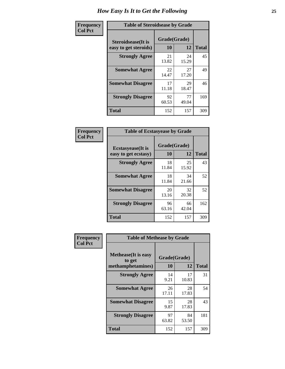| Frequency      | <b>Table of Steroidsease by Grade</b>               |                    |              |     |  |  |  |  |  |  |
|----------------|-----------------------------------------------------|--------------------|--------------|-----|--|--|--|--|--|--|
| <b>Col Pct</b> | <b>Steroidsease</b> (It is<br>easy to get steroids) | Grade(Grade)<br>10 | <b>Total</b> |     |  |  |  |  |  |  |
|                | <b>Strongly Agree</b>                               | 21<br>13.82        | 24<br>15.29  | 45  |  |  |  |  |  |  |
|                | <b>Somewhat Agree</b>                               | 22<br>14.47        | 27<br>17.20  | 49  |  |  |  |  |  |  |
|                | <b>Somewhat Disagree</b>                            | 17<br>11.18        | 29<br>18.47  | 46  |  |  |  |  |  |  |
|                | <b>Strongly Disagree</b>                            | 92<br>60.53        | 77<br>49.04  | 169 |  |  |  |  |  |  |
|                | <b>Total</b>                                        | 152                | 157          | 309 |  |  |  |  |  |  |

| Frequency      | <b>Table of Ecstasyease by Grade</b>              |                    |              |     |  |  |  |  |  |  |  |
|----------------|---------------------------------------------------|--------------------|--------------|-----|--|--|--|--|--|--|--|
| <b>Col Pct</b> | <b>Ecstasyease</b> (It is<br>easy to get ecstasy) | Grade(Grade)<br>10 | <b>Total</b> |     |  |  |  |  |  |  |  |
|                | <b>Strongly Agree</b>                             | 18<br>11.84        | 25<br>15.92  | 43  |  |  |  |  |  |  |  |
|                | <b>Somewhat Agree</b>                             | 18<br>11.84        | 34<br>21.66  | 52  |  |  |  |  |  |  |  |
|                | <b>Somewhat Disagree</b>                          | 20<br>13.16        | 32<br>20.38  | 52  |  |  |  |  |  |  |  |
|                | <b>Strongly Disagree</b>                          | 96<br>63.16        | 66<br>42.04  | 162 |  |  |  |  |  |  |  |
|                | <b>Total</b>                                      | 152                | 157          | 309 |  |  |  |  |  |  |  |

| Frequency      | <b>Table of Methease by Grade</b>     |              |             |              |
|----------------|---------------------------------------|--------------|-------------|--------------|
| <b>Col Pct</b> | <b>Methease</b> (It is easy<br>to get | Grade(Grade) |             |              |
|                | methamphetamines)                     | 10           | 12          | <b>Total</b> |
|                | <b>Strongly Agree</b>                 | 14<br>9.21   | 17<br>10.83 | 31           |
|                | <b>Somewhat Agree</b>                 | 26<br>17.11  | 28<br>17.83 | 54           |
|                | <b>Somewhat Disagree</b>              | 15<br>9.87   | 28<br>17.83 | 43           |
|                | <b>Strongly Disagree</b>              | 97<br>63.82  | 84<br>53.50 | 181          |
|                | Total                                 | 152          | 157         | 309          |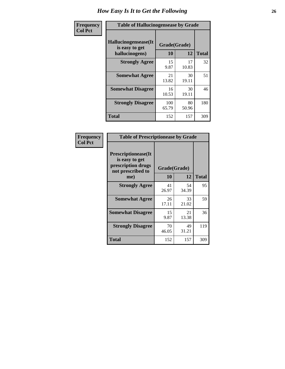| <b>Frequency</b> | <b>Table of Hallucinogensease by Grade</b>               |                    |              |     |  |  |  |  |  |  |
|------------------|----------------------------------------------------------|--------------------|--------------|-----|--|--|--|--|--|--|
| <b>Col Pct</b>   | Hallucinogensease(It<br>is easy to get<br>hallucinogens) | Grade(Grade)<br>10 | <b>Total</b> |     |  |  |  |  |  |  |
|                  | <b>Strongly Agree</b>                                    | 15<br>9.87         | 17<br>10.83  | 32  |  |  |  |  |  |  |
|                  | <b>Somewhat Agree</b>                                    | 21<br>13.82        | 30<br>19.11  | 51  |  |  |  |  |  |  |
|                  | <b>Somewhat Disagree</b>                                 | 16<br>10.53        | 30<br>19.11  | 46  |  |  |  |  |  |  |
|                  | <b>Strongly Disagree</b>                                 | 100<br>65.79       | 80<br>50.96  | 180 |  |  |  |  |  |  |
|                  | <b>Total</b>                                             | 152                | 157          | 309 |  |  |  |  |  |  |

| Frequency<br>  Col Pct |
|------------------------|

| <b>Table of Prescriptionease by Grade</b>                                                |              |             |              |  |  |  |  |  |  |  |
|------------------------------------------------------------------------------------------|--------------|-------------|--------------|--|--|--|--|--|--|--|
| <b>Prescriptionease</b> (It<br>is easy to get<br>prescription drugs<br>not prescribed to | Grade(Grade) |             |              |  |  |  |  |  |  |  |
| me)                                                                                      | 10           | 12          | <b>Total</b> |  |  |  |  |  |  |  |
| <b>Strongly Agree</b>                                                                    | 41<br>26.97  | 54<br>34.39 | 95           |  |  |  |  |  |  |  |
| <b>Somewhat Agree</b>                                                                    | 26<br>17.11  | 33<br>21.02 | 59           |  |  |  |  |  |  |  |
| <b>Somewhat Disagree</b>                                                                 | 15<br>9.87   | 21<br>13.38 | 36           |  |  |  |  |  |  |  |
| <b>Strongly Disagree</b>                                                                 | 70<br>46.05  | 49<br>31.21 | 119          |  |  |  |  |  |  |  |
| Total                                                                                    | 152          | 157         | 309          |  |  |  |  |  |  |  |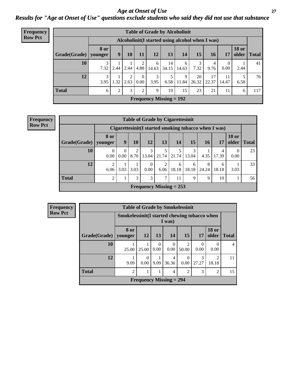*Age at Onset of Use* **27** *Results for "Age at Onset of Use" questions exclude students who said they did not use that substance*

| <b>Frequency</b> | <b>Table of Grade by Alcoholinit</b>             |             |                |           |                |            |                           |            |             |             |                  |                       |              |  |
|------------------|--------------------------------------------------|-------------|----------------|-----------|----------------|------------|---------------------------|------------|-------------|-------------|------------------|-----------------------|--------------|--|
| <b>Row Pct</b>   | Alcoholinit (I started using alcohol when I was) |             |                |           |                |            |                           |            |             |             |                  |                       |              |  |
|                  | $Grade(Grade)$ younger                           | <b>8 or</b> | 9              | <b>10</b> | 11             | 12         | 13                        | 14         | 15          | <b>16</b>   | 17               | <b>18 or</b><br>older | <b>Total</b> |  |
|                  | 10                                               | 7.32        | 2.44           | 2.44      | 4.88           | 6<br>14.63 | 14<br>34.15               | 6<br>14.63 | 3<br>7.32   | 4<br>9.76   | $\theta$<br>0.00 | 2.44                  | 41           |  |
|                  | 12                                               | 3<br>3.95   | 1.32           | 2<br>2.63 | 0<br>0.00      | 3<br>3.95  | 5<br>6.58                 | 9<br>11.84 | 20<br>26.32 | 17<br>22.37 | 11<br>14.47      | 6.58                  | 76           |  |
|                  | <b>Total</b>                                     | 6           | $\overline{2}$ | 3         | $\overline{2}$ | 9          | 19                        | 15         | 23          | 21          | 11               | 6                     | 117          |  |
|                  |                                                  |             |                |           |                |            | Frequency Missing $= 192$ |            |             |             |                  |                       |              |  |

| <b>Frequency</b> |  |
|------------------|--|
| <b>Row Pct</b>   |  |

| <b>Table of Grade by Cigarettesinit</b> |                                                       |                  |           |                  |                           |            |            |            |            |                       |              |  |
|-----------------------------------------|-------------------------------------------------------|------------------|-----------|------------------|---------------------------|------------|------------|------------|------------|-----------------------|--------------|--|
|                                         | Cigarettesinit (I started smoking tobacco when I was) |                  |           |                  |                           |            |            |            |            |                       |              |  |
| Grade(Grade)   younger                  | <b>8 or</b>                                           | 9                | <b>10</b> | 12               | 13                        | 14         | <b>15</b>  | <b>16</b>  | 17         | <b>18 or</b><br>older | <b>Total</b> |  |
| 10                                      | 0<br>0.00                                             | $\Omega$<br>0.00 | റ<br>8.70 | 3<br>13.04       | 5<br>21.74                | 21.74      | 3<br>13.04 | 4.35       | 4<br>17.39 | $\theta$<br>0.00      | 23           |  |
| 12                                      | $\overline{2}$<br>6.06                                | 3.03             | 3.03      | $\Omega$<br>0.00 | 2<br>6.06                 | 6<br>18.18 | 6<br>18.18 | 8<br>24.24 | 6<br>18.18 | 3.03                  | 33           |  |
| <b>Total</b>                            | $\overline{2}$                                        |                  | 3         | 3                | 7                         | 11         | 9          | 9          | 10         |                       | 56           |  |
|                                         |                                                       |                  |           |                  | Frequency Missing $= 253$ |            |            |            |            |                       |              |  |

| <b>Frequency</b> | <b>Table of Grade by Smokelessinit</b> |                                               |           |                  |                           |                                      |                  |                         |                |  |  |  |  |  |
|------------------|----------------------------------------|-----------------------------------------------|-----------|------------------|---------------------------|--------------------------------------|------------------|-------------------------|----------------|--|--|--|--|--|
| <b>Row Pct</b>   |                                        | Smokelessinit (I started chewing tobacco when |           |                  | I was)                    |                                      |                  |                         |                |  |  |  |  |  |
|                  | Grade(Grade)                           | 8 or<br>younger                               | <b>12</b> | <b>13</b>        | 14                        | 15                                   | <b>17</b>        | <b>18 or</b><br>older   | <b>Total</b>   |  |  |  |  |  |
|                  | 10                                     | 25.00                                         | 25.00     | $\Omega$<br>0.00 | $\Omega$<br>0.00          | $\mathcal{D}_{\mathcal{A}}$<br>50.00 | $\Omega$<br>0.00 | 0<br>0.00               | $\overline{4}$ |  |  |  |  |  |
|                  | 12                                     | 9.09                                          | 0.00      | 9.09             | 4<br>36.36                | 0.00                                 | 3<br>27.27       | $\mathfrak{D}$<br>18.18 | 11             |  |  |  |  |  |
|                  | <b>Total</b>                           | 2                                             | 1         | 1                | $\overline{4}$            | $\mathfrak{D}$                       | 3                | 2                       | 15             |  |  |  |  |  |
|                  |                                        |                                               |           |                  | Frequency Missing $= 294$ |                                      |                  |                         |                |  |  |  |  |  |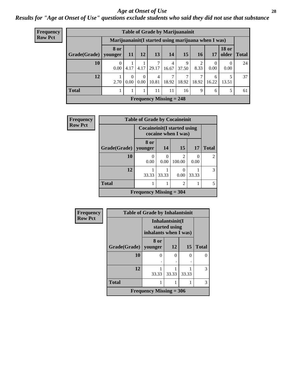#### *Age at Onset of Use* **28**

*Results for "Age at Onset of Use" questions exclude students who said they did not use that substance*

| Frequency      | <b>Table of Grade by Marijuanainit</b> |                  |           |      |                         |                           |                                                      |                 |                  |                  |               |
|----------------|----------------------------------------|------------------|-----------|------|-------------------------|---------------------------|------------------------------------------------------|-----------------|------------------|------------------|---------------|
| <b>Row Pct</b> |                                        |                  |           |      |                         |                           | Marijuanainit (I started using marijuana when I was) |                 |                  |                  |               |
|                | Grade(Grade)                           | 8 or<br>younger  | -11       | 12   | 13                      | 14                        | 15                                                   | 16 <sup>1</sup> | 17               | <b>18 or</b>     | older   Total |
|                | <b>10</b>                              | $\theta$<br>0.00 | 4.17      | 4.17 | 29.17                   | 4<br>16.67                | 9<br>37.50                                           | 2<br>8.33       | $\Omega$<br>0.00 | $\Omega$<br>0.00 | 24            |
|                | 12                                     | 2.70             | 0<br>0.00 | 0.00 | $\overline{4}$<br>10.81 | 7<br>18.92                | 18.92                                                | 7<br>18.92      | 6<br>16.22       | 5<br>13.51       | 37            |
|                | <b>Total</b>                           |                  |           |      | 11                      | 11                        | 16                                                   | 9               | 6                | 5                | 61            |
|                |                                        |                  |           |      |                         | Frequency Missing $= 248$ |                                                      |                 |                  |                  |               |

| Frequency      | <b>Table of Grade by Cocaineinit</b> |                                                            |                  |                                       |       |                             |  |
|----------------|--------------------------------------|------------------------------------------------------------|------------------|---------------------------------------|-------|-----------------------------|--|
| <b>Row Pct</b> |                                      | <b>Cocaineinit</b> (I started using<br>cocaine when I was) |                  |                                       |       |                             |  |
|                | Grade(Grade)                         | 8 or<br>younger                                            | 14               | 15                                    | 17    | <b>Total</b>                |  |
|                | 10                                   | 0.00                                                       | $\Omega$<br>0.00 | $\mathcal{D}_{\mathcal{L}}$<br>100.00 | 0.00  | $\mathcal{D}_{\mathcal{A}}$ |  |
|                | 12                                   | 33.33                                                      | 33.33            | $\mathbf{\Omega}$<br>0.00             | 33.33 | 3                           |  |
|                | <b>Total</b>                         |                                                            |                  | $\overline{c}$                        |       |                             |  |
|                |                                      | Frequency Missing $=$ 304                                  |                  |                                       |       |                             |  |

| Frequency      | <b>Table of Grade by Inhalantsinit</b> |                       |                                  |       |              |  |  |  |
|----------------|----------------------------------------|-----------------------|----------------------------------|-------|--------------|--|--|--|
| <b>Row Pct</b> |                                        | inhalants when I was) | Inhalantsinit(I<br>started using |       |              |  |  |  |
|                | Grade(Grade)   younger                 | 8 or                  | <b>12</b>                        | 15    | <b>Total</b> |  |  |  |
|                | 10                                     |                       | 0                                | 0     | ∩            |  |  |  |
|                | 12                                     | 33.33                 | 33.33                            | 33.33 | 3            |  |  |  |
|                | <b>Total</b>                           |                       |                                  |       | 3            |  |  |  |
|                | <b>Frequency Missing = 306</b>         |                       |                                  |       |              |  |  |  |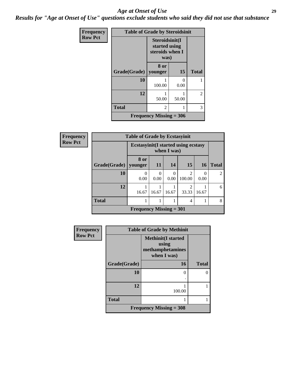#### *Age at Onset of Use* **29**

*Results for "Age at Onset of Use" questions exclude students who said they did not use that substance*

| Frequency      | <b>Table of Grade by Steroidsinit</b> |                 |                                                            |                |  |  |
|----------------|---------------------------------------|-----------------|------------------------------------------------------------|----------------|--|--|
| <b>Row Pct</b> |                                       |                 | Steroidsinit(I<br>started using<br>steroids when I<br>was) |                |  |  |
|                | Grade(Grade)                          | 8 or<br>younger | <b>15</b>                                                  | <b>Total</b>   |  |  |
|                | 10                                    | 100.00          | 0.00                                                       |                |  |  |
|                | 12                                    | 50.00           | 50.00                                                      | $\overline{c}$ |  |  |
|                | <b>Total</b>                          | 2               |                                                            | 3              |  |  |
|                | Frequency Missing $=$ 306             |                 |                                                            |                |  |  |

| <b>Frequency</b> |              | <b>Table of Grade by Ecstasyinit</b>        |                  |               |                          |           |                |  |  |
|------------------|--------------|---------------------------------------------|------------------|---------------|--------------------------|-----------|----------------|--|--|
| <b>Row Pct</b>   |              | <b>Ecstasyinit</b> (I started using ecstasy |                  | when $I$ was) |                          |           |                |  |  |
|                  | Grade(Grade) | 8 or<br>younger                             | <b>11</b>        | 14            | 15                       | <b>16</b> | <b>Total</b>   |  |  |
|                  | 10           | 0<br>0.00                                   | $\Omega$<br>0.00 | 0<br>0.00     | $\mathfrak{D}$<br>100.00 | 0<br>0.00 | $\overline{2}$ |  |  |
|                  | 12           | 16.67                                       | 16.67            | 16.67         | $\mathfrak{D}$<br>33.33  | 16.67     | 6              |  |  |
|                  | <b>Total</b> |                                             |                  |               | 4                        |           | 8              |  |  |
|                  |              | Frequency Missing $= 301$                   |                  |               |                          |           |                |  |  |

| <b>Frequency</b> | <b>Table of Grade by Methinit</b> |                                                                        |              |  |  |  |  |  |
|------------------|-----------------------------------|------------------------------------------------------------------------|--------------|--|--|--|--|--|
| <b>Row Pct</b>   |                                   | <b>Methinit</b> (I started<br>using<br>methamphetamines<br>when I was) |              |  |  |  |  |  |
|                  | Grade(Grade)                      | 16                                                                     | <b>Total</b> |  |  |  |  |  |
|                  | 10                                | $\Omega$                                                               | $\Omega$     |  |  |  |  |  |
|                  | 12                                | 100.00                                                                 |              |  |  |  |  |  |
|                  | <b>Total</b>                      |                                                                        |              |  |  |  |  |  |
|                  |                                   | Frequency Missing $=$ 308                                              |              |  |  |  |  |  |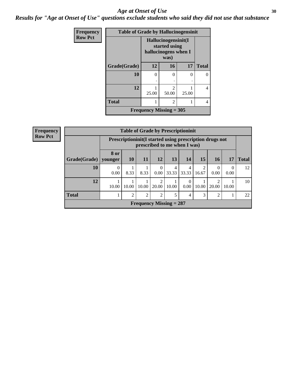#### Age at Onset of Use **30**

*Results for "Age at Onset of Use" questions exclude students who said they did not use that substance*

| Frequency      | <b>Table of Grade by Hallucinogensinit</b> |                                                              |                         |       |              |  |  |  |
|----------------|--------------------------------------------|--------------------------------------------------------------|-------------------------|-------|--------------|--|--|--|
| <b>Row Pct</b> |                                            | Hallucinogensinit(I<br>started using<br>hallucinogens when I |                         |       |              |  |  |  |
|                | Grade(Grade)                               | 12                                                           | 16                      | 17    | <b>Total</b> |  |  |  |
|                | 10                                         | $\theta$<br>٠                                                | 0<br>٠                  | 0     | 0            |  |  |  |
|                | 12                                         | 25.00                                                        | $\mathfrak{D}$<br>50.00 | 25.00 | 4            |  |  |  |
|                | <b>Total</b>                               |                                                              | 2                       |       | 4            |  |  |  |
|                | Frequency Missing $=$ 305                  |                                                              |                         |       |              |  |  |  |

| <b>Frequency</b> |              |                  |                                                                                            |                | <b>Table of Grade by Prescriptioninit</b> |            |            |                         |                  |                  |              |
|------------------|--------------|------------------|--------------------------------------------------------------------------------------------|----------------|-------------------------------------------|------------|------------|-------------------------|------------------|------------------|--------------|
| <b>Row Pct</b>   |              |                  | Prescription in it (I started using prescription drugs not<br>prescribed to me when I was) |                |                                           |            |            |                         |                  |                  |              |
|                  | Grade(Grade) | 8 or<br>vounger  | <b>10</b>                                                                                  | 11             | 12                                        | 13         | 14         | 15                      | 16               | 17               | <b>Total</b> |
|                  | 10           | $\theta$<br>0.00 | 8.33                                                                                       | 8.33           | $\Omega$<br>0.00                          | 4<br>33.33 | 4<br>33.33 | $\overline{2}$<br>16.67 | $\Omega$<br>0.00 | $\Omega$<br>0.00 | 12           |
|                  | 12           | 10.00            | 10.00                                                                                      | 10.00          | 20.00                                     | 10.00      | 0.00       | 10.00                   | ∍<br>20.00       | 10.00            | 10           |
|                  | <b>Total</b> |                  | 2                                                                                          | $\overline{2}$ | 2                                         | 5          | 4          | 3                       | 2                |                  | 22           |
|                  |              |                  |                                                                                            |                | Frequency Missing $= 287$                 |            |            |                         |                  |                  |              |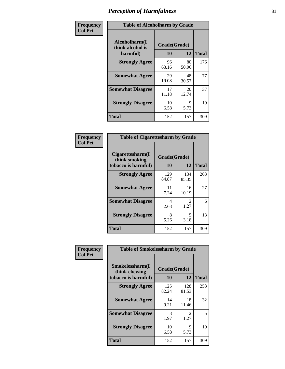| Frequency      | <b>Table of Alcoholharm by Grade</b>          |                    |             |              |  |  |  |
|----------------|-----------------------------------------------|--------------------|-------------|--------------|--|--|--|
| <b>Col Pct</b> | Alcoholharm(I<br>think alcohol is<br>harmful) | Grade(Grade)<br>10 | 12          | <b>Total</b> |  |  |  |
|                | <b>Strongly Agree</b>                         | 96<br>63.16        | 80<br>50.96 | 176          |  |  |  |
|                | <b>Somewhat Agree</b>                         | 29<br>19.08        | 48<br>30.57 | 77           |  |  |  |
|                | <b>Somewhat Disagree</b>                      | 17<br>11.18        | 20<br>12.74 | 37           |  |  |  |
|                | <b>Strongly Disagree</b>                      | 10<br>6.58         | 9<br>5.73   | 19           |  |  |  |
|                | <b>Total</b>                                  | 152                | 157         | 309          |  |  |  |

|                                                          | <b>Table of Cigarettesharm by Grade</b> |                        |              |  |  |  |  |
|----------------------------------------------------------|-----------------------------------------|------------------------|--------------|--|--|--|--|
| Cigarettesharm(I<br>think smoking<br>tobacco is harmful) | Grade(Grade)<br>10                      | 12                     | <b>Total</b> |  |  |  |  |
| <b>Strongly Agree</b>                                    | 129<br>84.87                            | 134<br>85.35           | 263          |  |  |  |  |
| <b>Somewhat Agree</b>                                    | 11<br>7.24                              | 16<br>10.19            | 27           |  |  |  |  |
| <b>Somewhat Disagree</b>                                 | 4<br>2.63                               | $\mathfrak{D}$<br>1.27 | 6            |  |  |  |  |
| <b>Strongly Disagree</b>                                 | 8<br>5.26                               | 5<br>3.18              | 13           |  |  |  |  |
| <b>Total</b>                                             | 152                                     | 157                    | 309          |  |  |  |  |

| Frequency      |                                                         | <b>Table of Smokelessharm by Grade</b> |                        |              |  |  |  |  |
|----------------|---------------------------------------------------------|----------------------------------------|------------------------|--------------|--|--|--|--|
| <b>Col Pct</b> | Smokelessharm(I<br>think chewing<br>tobacco is harmful) | Grade(Grade)<br>10                     | 12                     | <b>Total</b> |  |  |  |  |
|                | <b>Strongly Agree</b>                                   | 125<br>82.24                           | 128<br>81.53           | 253          |  |  |  |  |
|                | <b>Somewhat Agree</b>                                   | 14<br>9.21                             | 18<br>11.46            | 32           |  |  |  |  |
|                | <b>Somewhat Disagree</b>                                | 3<br>1.97                              | $\mathfrak{D}$<br>1.27 | 5            |  |  |  |  |
|                | <b>Strongly Disagree</b>                                | 10<br>6.58                             | 9<br>5.73              | 19           |  |  |  |  |
|                | <b>Total</b>                                            | 152                                    | 157                    | 309          |  |  |  |  |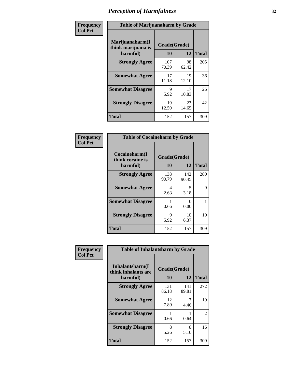| Frequency      | <b>Table of Marijuanaharm by Grade</b>            |                    |             |              |  |  |  |
|----------------|---------------------------------------------------|--------------------|-------------|--------------|--|--|--|
| <b>Col Pct</b> | Marijuanaharm(I<br>think marijuana is<br>harmful) | Grade(Grade)<br>10 | 12          | <b>Total</b> |  |  |  |
|                | <b>Strongly Agree</b>                             | 107<br>70.39       | 98<br>62.42 | 205          |  |  |  |
|                | <b>Somewhat Agree</b>                             | 17<br>11.18        | 19<br>12.10 | 36           |  |  |  |
|                | <b>Somewhat Disagree</b>                          | 9<br>5.92          | 17<br>10.83 | 26           |  |  |  |
|                | <b>Strongly Disagree</b>                          | 19<br>12.50        | 23<br>14.65 | 42           |  |  |  |
|                | <b>Total</b>                                      | 152                | 157         | 309          |  |  |  |

| <b>Table of Cocaineharm by Grade</b>          |                    |              |              |  |  |
|-----------------------------------------------|--------------------|--------------|--------------|--|--|
| Cocaineharm(I<br>think cocaine is<br>harmful) | Grade(Grade)<br>10 | 12           | <b>Total</b> |  |  |
| <b>Strongly Agree</b>                         | 138<br>90.79       | 142<br>90.45 | 280          |  |  |
| <b>Somewhat Agree</b>                         | 4<br>2.63          | 5<br>3.18    | 9            |  |  |
| <b>Somewhat Disagree</b>                      | 1<br>0.66          | 0<br>0.00    |              |  |  |
| <b>Strongly Disagree</b>                      | 9<br>5.92          | 10<br>6.37   | 19           |  |  |
| <b>Total</b>                                  | 152                | 157          | 309          |  |  |

| Frequency      | <b>Table of Inhalantsharm by Grade</b>             |                           |              |              |
|----------------|----------------------------------------------------|---------------------------|--------------|--------------|
| <b>Col Pct</b> | Inhalantsharm(I<br>think inhalants are<br>harmful) | Grade(Grade)<br><b>10</b> | 12           | <b>Total</b> |
|                | <b>Strongly Agree</b>                              | 131<br>86.18              | 141<br>89.81 | 272          |
|                | <b>Somewhat Agree</b>                              | 12<br>7.89                | 4.46         | 19           |
|                | <b>Somewhat Disagree</b>                           | 0.66                      | 0.64         | 2            |
|                | <b>Strongly Disagree</b>                           | 8<br>5.26                 | 8<br>5.10    | 16           |
|                | Total                                              | 152                       | 157          | 309          |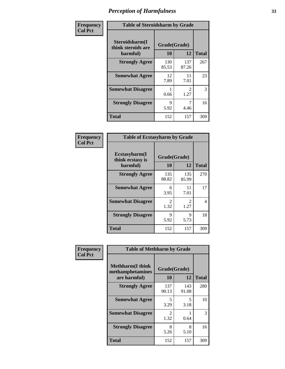| Frequency      | <b>Table of Steroidsharm by Grade</b>            |                    |                        |              |
|----------------|--------------------------------------------------|--------------------|------------------------|--------------|
| <b>Col Pct</b> | Steroidsharm(I<br>think steroids are<br>harmful) | Grade(Grade)<br>10 | 12                     | <b>Total</b> |
|                | <b>Strongly Agree</b>                            | 130<br>85.53       | 137<br>87.26           | 267          |
|                | <b>Somewhat Agree</b>                            | 12<br>7.89         | 11<br>7.01             | 23           |
|                | <b>Somewhat Disagree</b>                         | 0.66               | $\mathfrak{D}$<br>1.27 | 3            |
|                | <b>Strongly Disagree</b>                         | 9<br>5.92          | 4.46                   | 16           |
|                | <b>Total</b>                                     | 152                | 157                    | 309          |

| <b>Table of Ecstasyharm by Grade</b>          |                    |                        |     |  |  |
|-----------------------------------------------|--------------------|------------------------|-----|--|--|
| Ecstasyharm(I<br>think ecstasy is<br>harmful) | Grade(Grade)<br>10 | <b>Total</b>           |     |  |  |
| <b>Strongly Agree</b>                         | 135<br>88.82       | 135<br>85.99           | 270 |  |  |
| <b>Somewhat Agree</b>                         | 6<br>3.95          | 11<br>7.01             | 17  |  |  |
| <b>Somewhat Disagree</b>                      | 2<br>1.32          | $\mathfrak{D}$<br>1.27 | 4   |  |  |
| <b>Strongly Disagree</b>                      | 9<br>5.92          | 9<br>5.73              | 18  |  |  |
| Total                                         | 152                | 157                    | 309 |  |  |

| Frequency      | <b>Table of Methharm by Grade</b>                            |                           |              |              |
|----------------|--------------------------------------------------------------|---------------------------|--------------|--------------|
| <b>Col Pct</b> | <b>Methharm</b> (I think<br>methamphetamines<br>are harmful) | Grade(Grade)<br><b>10</b> | 12           | <b>Total</b> |
|                | <b>Strongly Agree</b>                                        | 137<br>90.13              | 143<br>91.08 | 280          |
|                | <b>Somewhat Agree</b>                                        | 5<br>3.29                 | 5<br>3.18    | 10           |
|                | <b>Somewhat Disagree</b>                                     | 2<br>1.32                 | 0.64         | 3            |
|                | <b>Strongly Disagree</b>                                     | 8<br>5.26                 | 8<br>5.10    | 16           |
|                | <b>Total</b>                                                 | 152                       | 157          | 309          |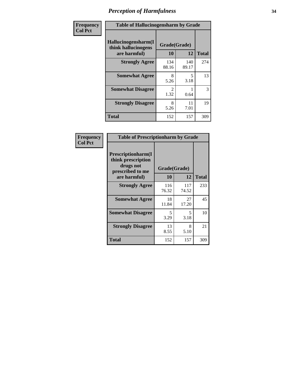| Frequency | <b>Table of Hallucinogensharm by Grade</b>                 |                    |              |              |
|-----------|------------------------------------------------------------|--------------------|--------------|--------------|
| Col Pct   | Hallucinogensharm(I<br>think hallucinogens<br>are harmful) | Grade(Grade)<br>10 | 12           | <b>Total</b> |
|           | <b>Strongly Agree</b>                                      | 134<br>88.16       | 140<br>89.17 | 274          |
|           | <b>Somewhat Agree</b>                                      | 8<br>5.26          | 5<br>3.18    | 13           |
|           | <b>Somewhat Disagree</b>                                   | 2<br>1.32          | 0.64         | 3            |
|           | <b>Strongly Disagree</b>                                   | 8<br>5.26          | 11<br>7.01   | 19           |
|           | <b>Total</b>                                               | 152                | 157          | 309          |

| <b>Table of Prescriptionharm by Grade</b>                                         |              |              |              |  |  |
|-----------------------------------------------------------------------------------|--------------|--------------|--------------|--|--|
| <b>Prescriptionharm</b> (I<br>think prescription<br>drugs not<br>prescribed to me | Grade(Grade) |              |              |  |  |
| are harmful)                                                                      | 10           | 12           | <b>Total</b> |  |  |
| <b>Strongly Agree</b>                                                             | 116<br>76.32 | 117<br>74.52 | 233          |  |  |
| <b>Somewhat Agree</b>                                                             | 18<br>11.84  | 27<br>17.20  | 45           |  |  |
| <b>Somewhat Disagree</b>                                                          | 5<br>3.29    | 5<br>3.18    | 10           |  |  |
| <b>Strongly Disagree</b>                                                          | 13<br>8.55   | 8<br>5.10    | 21           |  |  |
| Total                                                                             | 152          | 157          | 309          |  |  |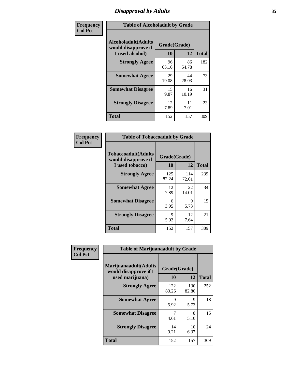# *Disapproval by Adults* **35**

| Frequency      | <b>Table of Alcoholadult by Grade</b>                                 |                    |             |              |  |
|----------------|-----------------------------------------------------------------------|--------------------|-------------|--------------|--|
| <b>Col Pct</b> | <b>Alcoholadult</b> (Adults<br>would disapprove if<br>I used alcohol) | Grade(Grade)<br>10 | 12          | <b>Total</b> |  |
|                | <b>Strongly Agree</b>                                                 | 96<br>63.16        | 86<br>54.78 | 182          |  |
|                | <b>Somewhat Agree</b>                                                 | 29<br>19.08        | 44<br>28.03 | 73           |  |
|                | <b>Somewhat Disagree</b>                                              | 15<br>9.87         | 16<br>10.19 | 31           |  |
|                | <b>Strongly Disagree</b>                                              | 12<br>7.89         | 11<br>7.01  | 23           |  |
|                | <b>Total</b>                                                          | 152                | 157         | 309          |  |

| <b>Table of Tobaccoadult by Grade</b>                                 |                    |              |              |  |  |
|-----------------------------------------------------------------------|--------------------|--------------|--------------|--|--|
| <b>Tobaccoadult</b> (Adults<br>would disapprove if<br>I used tobacco) | Grade(Grade)<br>10 | 12           | <b>Total</b> |  |  |
| <b>Strongly Agree</b>                                                 | 125<br>82.24       | 114<br>72.61 | 239          |  |  |
| <b>Somewhat Agree</b>                                                 | 12<br>7.89         | 22<br>14.01  | 34           |  |  |
| <b>Somewhat Disagree</b>                                              | 6<br>3.95          | 9<br>5.73    | 15           |  |  |
| <b>Strongly Disagree</b>                                              | 9<br>5.92          | 12<br>7.64   | 21           |  |  |
| <b>Total</b>                                                          | 152                | 157          | 309          |  |  |

| Frequency<br><b>Col Pct</b> | <b>Table of Marijuanaadult by Grade</b>                           |                    |              |              |  |
|-----------------------------|-------------------------------------------------------------------|--------------------|--------------|--------------|--|
|                             | Marijuanaadult(Adults<br>would disapprove if I<br>used marijuana) | Grade(Grade)<br>10 | 12           | <b>Total</b> |  |
|                             | <b>Strongly Agree</b>                                             | 122<br>80.26       | 130<br>82.80 | 252          |  |
|                             | <b>Somewhat Agree</b>                                             | 9<br>5.92          | 9<br>5.73    | 18           |  |
|                             | <b>Somewhat Disagree</b>                                          | 4.61               | 8<br>5.10    | 15           |  |
|                             | <b>Strongly Disagree</b>                                          | 14<br>9.21         | 10<br>6.37   | 24           |  |
|                             | <b>Total</b>                                                      | 152                | 157          | 309          |  |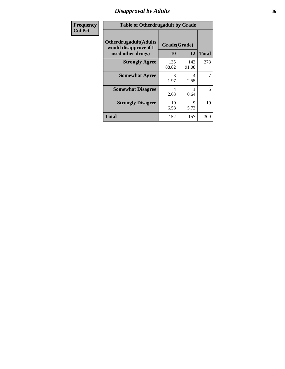### *Disapproval by Adults* **36**

| <b>Frequency</b> | <b>Table of Otherdrugadult by Grade</b>                |              |              |              |  |
|------------------|--------------------------------------------------------|--------------|--------------|--------------|--|
| <b>Col Pct</b>   | <b>Otherdrugadult</b> (Adults<br>would disapprove if I | Grade(Grade) |              |              |  |
|                  | used other drugs)                                      | 10           | 12           | <b>Total</b> |  |
|                  | <b>Strongly Agree</b>                                  | 135<br>88.82 | 143<br>91.08 | 278          |  |
|                  | <b>Somewhat Agree</b>                                  | 3<br>1.97    | 4<br>2.55    | 7            |  |
|                  | <b>Somewhat Disagree</b>                               | 4<br>2.63    | 0.64         | 5            |  |
|                  | <b>Strongly Disagree</b>                               | 10<br>6.58   | 9<br>5.73    | 19           |  |
|                  | <b>Total</b>                                           | 152          | 157          | 309          |  |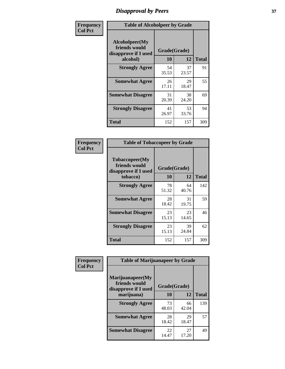# *Disapproval by Peers* **37**

| Frequency      | <b>Table of Alcoholpeer by Grade</b>                    |              |             |              |  |
|----------------|---------------------------------------------------------|--------------|-------------|--------------|--|
| <b>Col Pct</b> | Alcoholpeer(My<br>friends would<br>disapprove if I used | Grade(Grade) |             |              |  |
|                | alcohol)                                                | 10           | 12          | <b>Total</b> |  |
|                | <b>Strongly Agree</b>                                   | 54<br>35.53  | 37<br>23.57 | 91           |  |
|                | <b>Somewhat Agree</b>                                   | 26<br>17.11  | 29<br>18.47 | 55           |  |
|                | <b>Somewhat Disagree</b>                                | 31<br>20.39  | 38<br>24.20 | 69           |  |
|                | <b>Strongly Disagree</b>                                | 41<br>26.97  | 53<br>33.76 | 94           |  |
|                | Total                                                   | 152          | 157         | 309          |  |

| Frequency      | <b>Table of Tobaccopeer by Grade</b>                                |                    |             |              |  |
|----------------|---------------------------------------------------------------------|--------------------|-------------|--------------|--|
| <b>Col Pct</b> | Tobaccopeer(My<br>friends would<br>disapprove if I used<br>tobacco) | Grade(Grade)<br>10 | 12          | <b>Total</b> |  |
|                | <b>Strongly Agree</b>                                               | 78<br>51.32        | 64<br>40.76 | 142          |  |
|                | <b>Somewhat Agree</b>                                               | 28<br>18.42        | 31<br>19.75 | 59           |  |
|                | <b>Somewhat Disagree</b>                                            | 23<br>15.13        | 23<br>14.65 | 46           |  |
|                | <b>Strongly Disagree</b>                                            | 23<br>15.13        | 39<br>24.84 | 62           |  |
|                | <b>Total</b>                                                        | 152                | 157         | 309          |  |

| Frequency<br><b>Col Pct</b> | <b>Table of Marijuanapeer by Grade</b> |              |             |              |
|-----------------------------|----------------------------------------|--------------|-------------|--------------|
|                             | Marijuanapeer(My<br>friends would      | Grade(Grade) |             |              |
|                             | disapprove if I used<br>marijuana)     | 10           | 12          | <b>Total</b> |
|                             | <b>Strongly Agree</b>                  | 73<br>48.03  | 66<br>42.04 | 139          |
|                             | <b>Somewhat Agree</b>                  | 28<br>18.42  | 29<br>18.47 | 57           |
|                             | <b>Somewhat Disagree</b>               | 22<br>14.47  | 27<br>17.20 | 49           |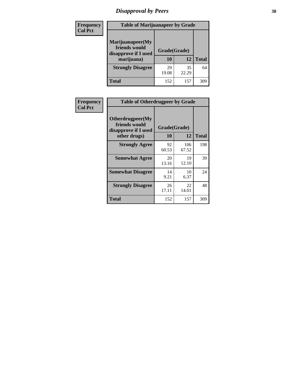# *Disapproval by Peers* **38**

| Frequency<br><b>Col Pct</b> | <b>Table of Marijuanapeer by Grade</b>                                  |                          |             |              |
|-----------------------------|-------------------------------------------------------------------------|--------------------------|-------------|--------------|
|                             | Marijuanapeer(My<br>friends would<br>disapprove if I used<br>marijuana) | Grade(Grade)<br>10<br>12 |             | <b>Total</b> |
|                             | <b>Strongly Disagree</b>                                                | 29<br>19.08              | 35<br>22.29 | 64           |
|                             | Total                                                                   | 152                      | 157         | 309          |

| Frequency      | <b>Table of Otherdrugpeer by Grade</b>                                    |                    |              |              |
|----------------|---------------------------------------------------------------------------|--------------------|--------------|--------------|
| <b>Col Pct</b> | Otherdrugpeer(My<br>friends would<br>disapprove if I used<br>other drugs) | Grade(Grade)<br>10 | 12           | <b>Total</b> |
|                | <b>Strongly Agree</b>                                                     | 92<br>60.53        | 106<br>67.52 | 198          |
|                | <b>Somewhat Agree</b>                                                     | 20<br>13.16        | 19<br>12.10  | 39           |
|                | <b>Somewhat Disagree</b>                                                  | 14<br>9.21         | 10<br>6.37   | 24           |
|                | <b>Strongly Disagree</b>                                                  | 26<br>17.11        | 22<br>14.01  | 48           |
|                | <b>Total</b>                                                              | 152                | 157          | 309          |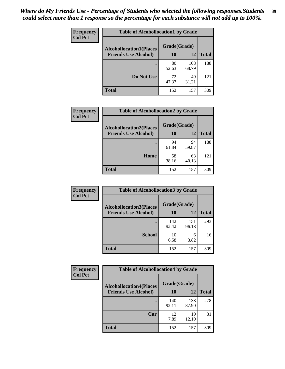| Frequency      | <b>Table of Alcohollocation1 by Grade</b> |              |              |              |
|----------------|-------------------------------------------|--------------|--------------|--------------|
| <b>Col Pct</b> | <b>Alcohollocation1(Places</b>            | Grade(Grade) |              |              |
|                | <b>Friends Use Alcohol)</b>               | 10           | 12           | <b>Total</b> |
|                |                                           | 80<br>52.63  | 108<br>68.79 | 188          |
|                | Do Not Use                                | 72<br>47.37  | 49<br>31.21  | 121          |
|                | <b>Total</b>                              | 152          | 157          | 309          |

| Frequency      | <b>Table of Alcohollocation2 by Grade</b>                     |                    |             |              |
|----------------|---------------------------------------------------------------|--------------------|-------------|--------------|
| <b>Col Pct</b> | <b>Alcohollocation2(Places</b><br><b>Friends Use Alcohol)</b> | Grade(Grade)<br>10 | <b>12</b>   | <b>Total</b> |
|                |                                                               | 94<br>61.84        | 94<br>59.87 | 188          |
|                | Home                                                          | 58<br>38.16        | 63<br>40.13 | 121          |
|                | <b>Total</b>                                                  | 152                | 157         | 309          |

| Frequency<br><b>Col Pct</b> | <b>Table of Alcohollocation 3 by Grade</b>                    |                    |              |              |
|-----------------------------|---------------------------------------------------------------|--------------------|--------------|--------------|
|                             | <b>Alcohollocation3(Places</b><br><b>Friends Use Alcohol)</b> | Grade(Grade)<br>10 | 12           | <b>Total</b> |
|                             |                                                               | 142<br>93.42       | 151<br>96.18 | 293          |
|                             | <b>School</b>                                                 | 10<br>6.58         | 6<br>3.82    | 16           |
|                             | <b>Total</b>                                                  | 152                | 157          | 309          |

| Frequency      | <b>Table of Alcohollocation4 by Grade</b> |              |              |              |  |
|----------------|-------------------------------------------|--------------|--------------|--------------|--|
| <b>Col Pct</b> | <b>Alcohollocation4(Places</b>            | Grade(Grade) |              |              |  |
|                | <b>Friends Use Alcohol)</b>               | 10           | 12           | <b>Total</b> |  |
|                |                                           | 140<br>92.11 | 138<br>87.90 | 278          |  |
|                | Car                                       | 12<br>7.89   | 19<br>12.10  | 31           |  |
|                | <b>Total</b>                              | 152          | 157          | 309          |  |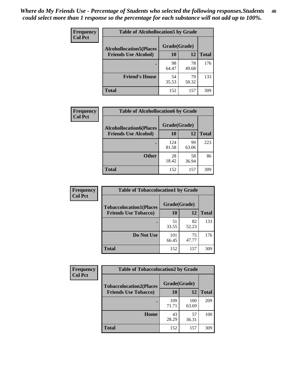| Frequency<br><b>Col Pct</b> | <b>Table of Alcohollocation5 by Grade</b><br>Grade(Grade)<br><b>Alcohollocation5(Places</b> |             |             |              |
|-----------------------------|---------------------------------------------------------------------------------------------|-------------|-------------|--------------|
|                             |                                                                                             |             |             |              |
|                             | <b>Friends Use Alcohol)</b>                                                                 | 10          | 12          | <b>Total</b> |
|                             |                                                                                             | 98<br>64.47 | 78<br>49.68 | 176          |
|                             | <b>Friend's House</b>                                                                       | 54<br>35.53 | 79<br>50.32 | 133          |
|                             | <b>Total</b>                                                                                | 152         | 157         | 309          |

| <b>Frequency</b> | <b>Table of Alcohollocation6 by Grade</b>                     |                    |             |              |
|------------------|---------------------------------------------------------------|--------------------|-------------|--------------|
| <b>Col Pct</b>   | <b>Alcohollocation6(Places</b><br><b>Friends Use Alcohol)</b> | Grade(Grade)<br>10 | 12          | <b>Total</b> |
|                  |                                                               | 124<br>81.58       | 99<br>63.06 | 223          |
|                  | <b>Other</b>                                                  | 28<br>18.42        | 58<br>36.94 | 86           |
|                  | <b>Total</b>                                                  | 152                | 157         | 309          |

| Frequency      | <b>Table of Tobaccolocation1 by Grade</b> |              |             |              |
|----------------|-------------------------------------------|--------------|-------------|--------------|
| <b>Col Pct</b> | <b>Tobaccolocation1(Places</b>            | Grade(Grade) |             |              |
|                | <b>Friends Use Tobacco)</b>               | 10           | 12          | <b>Total</b> |
|                |                                           | 51<br>33.55  | 82<br>52.23 | 133          |
|                | Do Not Use                                | 101<br>66.45 | 75<br>47.77 | 176          |
|                | <b>Total</b>                              | 152          | 157         | 309          |

| Frequency      | <b>Table of Tobaccolocation2 by Grade</b> |              |              |              |  |  |
|----------------|-------------------------------------------|--------------|--------------|--------------|--|--|
| <b>Col Pct</b> | <b>Tobaccolocation2(Places</b>            | Grade(Grade) |              |              |  |  |
|                | <b>Friends Use Tobacco)</b>               | 10           | 12           | <b>Total</b> |  |  |
|                |                                           | 109<br>71.71 | 100<br>63.69 | 209          |  |  |
|                | Home                                      | 43<br>28.29  | 57<br>36.31  | 100          |  |  |
|                | <b>Total</b>                              | 152          | 157          | 309          |  |  |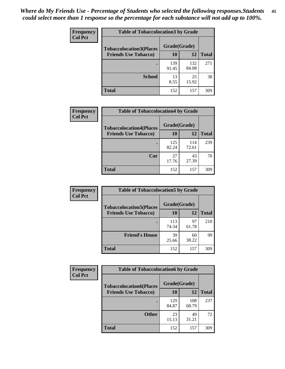| Frequency      | <b>Table of Tobaccolocation 3 by Grade</b> |              |              |              |
|----------------|--------------------------------------------|--------------|--------------|--------------|
| <b>Col Pct</b> | <b>Tobaccolocation3(Places</b>             | Grade(Grade) |              |              |
|                | <b>Friends Use Tobacco)</b>                | 10           | <b>12</b>    | <b>Total</b> |
|                |                                            | 139<br>91.45 | 132<br>84.08 | 271          |
|                | <b>School</b>                              | 13<br>8.55   | 25<br>15.92  | 38           |
|                | <b>Total</b>                               | 152          | 157          | 309          |

| Frequency<br><b>Col Pct</b> | <b>Table of Tobaccolocation4 by Grade</b> |              |              |              |
|-----------------------------|-------------------------------------------|--------------|--------------|--------------|
|                             | <b>Tobaccolocation4(Places</b>            | Grade(Grade) |              |              |
|                             | <b>Friends Use Tobacco)</b>               | 10           | 12           | <b>Total</b> |
|                             |                                           | 125<br>82.24 | 114<br>72.61 | 239          |
|                             | Car                                       | 27<br>17.76  | 43<br>27.39  | 70           |
|                             | <b>Total</b>                              | 152          | 157          | 309          |

| Frequency<br><b>Col Pct</b> | <b>Table of Tobaccolocation5 by Grade</b> |              |             |              |
|-----------------------------|-------------------------------------------|--------------|-------------|--------------|
|                             | <b>Tobaccolocation5(Places</b>            | Grade(Grade) |             |              |
|                             | <b>Friends Use Tobacco)</b>               | 10           | <b>12</b>   | <b>Total</b> |
|                             |                                           | 113<br>74.34 | 97<br>61.78 | 210          |
|                             | <b>Friend's House</b>                     | 39<br>25.66  | 60<br>38.22 | 99           |
|                             | <b>Total</b>                              | 152          | 157         | 309          |

| Frequency      | <b>Table of Tobaccolocation6 by Grade</b> |              |              |              |  |
|----------------|-------------------------------------------|--------------|--------------|--------------|--|
| <b>Col Pct</b> | <b>Tobaccolocation6(Places</b>            | Grade(Grade) |              |              |  |
|                | <b>Friends Use Tobacco)</b>               | 10           | 12           | <b>Total</b> |  |
|                |                                           | 129<br>84.87 | 108<br>68.79 | 237          |  |
|                | <b>Other</b>                              | 23<br>15.13  | 49<br>31.21  | 72           |  |
|                | <b>Total</b>                              | 152          | 157          | 309          |  |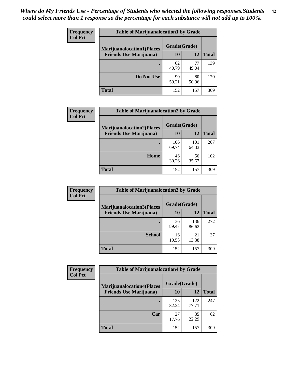| <b>Frequency</b> | <b>Table of Marijuanalocation1 by Grade</b> |              |             |              |
|------------------|---------------------------------------------|--------------|-------------|--------------|
| <b>Col Pct</b>   | <b>Marijuanalocation1(Places</b>            | Grade(Grade) |             |              |
|                  | <b>Friends Use Marijuana</b> )              | 10           | 12          | <b>Total</b> |
|                  | $\bullet$                                   | 62<br>40.79  | 77<br>49.04 | 139          |
|                  | Do Not Use                                  | 90<br>59.21  | 80<br>50.96 | 170          |
|                  | Total                                       | 152          | 157         | 309          |

| <b>Frequency</b> | <b>Table of Marijuanalocation2 by Grade</b>                        |                    |              |              |
|------------------|--------------------------------------------------------------------|--------------------|--------------|--------------|
| <b>Col Pct</b>   | <b>Marijuanalocation2(Places</b><br><b>Friends Use Marijuana</b> ) | Grade(Grade)<br>10 | 12           | <b>Total</b> |
|                  |                                                                    | 106<br>69.74       | 101<br>64.33 | 207          |
|                  | Home                                                               | 46<br>30.26        | 56<br>35.67  | 102          |
|                  | <b>Total</b>                                                       | 152                | 157          | 309          |

| Frequency      | <b>Table of Marijuanalocation3 by Grade</b> |                    |              |              |
|----------------|---------------------------------------------|--------------------|--------------|--------------|
| <b>Col Pct</b> | <b>Marijuanalocation3</b> (Places           | Grade(Grade)<br>10 | 12           |              |
|                | <b>Friends Use Marijuana</b> )              |                    |              | <b>Total</b> |
|                |                                             | 136<br>89.47       | 136<br>86.62 | 272          |
|                | <b>School</b>                               | 16<br>10.53        | 21<br>13.38  | 37           |
|                | <b>Total</b>                                | 152                | 157          | 309          |

| <b>Frequency</b> | <b>Table of Marijuanalocation4 by Grade</b> |              |              |              |  |
|------------------|---------------------------------------------|--------------|--------------|--------------|--|
| <b>Col Pct</b>   | <b>Marijuanalocation4(Places</b>            | Grade(Grade) |              |              |  |
|                  | <b>Friends Use Marijuana</b> )              | <b>10</b>    | 12           | <b>Total</b> |  |
|                  |                                             | 125<br>82.24 | 122<br>77.71 | 247          |  |
|                  | Car                                         | 27<br>17.76  | 35<br>22.29  | 62           |  |
|                  | <b>Total</b>                                | 152          | 157          | 309          |  |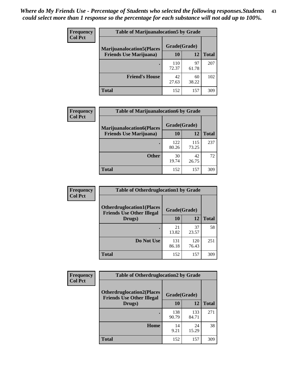| <b>Frequency</b> | <b>Table of Marijuanalocation5 by Grade</b> |              |             |              |
|------------------|---------------------------------------------|--------------|-------------|--------------|
| <b>Col Pct</b>   | <b>Marijuanalocation5</b> (Places           | Grade(Grade) |             |              |
|                  | <b>Friends Use Marijuana</b> )              | 10           | 12          | <b>Total</b> |
|                  |                                             | 110<br>72.37 | 97<br>61.78 | 207          |
|                  | <b>Friend's House</b>                       | 42<br>27.63  | 60<br>38.22 | 102          |
|                  | <b>Total</b>                                | 152          | 157         | 309          |

| <b>Frequency</b> | <b>Table of Marijuanalocation6 by Grade</b>                        |                    |              |              |
|------------------|--------------------------------------------------------------------|--------------------|--------------|--------------|
| <b>Col Pct</b>   | <b>Marijuanalocation6(Places</b><br><b>Friends Use Marijuana</b> ) | Grade(Grade)<br>10 | 12           | <b>Total</b> |
|                  |                                                                    | 122<br>80.26       | 115<br>73.25 | 237          |
|                  | <b>Other</b>                                                       | 30<br>19.74        | 42<br>26.75  | 72           |
|                  | <b>Total</b>                                                       | 152                | 157          | 309          |

| Frequency      | <b>Table of Otherdruglocation1 by Grade</b>                          |              |              |              |
|----------------|----------------------------------------------------------------------|--------------|--------------|--------------|
| <b>Col Pct</b> | <b>Otherdruglocation1(Places</b><br><b>Friends Use Other Illegal</b> | Grade(Grade) |              |              |
|                | Drugs)                                                               | 10           | 12           | <b>Total</b> |
|                |                                                                      | 21<br>13.82  | 37<br>23.57  | 58           |
|                | Do Not Use                                                           | 131<br>86.18 | 120<br>76.43 | 251          |
|                | <b>Total</b>                                                         | 152          | 157          | 309          |

| <b>Frequency</b> | <b>Table of Otherdruglocation2 by Grade</b>                          |              |              |              |
|------------------|----------------------------------------------------------------------|--------------|--------------|--------------|
| <b>Col Pct</b>   | <b>Otherdruglocation2(Places</b><br><b>Friends Use Other Illegal</b> | Grade(Grade) |              |              |
|                  | Drugs)                                                               | 10           | 12           | <b>Total</b> |
|                  |                                                                      | 138<br>90.79 | 133<br>84.71 | 271          |
|                  | Home                                                                 | 14<br>9.21   | 24<br>15.29  | 38           |
|                  | <b>Total</b>                                                         | 152          | 157          | 309          |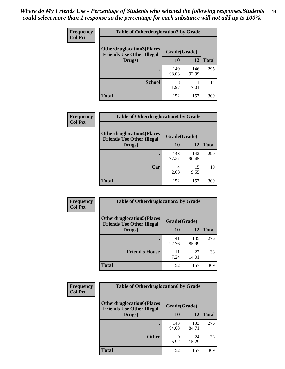| <b>Frequency</b> | <b>Table of Otherdruglocation 3 by Grade</b>                         |              |              |              |
|------------------|----------------------------------------------------------------------|--------------|--------------|--------------|
| <b>Col Pct</b>   | <b>Otherdruglocation3(Places</b><br><b>Friends Use Other Illegal</b> | Grade(Grade) |              |              |
|                  | Drugs)                                                               | <b>10</b>    | 12           | <b>Total</b> |
|                  |                                                                      | 149<br>98.03 | 146<br>92.99 | 295          |
|                  | <b>School</b>                                                        | 3<br>1.97    | 11<br>7.01   | 14           |
|                  | <b>Total</b>                                                         | 152          | 157          | 309          |

| <b>Frequency</b> | <b>Table of Otherdruglocation4 by Grade</b>                          |              |              |              |
|------------------|----------------------------------------------------------------------|--------------|--------------|--------------|
| <b>Col Pct</b>   | <b>Otherdruglocation4(Places</b><br><b>Friends Use Other Illegal</b> | Grade(Grade) |              |              |
|                  | Drugs)                                                               | 10           | 12           | <b>Total</b> |
|                  |                                                                      | 148<br>97.37 | 142<br>90.45 | 290          |
|                  | Car                                                                  | 2.63         | 15<br>9.55   | 19           |
|                  | <b>Total</b>                                                         | 152          | 157          | 309          |

| <b>Frequency</b> | <b>Table of Otherdruglocation5 by Grade</b>                          |              |              |              |
|------------------|----------------------------------------------------------------------|--------------|--------------|--------------|
| <b>Col Pct</b>   | <b>Otherdruglocation5(Places</b><br><b>Friends Use Other Illegal</b> | Grade(Grade) |              |              |
|                  | Drugs)                                                               | 10           | 12           | <b>Total</b> |
|                  |                                                                      | 141<br>92.76 | 135<br>85.99 | 276          |
|                  | <b>Friend's House</b>                                                | 11<br>7.24   | 22<br>14.01  | 33           |
|                  | <b>Total</b>                                                         | 152          | 157          | 309          |

| <b>Frequency</b> | <b>Table of Otherdruglocation6 by Grade</b> |              |              |              |  |
|------------------|---------------------------------------------|--------------|--------------|--------------|--|
| <b>Col Pct</b>   | Grade(Grade)                                |              |              |              |  |
|                  | <b>Friends Use Other Illegal</b><br>Drugs)  | 10           | 12           | <b>Total</b> |  |
|                  |                                             | 143<br>94.08 | 133<br>84.71 | 276          |  |
|                  | <b>Other</b>                                | 9<br>5.92    | 24<br>15.29  | 33           |  |
|                  | <b>Total</b>                                | 152          | 157          | 309          |  |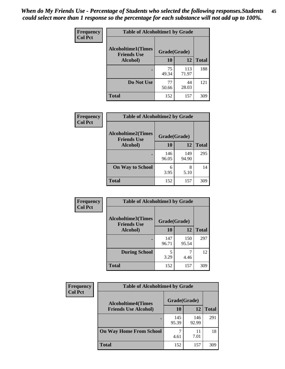| Frequency      | <b>Table of Alcoholtime1 by Grade</b>           |              |              |              |
|----------------|-------------------------------------------------|--------------|--------------|--------------|
| <b>Col Pct</b> | <b>Alcoholtime1(Times</b><br><b>Friends Use</b> | Grade(Grade) |              |              |
|                | Alcohol)                                        | 10           | 12           | <b>Total</b> |
|                |                                                 | 75<br>49.34  | 113<br>71.97 | 188          |
|                | Do Not Use                                      | 77<br>50.66  | 44<br>28.03  | 121          |
|                | <b>Total</b>                                    | 152          | 157          | 309          |

| Frequency<br><b>Col Pct</b> | <b>Table of Alcoholtime2 by Grade</b>           |              |              |              |
|-----------------------------|-------------------------------------------------|--------------|--------------|--------------|
|                             | <b>Alcoholtime2(Times</b><br><b>Friends Use</b> | Grade(Grade) |              |              |
|                             | Alcohol)                                        | 10           | 12           | <b>Total</b> |
|                             |                                                 | 146<br>96.05 | 149<br>94.90 | 295          |
|                             | <b>On Way to School</b>                         | 6<br>3.95    | 8<br>5.10    | 14           |
|                             | <b>Total</b>                                    | 152          | 157          | 309          |

| Frequency<br><b>Col Pct</b> | <b>Table of Alcoholtime3 by Grade</b>                           |              |              |              |
|-----------------------------|-----------------------------------------------------------------|--------------|--------------|--------------|
|                             | <b>Alcoholtime3(Times</b><br>Grade(Grade)<br><b>Friends Use</b> |              |              |              |
|                             | Alcohol)                                                        | 10           | 12           | <b>Total</b> |
|                             |                                                                 | 147<br>96.71 | 150<br>95.54 | 297          |
|                             | <b>During School</b>                                            | 5<br>3.29    | 4.46         | 12           |
|                             | Total                                                           | 152          | 157          | 309          |

| <b>Frequency</b> | <b>Table of Alcoholtime4 by Grade</b> |                                           |              |              |  |
|------------------|---------------------------------------|-------------------------------------------|--------------|--------------|--|
| <b>Col Pct</b>   |                                       | Grade(Grade)<br><b>Alcoholtime4(Times</b> |              |              |  |
|                  | <b>Friends Use Alcohol)</b>           | 10                                        | 12           | <b>Total</b> |  |
|                  |                                       | 145<br>95.39                              | 146<br>92.99 | 291          |  |
|                  | <b>On Way Home From School</b>        | 4.61                                      | 11<br>7.01   | 18           |  |
|                  | <b>Total</b>                          | 152                                       | 157          | 309          |  |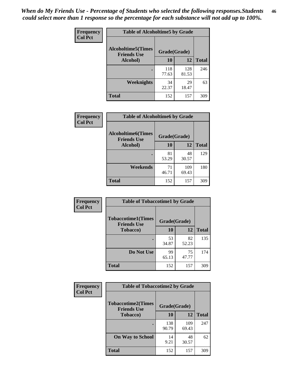*When do My Friends Use - Percentage of Students who selected the following responses.Students could select more than 1 response so the percentage for each substance will not add up to 100%.* **46**

| <b>Frequency</b> | <b>Table of Alcoholtime5 by Grade</b>           |              |              |              |
|------------------|-------------------------------------------------|--------------|--------------|--------------|
| <b>Col Pct</b>   | <b>Alcoholtime5(Times</b><br><b>Friends Use</b> | Grade(Grade) |              |              |
|                  | Alcohol)                                        | 10           | 12           | <b>Total</b> |
|                  |                                                 | 118<br>77.63 | 128<br>81.53 | 246          |
|                  | Weeknights                                      | 34<br>22.37  | 29<br>18.47  | 63           |
|                  | <b>Total</b>                                    | 152          | 157          | 309          |

| Frequency      | <b>Table of Alcoholtime6 by Grade</b>           |              |              |              |
|----------------|-------------------------------------------------|--------------|--------------|--------------|
| <b>Col Pct</b> | <b>Alcoholtime6(Times</b><br><b>Friends Use</b> | Grade(Grade) |              |              |
|                | Alcohol)                                        | 10           | 12           | <b>Total</b> |
|                |                                                 | 81<br>53.29  | 48<br>30.57  | 129          |
|                | Weekends                                        | 71<br>46.71  | 109<br>69.43 | 180          |
|                | <b>Total</b>                                    | 152          | 157          | 309          |

| Frequency<br><b>Col Pct</b> | <b>Table of Tobaccotime1 by Grade</b>           |              |             |              |
|-----------------------------|-------------------------------------------------|--------------|-------------|--------------|
|                             | <b>Tobaccotime1(Times</b><br><b>Friends Use</b> | Grade(Grade) |             |              |
|                             | <b>Tobacco</b> )                                | 10           | 12          | <b>Total</b> |
|                             |                                                 | 53<br>34.87  | 82<br>52.23 | 135          |
|                             | Do Not Use                                      | 99<br>65.13  | 75<br>47.77 | 174          |
|                             | <b>Total</b>                                    | 152          | 157         | 309          |

| <b>Frequency</b> | <b>Table of Tobaccotime2 by Grade</b>           |              |              |              |
|------------------|-------------------------------------------------|--------------|--------------|--------------|
| <b>Col Pct</b>   | <b>Tobaccotime2(Times</b><br><b>Friends Use</b> | Grade(Grade) |              |              |
|                  | <b>Tobacco</b> )                                | 10           | 12           | <b>Total</b> |
|                  |                                                 | 138<br>90.79 | 109<br>69.43 | 247          |
|                  | <b>On Way to School</b>                         | 14<br>9.21   | 48<br>30.57  | 62           |
|                  | <b>Total</b>                                    | 152          | 157          | 309          |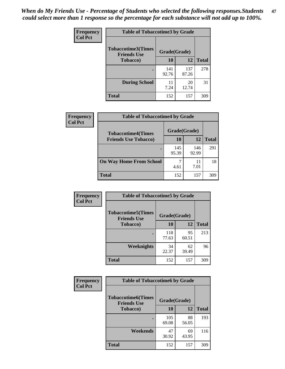*When do My Friends Use - Percentage of Students who selected the following responses.Students could select more than 1 response so the percentage for each substance will not add up to 100%.* **47**

| <b>Frequency</b> | <b>Table of Tobaccotime3 by Grade</b>           |              |              |              |  |
|------------------|-------------------------------------------------|--------------|--------------|--------------|--|
| <b>Col Pct</b>   | <b>Tobaccotime3(Times</b><br><b>Friends Use</b> | Grade(Grade) |              |              |  |
|                  | <b>Tobacco</b> )                                | 10           | 12           | <b>Total</b> |  |
|                  | ٠                                               | 141<br>92.76 | 137<br>87.26 | 278          |  |
|                  | <b>During School</b>                            | 11<br>7.24   | 20<br>12.74  | 31           |  |
|                  | <b>Total</b>                                    | 152          | 157          | 309          |  |

| Frequency<br><b>Col Pct</b> | <b>Table of Tobaccotime4 by Grade</b> |              |              |              |
|-----------------------------|---------------------------------------|--------------|--------------|--------------|
|                             | <b>Tobaccotime4(Times</b>             | Grade(Grade) |              |              |
|                             | <b>Friends Use Tobacco)</b>           | 10           | 12           | <b>Total</b> |
|                             |                                       | 145<br>95.39 | 146<br>92.99 | 291          |
|                             | <b>On Way Home From School</b>        | 4.61         | 11<br>7.01   | 18           |
|                             | Total                                 | 152          | 157          | 309          |

| Frequency      | <b>Table of Tobaccotime5 by Grade</b>           |              |             |              |
|----------------|-------------------------------------------------|--------------|-------------|--------------|
| <b>Col Pct</b> | <b>Tobaccotime5(Times</b><br><b>Friends Use</b> | Grade(Grade) |             |              |
|                | <b>Tobacco</b> )                                | 10           | 12          | <b>Total</b> |
|                |                                                 | 118<br>77.63 | 95<br>60.51 | 213          |
|                | Weeknights                                      | 34<br>22.37  | 62<br>39.49 | 96           |
|                | <b>Total</b>                                    | 152          | 157         | 309          |

| Frequency      | <b>Table of Tobaccotime6 by Grade</b><br><b>Tobaccotime6(Times</b><br>Grade(Grade)<br><b>Friends Use</b> |              |             |              |
|----------------|----------------------------------------------------------------------------------------------------------|--------------|-------------|--------------|
| <b>Col Pct</b> |                                                                                                          |              |             |              |
|                | <b>Tobacco</b> )                                                                                         | 10           | 12          | <b>Total</b> |
|                |                                                                                                          | 105<br>69.08 | 88<br>56.05 | 193          |
|                | Weekends                                                                                                 | 47<br>30.92  | 69<br>43.95 | 116          |
|                | <b>Total</b>                                                                                             | 152          | 157         | 309          |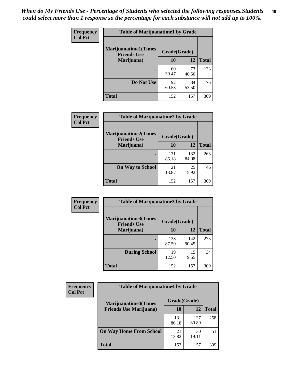| Frequency      | <b>Table of Marijuanatime1 by Grade</b>            |              |             |              |
|----------------|----------------------------------------------------|--------------|-------------|--------------|
| <b>Col Pct</b> | <b>Marijuanatime1</b> (Times<br><b>Friends Use</b> | Grade(Grade) |             |              |
|                | Marijuana)                                         | 10           | 12          | <b>Total</b> |
|                |                                                    | 60<br>39.47  | 73<br>46.50 | 133          |
|                | Do Not Use                                         | 92<br>60.53  | 84<br>53.50 | 176          |
|                | <b>Total</b>                                       | 152          | 157         | 309          |

| Frequency      | <b>Table of Marijuanatime2 by Grade</b>           |              |              |              |
|----------------|---------------------------------------------------|--------------|--------------|--------------|
| <b>Col Pct</b> | <b>Marijuanatime2(Times</b><br><b>Friends Use</b> | Grade(Grade) |              |              |
|                | Marijuana)                                        | 10           | 12           | <b>Total</b> |
|                |                                                   | 131<br>86.18 | 132<br>84.08 | 263          |
|                | <b>On Way to School</b>                           | 21<br>13.82  | 25<br>15.92  | 46           |
|                | <b>Total</b>                                      | 152          | 157          | 309          |

| Frequency      | <b>Table of Marijuanatime3 by Grade</b>    |              |              |              |
|----------------|--------------------------------------------|--------------|--------------|--------------|
| <b>Col Pct</b> | Marijuanatime3(Times<br><b>Friends Use</b> | Grade(Grade) |              |              |
|                | Marijuana)                                 | 10           | 12           | <b>Total</b> |
|                |                                            | 133<br>87.50 | 142<br>90.45 | 275          |
|                | <b>During School</b>                       | 19<br>12.50  | 15<br>9.55   | 34           |
|                | <b>Total</b>                               | 152          | 157          | 309          |

| <b>Frequency</b><br><b>Col Pct</b> | <b>Table of Marijuanatime4 by Grade</b> |              |              |              |
|------------------------------------|-----------------------------------------|--------------|--------------|--------------|
|                                    | <b>Marijuanatime4</b> (Times            | Grade(Grade) |              |              |
|                                    | <b>Friends Use Marijuana</b> )          | 10           | 12           | <b>Total</b> |
|                                    |                                         | 131<br>86.18 | 127<br>80.89 | 258          |
|                                    | <b>On Way Home From School</b>          | 21<br>13.82  | 30<br>19.11  | 51           |
|                                    | <b>Total</b>                            | 152          | 157          | 309          |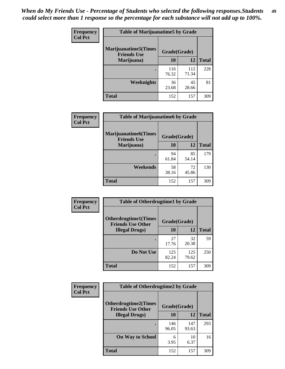| Frequency      | <b>Table of Marijuanatime5 by Grade</b>            |              |              |              |
|----------------|----------------------------------------------------|--------------|--------------|--------------|
| <b>Col Pct</b> | <b>Marijuanatime5</b> (Times<br><b>Friends Use</b> | Grade(Grade) |              |              |
|                | Marijuana)                                         | 10           | 12           | <b>Total</b> |
|                |                                                    | 116<br>76.32 | 112<br>71.34 | 228          |
|                | Weeknights                                         | 36<br>23.68  | 45<br>28.66  | 81           |
|                | <b>Total</b>                                       | 152          | 157          | 309          |

| <b>Frequency</b> | <b>Table of Marijuanatime6 by Grade</b>           |              |             |              |
|------------------|---------------------------------------------------|--------------|-------------|--------------|
| <b>Col Pct</b>   | <b>Marijuanatime6(Times</b><br><b>Friends Use</b> | Grade(Grade) |             |              |
|                  | Marijuana)                                        | 10           | 12          | <b>Total</b> |
|                  |                                                   | 94<br>61.84  | 85<br>54.14 | 179          |
|                  | Weekends                                          | 58<br>38.16  | 72<br>45.86 | 130          |
|                  | <b>Total</b>                                      | 152          | 157         | 309          |

| <b>Frequency</b> | <b>Table of Otherdrugtime1 by Grade</b>                 |              |              |              |  |
|------------------|---------------------------------------------------------|--------------|--------------|--------------|--|
| <b>Col Pct</b>   | <b>Otherdrugtime1(Times</b><br><b>Friends Use Other</b> | Grade(Grade) |              |              |  |
|                  | <b>Illegal Drugs</b> )                                  | 10           | 12           | <b>Total</b> |  |
|                  |                                                         | 27<br>17.76  | 32<br>20.38  | 59           |  |
|                  | Do Not Use                                              | 125<br>82.24 | 125<br>79.62 | 250          |  |
|                  | <b>Total</b>                                            | 152          | 157          | 309          |  |

| <b>Frequency</b> | <b>Table of Otherdrugtime2 by Grade</b>                 |              |              |              |  |  |
|------------------|---------------------------------------------------------|--------------|--------------|--------------|--|--|
| <b>Col Pct</b>   | <b>Otherdrugtime2(Times</b><br><b>Friends Use Other</b> | Grade(Grade) |              |              |  |  |
|                  | <b>Illegal Drugs</b> )                                  | 10           | 12           | <b>Total</b> |  |  |
|                  |                                                         | 146<br>96.05 | 147<br>93.63 | 293          |  |  |
|                  | <b>On Way to School</b>                                 | 6<br>3.95    | 10<br>6.37   | 16           |  |  |
|                  | Total                                                   | 152          | 157          | 309          |  |  |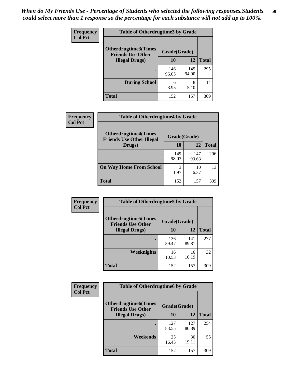| <b>Frequency</b> | <b>Table of Otherdrugtime3 by Grade</b>                 |              |              |              |  |  |
|------------------|---------------------------------------------------------|--------------|--------------|--------------|--|--|
| <b>Col Pct</b>   | <b>Otherdrugtime3(Times</b><br><b>Friends Use Other</b> | Grade(Grade) |              |              |  |  |
|                  | <b>Illegal Drugs</b> )                                  | 10           | 12           | <b>Total</b> |  |  |
|                  |                                                         | 146<br>96.05 | 149<br>94.90 | 295          |  |  |
|                  | <b>During School</b>                                    | 6<br>3.95    | 8<br>5.10    | 14           |  |  |
|                  | Total                                                   | 152          | 157          | 309          |  |  |

| <b>Frequency</b> | <b>Table of Otherdrugtime4 by Grade</b>                         |              |              |              |  |
|------------------|-----------------------------------------------------------------|--------------|--------------|--------------|--|
| <b>Col Pct</b>   | <b>Otherdrugtime4(Times</b><br><b>Friends Use Other Illegal</b> | Grade(Grade) |              |              |  |
|                  | Drugs)                                                          | 10           | 12           | <b>Total</b> |  |
|                  | $\bullet$                                                       | 149<br>98.03 | 147<br>93.63 | 296          |  |
|                  | <b>On Way Home From School</b>                                  | 3<br>1.97    | 10<br>6.37   | 13           |  |
|                  | <b>Total</b>                                                    | 152          | 157          | 309          |  |

| <b>Frequency</b> | <b>Table of Otherdrugtime5 by Grade</b>                  |              |              |              |  |  |
|------------------|----------------------------------------------------------|--------------|--------------|--------------|--|--|
| <b>Col Pct</b>   | <b>Otherdrugtime5</b> (Times<br><b>Friends Use Other</b> | Grade(Grade) |              |              |  |  |
|                  | <b>Illegal Drugs</b> )                                   | 10           | 12           | <b>Total</b> |  |  |
|                  |                                                          | 136<br>89.47 | 141<br>89.81 | 277          |  |  |
|                  | <b>Weeknights</b>                                        | 16<br>10.53  | 16<br>10.19  | 32           |  |  |
|                  | Total                                                    | 152          | 157          | 309          |  |  |

| Frequency<br><b>Col Pct</b> | <b>Table of Otherdrugtime6 by Grade</b>                 |              |              |              |  |  |
|-----------------------------|---------------------------------------------------------|--------------|--------------|--------------|--|--|
|                             | <b>Otherdrugtime6(Times</b><br><b>Friends Use Other</b> | Grade(Grade) |              |              |  |  |
|                             | <b>Illegal Drugs</b> )                                  | 10           | 12           | <b>Total</b> |  |  |
|                             |                                                         | 127<br>83.55 | 127<br>80.89 | 254          |  |  |
|                             | Weekends                                                | 25<br>16.45  | 30<br>19.11  | 55           |  |  |
|                             | <b>Total</b>                                            | 152          | 157          | 309          |  |  |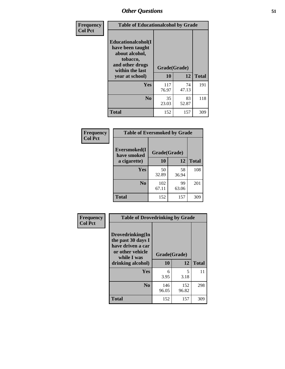| Frequency      | <b>Table of Educationalcohol by Grade</b>                                                                  |              |             |              |  |
|----------------|------------------------------------------------------------------------------------------------------------|--------------|-------------|--------------|--|
| <b>Col Pct</b> | Educationalcohol(I<br>have been taught<br>about alcohol,<br>tobacco,<br>and other drugs<br>within the last | Grade(Grade) |             |              |  |
|                | year at school)                                                                                            | 10           | 12          | <b>Total</b> |  |
|                | <b>Yes</b>                                                                                                 | 117<br>76.97 | 74<br>47.13 | 191          |  |
|                | N <sub>0</sub>                                                                                             | 35<br>23.03  | 83<br>52.87 | 118          |  |
|                | <b>Total</b>                                                                                               | 152          | 157         | 309          |  |

| Frequency      | <b>Table of Eversmoked by Grade</b> |              |             |              |  |  |
|----------------|-------------------------------------|--------------|-------------|--------------|--|--|
| <b>Col Pct</b> | Eversmoked(I<br>have smoked         | Grade(Grade) |             |              |  |  |
|                | a cigarette)                        | 10           | 12          | <b>Total</b> |  |  |
|                | Yes                                 | 50<br>32.89  | 58<br>36.94 | 108          |  |  |
|                | N <sub>0</sub>                      | 102<br>67.11 | 99<br>63.06 | 201          |  |  |
|                | <b>Total</b>                        | 152          | 157         | 309          |  |  |

| Frequency<br><b>Col Pct</b> | <b>Table of Drovedrinking by Grade</b>                                                                              |                    |              |              |  |  |
|-----------------------------|---------------------------------------------------------------------------------------------------------------------|--------------------|--------------|--------------|--|--|
|                             | Drovedrinking(In<br>the past 30 days I<br>have driven a car<br>or other vehicle<br>while I was<br>drinking alcohol) | Grade(Grade)<br>10 | 12           | <b>Total</b> |  |  |
|                             | <b>Yes</b>                                                                                                          | 6<br>3.95          | 5<br>3.18    | 11           |  |  |
|                             | N <sub>0</sub>                                                                                                      | 146<br>96.05       | 152<br>96.82 | 298          |  |  |
|                             | <b>Total</b>                                                                                                        | 152                | 157          | 309          |  |  |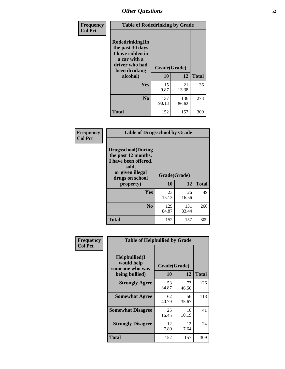| Frequency<br><b>Col Pct</b> | <b>Table of Rodedrinking by Grade</b>                                                                                      |              |              |              |  |
|-----------------------------|----------------------------------------------------------------------------------------------------------------------------|--------------|--------------|--------------|--|
|                             | Rodedrinking(In<br>the past 30 days<br>I have ridden in<br>a car with a<br>driver who had<br>Grade(Grade)<br>been drinking |              |              |              |  |
|                             | alcohol)                                                                                                                   | 10           | 12           | <b>Total</b> |  |
|                             | Yes                                                                                                                        | 15<br>9.87   | 21<br>13.38  | 36           |  |
|                             | N <sub>0</sub>                                                                                                             | 137<br>90.13 | 136<br>86.62 | 273          |  |
|                             | <b>Total</b>                                                                                                               | 152          | 157          | 309          |  |

#### **Frequency Col Pct**

| <b>Table of Drugsschool by Grade</b>                                                                                      |              |              |              |  |  |  |
|---------------------------------------------------------------------------------------------------------------------------|--------------|--------------|--------------|--|--|--|
| <b>Drugsschool</b> (During<br>the past 12 months,<br>I have been offered,<br>sold,<br>or given illegal<br>drugs on school | Grade(Grade) |              |              |  |  |  |
| property)                                                                                                                 | 10           | 12           | <b>Total</b> |  |  |  |
| <b>Yes</b>                                                                                                                | 23<br>15.13  | 26<br>16.56  | 49           |  |  |  |
| $\bf No$                                                                                                                  | 129<br>84.87 | 131<br>83.44 | 260          |  |  |  |
| <b>Total</b>                                                                                                              | 152          | 157          | 309          |  |  |  |

| Frequency      | <b>Table of Helpbullied by Grade</b>           |                    |             |              |  |
|----------------|------------------------------------------------|--------------------|-------------|--------------|--|
| <b>Col Pct</b> | Helpbullied(I<br>would help<br>someone who was | Grade(Grade)<br>10 | 12          | <b>Total</b> |  |
|                | being bullied)                                 |                    |             |              |  |
|                | <b>Strongly Agree</b>                          | 53<br>34.87        | 73<br>46.50 | 126          |  |
|                | <b>Somewhat Agree</b>                          | 62<br>40.79        | 56<br>35.67 | 118          |  |
|                | <b>Somewhat Disagree</b>                       | 25<br>16.45        | 16<br>10.19 | 41           |  |
|                | <b>Strongly Disagree</b>                       | 12<br>7.89         | 12<br>7.64  | 24           |  |
|                | Total                                          | 152                | 157         | 309          |  |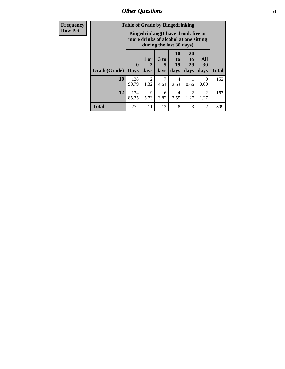*Other Questions* **53**

| <b>Frequency</b> | <b>Table of Grade by Bingedrinking</b> |                         |                        |                                                                                                         |                                   |                               |                        |              |
|------------------|----------------------------------------|-------------------------|------------------------|---------------------------------------------------------------------------------------------------------|-----------------------------------|-------------------------------|------------------------|--------------|
| <b>Row Pct</b>   |                                        |                         |                        | Bingedrinking(I have drunk five or<br>more drinks of alcohol at one sitting<br>during the last 30 days) |                                   |                               |                        |              |
|                  | Grade(Grade)                           | $\bf{0}$<br><b>Days</b> | 1 or<br>days           | $3$ to<br>5<br>days                                                                                     | 10<br>$\mathbf{to}$<br>19<br>days | <b>20</b><br>to<br>29<br>days | All<br>30<br>days      | <b>Total</b> |
|                  | 10                                     | 138<br>90.79            | $\mathfrak{D}$<br>1.32 | 4.61                                                                                                    | 4<br>2.63                         | 0.66                          | 0<br>0.00              | 152          |
|                  | 12                                     | 134<br>85.35            | 9<br>5.73              | 6<br>3.82                                                                                               | 4<br>2.55                         | $\mathcal{D}$<br>1.27         | $\overline{2}$<br>1.27 | 157          |
|                  | <b>Total</b>                           | 272                     | 11                     | 13                                                                                                      | 8                                 | 3                             | 2                      | 309          |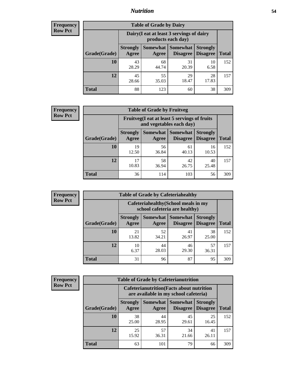## *Nutrition* **54**

| <b>Frequency</b> |
|------------------|
| Row Pct          |

| <b>Table of Grade by Dairy</b> |                          |                                                                 |                             |                                    |              |  |  |  |
|--------------------------------|--------------------------|-----------------------------------------------------------------|-----------------------------|------------------------------------|--------------|--|--|--|
|                                |                          | Dairy (I eat at least 3 servings of dairy<br>products each day) |                             |                                    |              |  |  |  |
| Grade(Grade)                   | <b>Strongly</b><br>Agree | Somewhat<br>Agree                                               | <b>Somewhat</b><br>Disagree | <b>Strongly</b><br><b>Disagree</b> | <b>Total</b> |  |  |  |
| 10                             | 43<br>28.29              | 68<br>44.74                                                     | 31<br>20.39                 | 10<br>6.58                         | 152          |  |  |  |
| 12                             | 45<br>28.66              | 55<br>35.03                                                     | 29<br>18.47                 | 28<br>17.83                        | 157          |  |  |  |
| <b>Total</b>                   | 88                       | 123                                                             | 60                          | 38                                 | 309          |  |  |  |

| <b>Frequency</b> |  |
|------------------|--|
| <b>Row Pct</b>   |  |

| <b>Table of Grade by Fruitveg</b>                                                                                        |             |             |             |             |     |  |  |
|--------------------------------------------------------------------------------------------------------------------------|-------------|-------------|-------------|-------------|-----|--|--|
| Fruitveg(I eat at least 5 servings of fruits<br>and vegetables each day)                                                 |             |             |             |             |     |  |  |
| Somewhat Somewhat<br><b>Strongly</b><br><b>Strongly</b><br><b>Disagree</b><br>Grade(Grade)<br>Agree<br>Disagree<br>Agree |             |             |             |             |     |  |  |
| 10                                                                                                                       | 19<br>12.50 | 56<br>36.84 | 61<br>40.13 | 16<br>10.53 | 152 |  |  |
| 12                                                                                                                       | 17<br>10.83 | 58<br>36.94 | 42<br>26.75 | 40<br>25.48 | 157 |  |  |
| <b>Total</b>                                                                                                             | 36          | 114         | 103         | 56          | 309 |  |  |

| <b>Frequency</b> | <b>Table of Grade by Cafeteriahealthy</b> |                                                                       |             |                                        |                                    |              |  |  |
|------------------|-------------------------------------------|-----------------------------------------------------------------------|-------------|----------------------------------------|------------------------------------|--------------|--|--|
| <b>Row Pct</b>   |                                           | Cafeteriahealthy (School meals in my<br>school cafeteria are healthy) |             |                                        |                                    |              |  |  |
|                  | Grade(Grade)                              | <b>Strongly</b><br>Agree                                              | Agree       | Somewhat   Somewhat<br><b>Disagree</b> | <b>Strongly</b><br><b>Disagree</b> | <b>Total</b> |  |  |
|                  | 10                                        | 21<br>13.82                                                           | 52<br>34.21 | 41<br>26.97                            | 38<br>25.00                        | 152          |  |  |
|                  | 12                                        | 10<br>6.37                                                            | 44<br>28.03 | 46<br>29.30                            | 57<br>36.31                        | 157          |  |  |
|                  | <b>Total</b>                              | 31                                                                    | 96          | 87                                     | 95                                 | 309          |  |  |

| <b>Frequency</b> |
|------------------|
| <b>Row Pct</b>   |

| <b>Table of Grade by Cafeterianutrition</b>                                               |                          |                     |                                    |                                    |              |  |
|-------------------------------------------------------------------------------------------|--------------------------|---------------------|------------------------------------|------------------------------------|--------------|--|
| <b>Cafeterianutrition</b> (Facts about nutrition<br>are available in my school cafeteria) |                          |                     |                                    |                                    |              |  |
| Grade(Grade)                                                                              | <b>Strongly</b><br>Agree | Somewhat  <br>Agree | <b>Somewhat</b><br><b>Disagree</b> | <b>Strongly</b><br><b>Disagree</b> | <b>Total</b> |  |
| <b>10</b>                                                                                 | 38<br>25.00              | 44<br>28.95         | 45<br>29.61                        | 25<br>16.45                        | 152          |  |
| 12                                                                                        | 25<br>15.92              | 57<br>36.31         | 34<br>21.66                        | 41<br>26.11                        | 157          |  |
| <b>Total</b>                                                                              | 63                       | 101                 | 79                                 | 66                                 | 309          |  |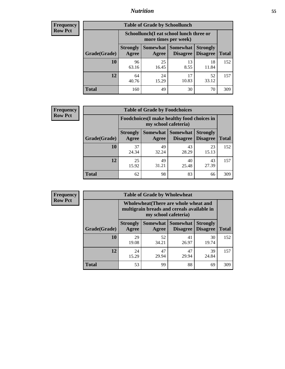## *Nutrition* **55**

| <b>Frequency</b> |
|------------------|
| Row Pct          |

| <b>Table of Grade by Schoollunch</b> |                                                                                                                          |                                                                 |             |             |     |  |  |  |
|--------------------------------------|--------------------------------------------------------------------------------------------------------------------------|-----------------------------------------------------------------|-------------|-------------|-----|--|--|--|
|                                      |                                                                                                                          | Schoollunch(I eat school lunch three or<br>more times per week) |             |             |     |  |  |  |
| Grade(Grade)                         | Somewhat Somewhat<br><b>Strongly</b><br><b>Strongly</b><br><b>Disagree</b><br>Disagree<br><b>Total</b><br>Agree<br>Agree |                                                                 |             |             |     |  |  |  |
| 10                                   | 96<br>63.16                                                                                                              | 25<br>16.45                                                     | 13<br>8.55  | 18<br>11.84 | 152 |  |  |  |
| 12                                   | 64<br>40.76                                                                                                              | 24<br>15.29                                                     | 17<br>10.83 | 52<br>33.12 | 157 |  |  |  |
| <b>Total</b>                         | 160                                                                                                                      | 49                                                              | 30          | 70          | 309 |  |  |  |

| <b>Frequency</b> |  |
|------------------|--|
| <b>Row Pct</b>   |  |

| <b>Table of Grade by Foodchoices</b>                                                                                              |             |             |             |             |              |  |  |
|-----------------------------------------------------------------------------------------------------------------------------------|-------------|-------------|-------------|-------------|--------------|--|--|
| Foodchoices (I make healthy food choices in<br>my school cafeteria)                                                               |             |             |             |             |              |  |  |
| <b>Somewhat   Somewhat</b><br><b>Strongly</b><br><b>Strongly</b><br><b>Disagree</b><br>Grade(Grade)<br>Agree<br>Disagree<br>Agree |             |             |             |             | <b>Total</b> |  |  |
| 10                                                                                                                                | 37<br>24.34 | 49<br>32.24 | 43<br>28.29 | 23<br>15.13 | 152          |  |  |
| 12                                                                                                                                | 25<br>15.92 | 49<br>31.21 | 40<br>25.48 | 43<br>27.39 | 157          |  |  |
| <b>Total</b>                                                                                                                      | 62          | 98          | 83          | 66          | 309          |  |  |

| Frequency      | <b>Table of Grade by Wholewheat</b> |                                                                                                             |                   |                                    |                                    |              |  |  |
|----------------|-------------------------------------|-------------------------------------------------------------------------------------------------------------|-------------------|------------------------------------|------------------------------------|--------------|--|--|
| <b>Row Pct</b> |                                     | Wholewheat (There are whole wheat and<br>multigrain breads and cereals available in<br>my school cafeteria) |                   |                                    |                                    |              |  |  |
|                | Grade(Grade)                        | <b>Strongly</b><br>Agree                                                                                    | Somewhat<br>Agree | <b>Somewhat</b><br><b>Disagree</b> | <b>Strongly</b><br><b>Disagree</b> | <b>Total</b> |  |  |
|                | 10                                  | 29<br>19.08                                                                                                 | 52<br>34.21       | 41<br>26.97                        | 30<br>19.74                        | 152          |  |  |
|                | 12                                  | 24<br>15.29                                                                                                 | 47<br>29.94       | 47<br>29.94                        | 39<br>24.84                        | 157          |  |  |
|                | <b>Total</b>                        | 53                                                                                                          | 99                | 88                                 | 69                                 | 309          |  |  |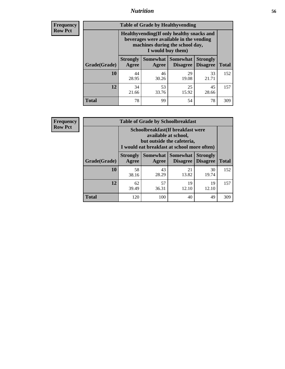## *Nutrition* **56**

**Frequency Row Pct**

| <b>Table of Grade by Healthyvending</b> |                                                                                                                                               |                     |                                    |                                    |              |  |
|-----------------------------------------|-----------------------------------------------------------------------------------------------------------------------------------------------|---------------------|------------------------------------|------------------------------------|--------------|--|
|                                         | Healthyvending (If only healthy snacks and<br>beverages were available in the vending<br>machines during the school day,<br>I would buy them) |                     |                                    |                                    |              |  |
| Grade(Grade)                            | <b>Strongly</b><br>Agree                                                                                                                      | Somewhat  <br>Agree | <b>Somewhat</b><br><b>Disagree</b> | <b>Strongly</b><br><b>Disagree</b> | <b>Total</b> |  |
| 10                                      | 44<br>28.95                                                                                                                                   | 46<br>30.26         | 29<br>19.08                        | 33<br>21.71                        | 152          |  |
| 12                                      | 34<br>21.66                                                                                                                                   | 53<br>33.76         | 25<br>15.92                        | 45<br>28.66                        | 157          |  |
| <b>Total</b>                            | 78                                                                                                                                            | 99                  | 54                                 | 78                                 | 309          |  |

**Frequency Row Pct**

| <b>Table of Grade by Schoolbreakfast</b> |                                                                                                                                         |             |                                 |                                    |              |  |  |
|------------------------------------------|-----------------------------------------------------------------------------------------------------------------------------------------|-------------|---------------------------------|------------------------------------|--------------|--|--|
|                                          | Schoolbreakfast (If breakfast were<br>available at school,<br>but outside the cafeteria,<br>I would eat breakfast at school more often) |             |                                 |                                    |              |  |  |
| Grade(Grade)                             | <b>Strongly</b><br>Agree                                                                                                                | Agree       | Somewhat   Somewhat<br>Disagree | <b>Strongly</b><br><b>Disagree</b> | <b>Total</b> |  |  |
| 10                                       | 58<br>38.16                                                                                                                             | 43<br>28.29 | 21<br>13.82                     | 30<br>19.74                        | 152          |  |  |
| 12                                       | 62<br>39.49                                                                                                                             | 57<br>36.31 | 19<br>12.10                     | 19<br>12.10                        | 157          |  |  |
| <b>Total</b>                             | 120                                                                                                                                     | 100         | 40                              | 49                                 | 309          |  |  |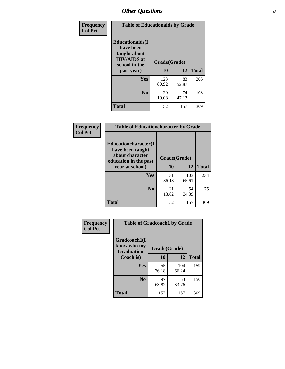| Frequency<br><b>Col Pct</b> | <b>Table of Educationaids by Grade</b>                                                                    |                    |             |              |
|-----------------------------|-----------------------------------------------------------------------------------------------------------|--------------------|-------------|--------------|
|                             | <b>Educationaids</b> (I<br>have been<br>taught about<br><b>HIV/AIDS</b> at<br>school in the<br>past year) | Grade(Grade)<br>10 | 12          | <b>Total</b> |
|                             | Yes                                                                                                       | 123<br>80.92       | 83<br>52.87 | 206          |
|                             | N <sub>0</sub>                                                                                            | 29<br>19.08        | 74<br>47.13 | 103          |
|                             | <b>Total</b>                                                                                              | 152                | 157         | 309          |

| Frequency      | <b>Table of Educationcharacter by Grade</b>                 |              |             |              |  |
|----------------|-------------------------------------------------------------|--------------|-------------|--------------|--|
| <b>Col Pct</b> | Educationcharacter(I<br>have been taught<br>about character |              |             |              |  |
|                | education in the past                                       | Grade(Grade) |             |              |  |
|                | year at school)                                             | 10           | 12          | <b>Total</b> |  |
|                | <b>Yes</b>                                                  | 131          | 103         | 234          |  |
|                |                                                             | 86.18        | 65.61       |              |  |
|                | N <sub>0</sub>                                              | 21<br>13.82  | 54<br>34.39 | 75           |  |
|                | <b>Total</b>                                                | 152          | 157         | 309          |  |
|                |                                                             |              |             |              |  |

| Frequency      | <b>Table of Gradcoach1 by Grade</b>              |              |              |              |
|----------------|--------------------------------------------------|--------------|--------------|--------------|
| <b>Col Pct</b> | Gradcoach1(I<br>know who my<br><b>Graduation</b> | Grade(Grade) |              |              |
|                | Coach is)                                        | 10           | 12           | <b>Total</b> |
|                | Yes                                              | 55<br>36.18  | 104<br>66.24 | 159          |
|                | N <sub>0</sub>                                   | 97<br>63.82  | 53<br>33.76  | 150          |
|                | <b>Total</b>                                     | 152          | 157          | 309          |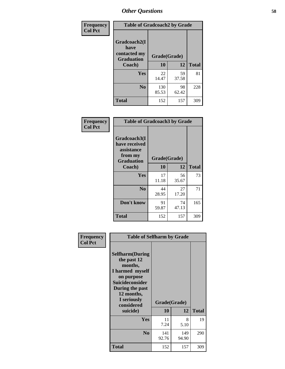| Frequency      | <b>Table of Gradcoach2 by Grade</b> |              |             |              |
|----------------|-------------------------------------|--------------|-------------|--------------|
| <b>Col Pct</b> | Gradcoach2(I<br>have                |              |             |              |
|                | contacted my<br><b>Graduation</b>   | Grade(Grade) |             |              |
|                | Coach)                              | 10           | 12          | <b>Total</b> |
|                | Yes                                 | 22<br>14.47  | 59<br>37.58 | 81           |
|                | N <sub>0</sub>                      | 130<br>85.53 | 98<br>62.42 | 228          |
|                | <b>Total</b>                        | 152          | 157         | 309          |

| <b>Frequency</b><br><b>Col Pct</b> | <b>Table of Gradcoach3 by Grade</b>                                         |              |             |              |
|------------------------------------|-----------------------------------------------------------------------------|--------------|-------------|--------------|
|                                    | Gradcoach3(I<br>have received<br>assistance<br>from my<br><b>Graduation</b> | Grade(Grade) |             |              |
|                                    | Coach)                                                                      | 10           | 12          | <b>Total</b> |
|                                    | Yes                                                                         | 17<br>11.18  | 56<br>35.67 | 73           |
|                                    | N <sub>0</sub>                                                              | 44<br>28.95  | 27<br>17.20 | 71           |
|                                    | Don't know                                                                  | 91<br>59.87  | 74<br>47.13 | 165          |
|                                    | <b>Total</b>                                                                | 152          | 157         | 309          |

|                | <b>Table of Selfharm by Grade</b>                                                                                                                            |              |              |              |
|----------------|--------------------------------------------------------------------------------------------------------------------------------------------------------------|--------------|--------------|--------------|
| Frequency      |                                                                                                                                                              |              |              |              |
| <b>Col Pct</b> | <b>Selfharm</b> (During<br>the past 12<br>months,<br>I harmed myself<br>on purpose<br><b>Suicideconsider</b><br>During the past<br>12 months,<br>I seriously |              |              |              |
|                | considered                                                                                                                                                   | Grade(Grade) |              |              |
|                | suicide)                                                                                                                                                     | 10           | 12           | <b>Total</b> |
|                | Yes                                                                                                                                                          | 11<br>7.24   | 8<br>5.10    | 19           |
|                | N <sub>0</sub>                                                                                                                                               | 141<br>92.76 | 149<br>94.90 | 290          |
|                | <b>Total</b>                                                                                                                                                 | 152          | 157          | 309          |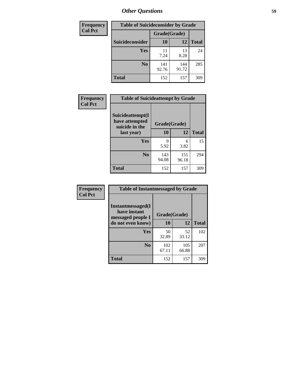| <b>Frequency</b> | <b>Table of Suicideconsider by Grade</b> |              |              |              |
|------------------|------------------------------------------|--------------|--------------|--------------|
| <b>Col Pct</b>   |                                          | Grade(Grade) |              |              |
|                  | Suicideconsider                          | <b>10</b>    | 12           | <b>Total</b> |
|                  | <b>Yes</b>                               | 11<br>7.24   | 13<br>8.28   | 24           |
|                  | N <sub>0</sub>                           | 141<br>92.76 | 144<br>91.72 | 285          |
|                  | <b>Total</b>                             | 152          | 157          | 309          |

| Frequency      | <b>Table of Suicideattempt by Grade</b>              |              |              |              |
|----------------|------------------------------------------------------|--------------|--------------|--------------|
| <b>Col Pct</b> | Suicideattempt(I<br>have attempted<br>suicide in the | Grade(Grade) |              |              |
|                | last year)                                           | 10           | 12           | <b>Total</b> |
|                | Yes                                                  | 9<br>5.92    | 6<br>3.82    | 15           |
|                | N <sub>0</sub>                                       | 143<br>94.08 | 151<br>96.18 | 294          |
|                | <b>Total</b>                                         | 152          | 157          | 309          |

| Frequency      | <b>Table of Instantmessaged by Grade</b>               |              |              |              |
|----------------|--------------------------------------------------------|--------------|--------------|--------------|
| <b>Col Pct</b> | Instantmessaged(I<br>have instant<br>messaged people I | Grade(Grade) |              |              |
|                | do not even know)                                      | 10           | 12           | <b>Total</b> |
|                | Yes                                                    | 50<br>32.89  | 52<br>33.12  | 102          |
|                | N <sub>0</sub>                                         | 102<br>67.11 | 105<br>66.88 | 207          |
|                | <b>Total</b>                                           | 152          | 157          | 309          |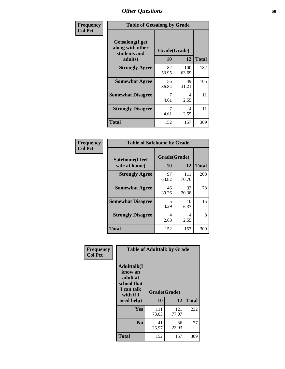| Frequency      | <b>Table of Getsalong by Grade</b>                          |              |              |              |
|----------------|-------------------------------------------------------------|--------------|--------------|--------------|
| <b>Col Pct</b> | <b>Getsalong</b> (I get<br>along with other<br>students and | Grade(Grade) |              |              |
|                | adults)                                                     | 10           | 12           | <b>Total</b> |
|                | <b>Strongly Agree</b>                                       | 82<br>53.95  | 100<br>63.69 | 182          |
|                | <b>Somewhat Agree</b>                                       | 56<br>36.84  | 49<br>31.21  | 105          |
|                | <b>Somewhat Disagree</b>                                    | 7<br>4.61    | 4<br>2.55    | 11           |
|                | <b>Strongly Disagree</b>                                    | 7<br>4.61    | 4<br>2.55    | 11           |
|                | <b>Total</b>                                                | 152          | 157          | 309          |

| Frequency      | <b>Table of Safehome by Grade</b> |                           |              |              |
|----------------|-----------------------------------|---------------------------|--------------|--------------|
| <b>Col Pct</b> | Safehome(I feel<br>safe at home)  | Grade(Grade)<br><b>10</b> | 12           | <b>Total</b> |
|                | <b>Strongly Agree</b>             | 97<br>63.82               | 111<br>70.70 | 208          |
|                | <b>Somewhat Agree</b>             | 46<br>30.26               | 32<br>20.38  | 78           |
|                | <b>Somewhat Disagree</b>          | 5<br>3.29                 | 10<br>6.37   | 15           |
|                | <b>Strongly Disagree</b>          | 4<br>2.63                 | 4<br>2.55    | 8            |
|                | <b>Total</b>                      | 152                       | 157          | 309          |

| Frequency      |                                                                                     | <b>Table of Adulttalk by Grade</b> |              |              |
|----------------|-------------------------------------------------------------------------------------|------------------------------------|--------------|--------------|
| <b>Col Pct</b> | <b>Adulttalk(I</b><br>know an<br>adult at<br>school that<br>I can talk<br>with if I | Grade(Grade)                       |              |              |
|                | need help)                                                                          | 10                                 | 12           | <b>Total</b> |
|                | <b>Yes</b>                                                                          | 111<br>73.03                       | 121<br>77.07 | 232          |
|                | N <sub>0</sub>                                                                      | 41<br>26.97                        | 36<br>22.93  | 77           |
|                | <b>Total</b>                                                                        | 152                                | 157          | 309          |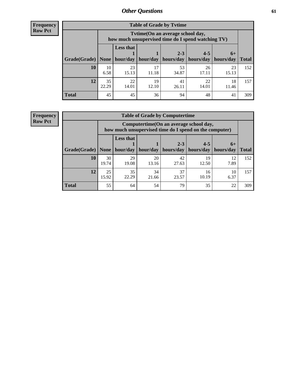**Frequency Row Pct**

| <b>Table of Grade by Tvtime</b> |             |                                                                                                                                                                                                                          |             |             |             |             |     |  |  |  |
|---------------------------------|-------------|--------------------------------------------------------------------------------------------------------------------------------------------------------------------------------------------------------------------------|-------------|-------------|-------------|-------------|-----|--|--|--|
|                                 |             | Tytime (On an average school day,<br>how much unsupervised time do I spend watching TV)<br><b>Less that</b><br>$2 - 3$<br>$4 - 5$<br>$6+$<br>hour/day   hour/day<br>hours/day<br>  hours/day   hours/day<br><b>Total</b> |             |             |             |             |     |  |  |  |
| Grade(Grade)   None             |             |                                                                                                                                                                                                                          |             |             |             |             |     |  |  |  |
| 10                              | 10<br>6.58  | 23<br>15.13                                                                                                                                                                                                              | 17<br>11.18 | 53<br>34.87 | 26<br>17.11 | 23<br>15.13 | 152 |  |  |  |
| 12                              | 35<br>22.29 | 22<br>14.01                                                                                                                                                                                                              | 19<br>12.10 | 41<br>26.11 | 22<br>14.01 | 18<br>11.46 | 157 |  |  |  |
| <b>Total</b>                    | 45          | 45                                                                                                                                                                                                                       | 36          | 94          | 48          | 41          | 309 |  |  |  |

**Frequency Row Pct**

| <b>Table of Grade by Computertime</b> |             |                                                                                                   |                     |                      |                      |                   |              |  |  |
|---------------------------------------|-------------|---------------------------------------------------------------------------------------------------|---------------------|----------------------|----------------------|-------------------|--------------|--|--|
|                                       |             | Computertime (On an average school day,<br>how much unsupervised time do I spend on the computer) |                     |                      |                      |                   |              |  |  |
| Grade(Grade)                          |             | <b>Less that</b>                                                                                  | hour/day   hour/day | $2 - 3$<br>hours/day | $4 - 5$<br>hours/day | $6+$<br>hours/day | <b>Total</b> |  |  |
|                                       | None        |                                                                                                   |                     |                      |                      |                   |              |  |  |
| 10                                    | 30<br>19.74 | 29<br>19.08                                                                                       | 20<br>13.16         | 42<br>27.63          | 19<br>12.50          | 12<br>7.89        | 152          |  |  |
| 12                                    | 25<br>15.92 | 35<br>22.29                                                                                       | 34<br>21.66         | 37<br>23.57          | 16<br>10.19          | 10<br>6.37        | 157          |  |  |
| <b>Total</b>                          | 55          | 64                                                                                                | 54                  | 79                   | 35                   | 22                | 309          |  |  |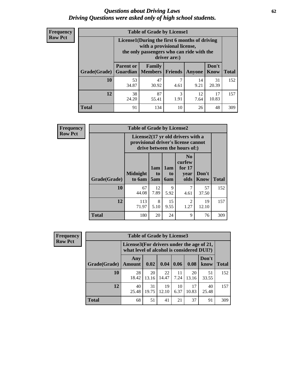#### *Questions about Driving Laws* **62** *Driving Questions were asked only of high school students.*

| <b>Frequency</b> |
|------------------|
| <b>Row Pct</b>   |

| <b>Table of Grade by License1</b> |                                                                      |                                                                                                                                           |                |            |                      |              |  |  |  |
|-----------------------------------|----------------------------------------------------------------------|-------------------------------------------------------------------------------------------------------------------------------------------|----------------|------------|----------------------|--------------|--|--|--|
|                                   |                                                                      | License1(During the first 6 months of driving<br>with a provisional license,<br>the only passengers who can ride with the<br>driver are:) |                |            |                      |              |  |  |  |
| Grade(Grade)                      | <b>Parent or</b><br><b>Guardian</b>                                  | Family<br><b>Members</b>                                                                                                                  | <b>Friends</b> | Anyone     | Don't<br><b>Know</b> | <b>Total</b> |  |  |  |
| 10                                | 53<br>34.87                                                          | 47<br>30.92                                                                                                                               | ℸ<br>4.61      | 14<br>9.21 | 31<br>20.39          | 152          |  |  |  |
| 12                                | 87<br>38<br>3<br>17<br>12<br>10.83<br>24.20<br>1.91<br>55.41<br>7.64 |                                                                                                                                           |                |            |                      |              |  |  |  |
| Total                             | 91                                                                   | 134                                                                                                                                       | 10             | 26         | 48                   | 309          |  |  |  |

| <b>Frequency</b> |              | <b>Table of Grade by License2</b>                                                                        |                  |                              |                                                      |                      |              |  |  |
|------------------|--------------|----------------------------------------------------------------------------------------------------------|------------------|------------------------------|------------------------------------------------------|----------------------|--------------|--|--|
| <b>Row Pct</b>   |              | License2(17 yr old drivers with a<br>provisional driver's license cannot<br>drive between the hours of:) |                  |                              |                                                      |                      |              |  |  |
|                  | Grade(Grade) | <b>Midnight</b><br>to 6am                                                                                | 1am<br>to<br>5am | 1am<br>t <sub>0</sub><br>6am | N <sub>0</sub><br>curfew<br>for $17$<br>year<br>olds | Don't<br><b>Know</b> | <b>Total</b> |  |  |
|                  | 10           | 67<br>44.08                                                                                              | 12<br>7.89       | 9<br>5.92                    | 7<br>4.61                                            | 57<br>37.50          | 152          |  |  |
|                  | 12           | 113<br>71.97                                                                                             | 8<br>5.10        | 15<br>9.55                   | $\overline{2}$<br>1.27                               | 19<br>12.10          | 157          |  |  |
|                  | <b>Total</b> | 180                                                                                                      | 20               | 24                           | 9                                                    | 76                   | 309          |  |  |

| Frequency      |              | <b>Table of Grade by License3</b> |                                                                                        |             |            |             |               |              |
|----------------|--------------|-----------------------------------|----------------------------------------------------------------------------------------|-------------|------------|-------------|---------------|--------------|
| <b>Row Pct</b> |              |                                   | License3(For drivers under the age of 21,<br>what level of alcohol is considered DUI?) |             |            |             |               |              |
|                | Grade(Grade) | Any<br><b>Amount</b>              | 0.02                                                                                   | 0.04        | 0.06       | 0.08        | Don't<br>know | <b>Total</b> |
|                | 10           | 28<br>18.42                       | 20<br>13.16                                                                            | 22<br>14.47 | 11<br>7.24 | 20<br>13.16 | 51<br>33.55   | 152          |
|                | 12           | 40<br>25.48                       | 31<br>19.75                                                                            | 19<br>12.10 | 10<br>6.37 | 17<br>10.83 | 40<br>25.48   | 157          |
|                | <b>Total</b> | 68                                | 51                                                                                     | 41          | 21         | 37          | 91            | 309          |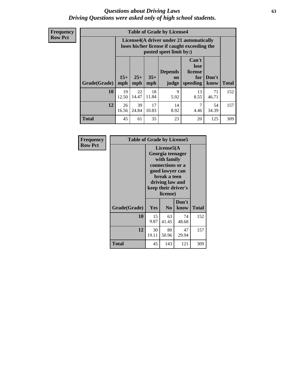#### *Questions about Driving Laws* **63** *Driving Questions were asked only of high school students.*

**Frequency Row Pct**

| <b>Table of Grade by License4</b> |             |                                                                                                                                                                                                                                                                                |             |            |            |             |     |  |
|-----------------------------------|-------------|--------------------------------------------------------------------------------------------------------------------------------------------------------------------------------------------------------------------------------------------------------------------------------|-------------|------------|------------|-------------|-----|--|
|                                   |             | License4(A driver under 21 automatically<br>loses his/her license if caught exceeding the<br>posted speet limit by:)<br>Can't<br>lose<br><b>Depends</b><br>license<br>$15+$<br>$25+$<br>$35+$<br>Don't<br>for<br>on<br>speeding<br><b>Total</b><br>mph<br>mph<br>know<br>judge |             |            |            |             |     |  |
| Grade(Grade)                      | mph         |                                                                                                                                                                                                                                                                                |             |            |            |             |     |  |
| 10                                | 19<br>12.50 | 22<br>14.47                                                                                                                                                                                                                                                                    | 18<br>11.84 | 9<br>5.92  | 13<br>8.55 | 71<br>46.71 | 152 |  |
| 12                                | 26<br>16.56 | 39<br>24.84                                                                                                                                                                                                                                                                    | 17<br>10.83 | 14<br>8.92 | 7<br>4.46  | 54<br>34.39 | 157 |  |
| <b>Total</b>                      | 45          | 61                                                                                                                                                                                                                                                                             | 35          | 23         | 20         | 125         | 309 |  |

| Frequency      | <b>Table of Grade by License5</b> |                                                                                                                                                             |                |               |       |
|----------------|-----------------------------------|-------------------------------------------------------------------------------------------------------------------------------------------------------------|----------------|---------------|-------|
| <b>Row Pct</b> |                                   | License5(A)<br>Georgia teenager<br>with family<br>connections or a<br>good lawyer can<br>break a teen<br>driving law and<br>keep their driver's<br>license) |                |               |       |
|                | Grade(Grade)                      | <b>Yes</b>                                                                                                                                                  | N <sub>0</sub> | Don't<br>know | Total |
|                | 10                                | 15<br>9.87                                                                                                                                                  | 63<br>41.45    | 74<br>48.68   | 152   |
|                | 12                                | 30<br>19.11                                                                                                                                                 | 80<br>50.96    | 47<br>29.94   | 157   |
|                | <b>Total</b>                      | 45                                                                                                                                                          | 143            | 121           | 309   |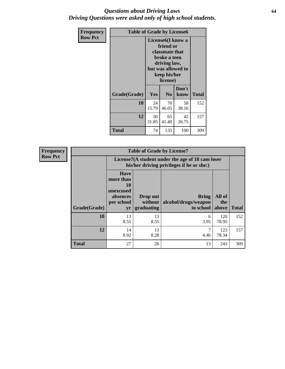#### *Questions about Driving Laws* **64** *Driving Questions were asked only of high school students.*

| <b>Frequency</b> | <b>Table of Grade by License6</b> |             |                                                                                                                           |                    |              |  |
|------------------|-----------------------------------|-------------|---------------------------------------------------------------------------------------------------------------------------|--------------------|--------------|--|
| <b>Row Pct</b>   |                                   |             | License <sub>6</sub> (I know a<br>friend or<br>classmate that<br>broke a teen<br>driving law,<br>keep his/her<br>license) | but was allowed to |              |  |
|                  | Grade(Grade)                      | Yes         | N <sub>0</sub>                                                                                                            | Don't<br>know      | <b>Total</b> |  |
|                  | 10                                | 24<br>15.79 | 70<br>46.05                                                                                                               | 58<br>38.16        | 152          |  |
|                  | 12                                | 50<br>31.85 | 65<br>41.40                                                                                                               | 42<br>26.75        | 157          |  |
|                  | <b>Total</b>                      | 74          | 135                                                                                                                       | 100                | 309          |  |

| Frequency      |              | <b>Table of Grade by License7</b>                                           |                                                                                               |                                                   |                        |              |  |  |  |
|----------------|--------------|-----------------------------------------------------------------------------|-----------------------------------------------------------------------------------------------|---------------------------------------------------|------------------------|--------------|--|--|--|
| <b>Row Pct</b> |              |                                                                             | License7(A student under the age of 18 cam loser<br>his/her driving privileges if he or she:) |                                                   |                        |              |  |  |  |
|                | Grade(Grade) | <b>Have</b><br>more than<br>10<br>unexcused<br>absences<br>per school<br>yr | Drop out<br>without  <br>graduating                                                           | <b>Bring</b><br>alcohol/drugs/weapon<br>to school | All of<br>the<br>above | <b>Total</b> |  |  |  |
|                | 10           | 13<br>8.55                                                                  | 13<br>8.55                                                                                    | 6<br>3.95                                         | 120<br>78.95           | 152          |  |  |  |
|                | 12           | 14<br>8.92                                                                  | 13<br>8.28                                                                                    | 4.46                                              | 123<br>78.34           | 157          |  |  |  |
|                | <b>Total</b> | 27                                                                          | 26                                                                                            | 13                                                | 243                    | 309          |  |  |  |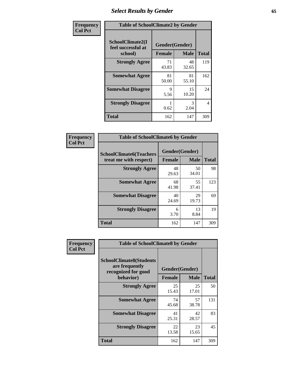# *Select Results by Gender* **65**

| Frequency      | <b>Table of SchoolClimate2 by Gender</b>          |                                 |             |                |
|----------------|---------------------------------------------------|---------------------------------|-------------|----------------|
| <b>Col Pct</b> | SchoolClimate2(I<br>feel successful at<br>school) | Gender(Gender)<br><b>Female</b> | <b>Male</b> | <b>Total</b>   |
|                | <b>Strongly Agree</b>                             | 71<br>43.83                     | 48<br>32.65 | 119            |
|                | <b>Somewhat Agree</b>                             | 81<br>50.00                     | 81<br>55.10 | 162            |
|                | <b>Somewhat Disagree</b>                          | 9<br>5.56                       | 15<br>10.20 | 24             |
|                | <b>Strongly Disagree</b>                          | 0.62                            | 3<br>2.04   | $\overline{4}$ |
|                | <b>Total</b>                                      | 162                             | 147         | 309            |

| <b>Frequency</b> | <b>Table of SchoolClimate6 by Gender</b>                 |                                 |             |              |  |
|------------------|----------------------------------------------------------|---------------------------------|-------------|--------------|--|
| <b>Col Pct</b>   | <b>SchoolClimate6(Teachers</b><br>treat me with respect) | Gender(Gender)<br><b>Female</b> | <b>Male</b> | <b>Total</b> |  |
|                  | <b>Strongly Agree</b>                                    | 48<br>29.63                     | 50<br>34.01 | 98           |  |
|                  | <b>Somewhat Agree</b>                                    | 68<br>41.98                     | 55<br>37.41 | 123          |  |
|                  | <b>Somewhat Disagree</b>                                 | 40<br>24.69                     | 29<br>19.73 | 69           |  |
|                  | <b>Strongly Disagree</b>                                 | 6<br>3.70                       | 13<br>8.84  | 19           |  |
|                  | <b>Total</b>                                             | 162                             | 147         | 309          |  |

| <b>Frequency</b> | <b>Table of SchoolClimate8 by Gender</b>                                             |               |                               |              |
|------------------|--------------------------------------------------------------------------------------|---------------|-------------------------------|--------------|
| <b>Col Pct</b>   | <b>SchoolClimate8(Students</b><br>are frequently<br>recognized for good<br>behavior) | <b>Female</b> | Gender(Gender)<br><b>Male</b> | <b>Total</b> |
|                  | <b>Strongly Agree</b>                                                                | 25<br>15.43   | 25<br>17.01                   | 50           |
|                  | <b>Somewhat Agree</b>                                                                | 74<br>45.68   | 57<br>38.78                   | 131          |
|                  | <b>Somewhat Disagree</b>                                                             | 41<br>25.31   | 42<br>28.57                   | 83           |
|                  | <b>Strongly Disagree</b>                                                             | 22<br>13.58   | 23<br>15.65                   | 45           |
|                  | Total                                                                                | 162           | 147                           | 309          |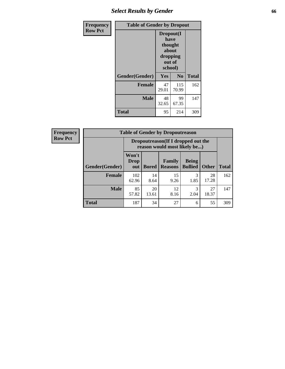# *Select Results by Gender* **66**

| <b>Frequency</b> | <b>Table of Gender by Dropout</b> |                                                                        |                |              |
|------------------|-----------------------------------|------------------------------------------------------------------------|----------------|--------------|
| <b>Row Pct</b>   |                                   | Dropout(I<br>have<br>thought<br>about<br>dropping<br>out of<br>school) |                |              |
|                  | Gender(Gender)                    | Yes                                                                    | N <sub>0</sub> | <b>Total</b> |
|                  | <b>Female</b>                     | 47<br>29.01                                                            | 115<br>70.99   | 162          |
|                  | <b>Male</b>                       | 48<br>32.65                                                            | 99<br>67.35    | 147          |
|                  | <b>Total</b>                      | 95                                                                     | 214            | 309          |

| <b>Frequency</b> |                | <b>Table of Gender by Dropoutreason</b>                             |              |                          |                                |              |              |
|------------------|----------------|---------------------------------------------------------------------|--------------|--------------------------|--------------------------------|--------------|--------------|
| <b>Row Pct</b>   |                | Dropoutreason (If I dropped out the<br>reason would most likely be) |              |                          |                                |              |              |
|                  | Gender(Gender) | Won't<br><b>Drop</b><br>out                                         | <b>Bored</b> | Family<br><b>Reasons</b> | <b>Being</b><br><b>Bullied</b> | <b>Other</b> | <b>Total</b> |
|                  | <b>Female</b>  | 102<br>62.96                                                        | 14<br>8.64   | 15<br>9.26               | 3<br>1.85                      | 28<br>17.28  | 162          |
|                  | <b>Male</b>    | 85<br>57.82                                                         | 20<br>13.61  | 12<br>8.16               | 3<br>2.04                      | 27<br>18.37  | 147          |
|                  | <b>Total</b>   | 187                                                                 | 34           | 27                       | 6                              | 55           | 309          |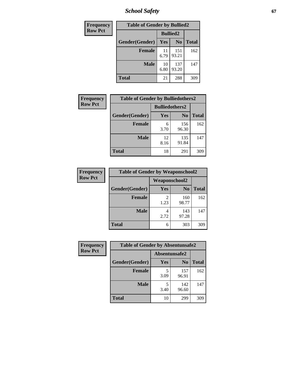*School Safety* **67**

| Frequency      | <b>Table of Gender by Bullied2</b> |                 |                |              |
|----------------|------------------------------------|-----------------|----------------|--------------|
| <b>Row Pct</b> |                                    | <b>Bullied2</b> |                |              |
|                | Gender(Gender)                     | Yes             | N <sub>0</sub> | <b>Total</b> |
|                | <b>Female</b>                      | 11<br>6.79      | 151<br>93.21   | 162          |
|                | <b>Male</b>                        | 10<br>6.80      | 137<br>93.20   | 147          |
|                | <b>Total</b>                       | 21              | 288            | 309          |

| Frequency      | <b>Table of Gender by Bulliedothers2</b> |                       |                |              |
|----------------|------------------------------------------|-----------------------|----------------|--------------|
| <b>Row Pct</b> |                                          | <b>Bulliedothers2</b> |                |              |
|                | Gender(Gender)                           | Yes                   | N <sub>0</sub> | <b>Total</b> |
|                | <b>Female</b>                            | 6<br>3.70             | 156<br>96.30   | 162          |
|                | <b>Male</b>                              | 12<br>8.16            | 135<br>91.84   | 147          |
|                | <b>Total</b>                             | 18                    | 291            | 309          |

| Frequency      | <b>Table of Gender by Weaponschool2</b> |                      |                |              |
|----------------|-----------------------------------------|----------------------|----------------|--------------|
| <b>Row Pct</b> |                                         | <b>Weaponschool2</b> |                |              |
|                | Gender(Gender)                          | Yes                  | N <sub>0</sub> | <b>Total</b> |
|                | <b>Female</b>                           | 1.23                 | 160<br>98.77   | 162          |
|                | <b>Male</b>                             | 2.72                 | 143<br>97.28   | 147          |
|                | <b>Total</b>                            | 6                    | 303            | 309          |

| Frequency      | <b>Table of Gender by Absentunsafe2</b> |               |                |              |
|----------------|-----------------------------------------|---------------|----------------|--------------|
| <b>Row Pct</b> |                                         | Absentunsafe2 |                |              |
|                | Gender(Gender)                          | Yes           | N <sub>0</sub> | <b>Total</b> |
|                | <b>Female</b>                           | 3.09          | 157<br>96.91   | 162          |
|                | <b>Male</b>                             | 3.40          | 142<br>96.60   | 147          |
|                | <b>Total</b>                            | 10            | 299            | 309          |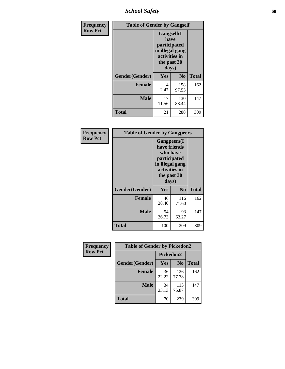*School Safety* **68**

| Frequency      | <b>Table of Gender by Gangself</b> |                                                                                                |                |              |
|----------------|------------------------------------|------------------------------------------------------------------------------------------------|----------------|--------------|
| <b>Row Pct</b> |                                    | Gangself(I<br>have<br>participated<br>in illegal gang<br>activities in<br>the past 30<br>days) |                |              |
|                | Gender(Gender)                     | Yes                                                                                            | N <sub>0</sub> | <b>Total</b> |
|                | <b>Female</b>                      | 4<br>2.47                                                                                      | 158<br>97.53   | 162          |
|                | <b>Male</b>                        | 17<br>11.56                                                                                    | 130<br>88.44   | 147          |
|                | <b>Total</b>                       | 21                                                                                             | 288            | 309          |

| Frequency      | <b>Table of Gender by Gangpeers</b> |                                                                                                                             |                |              |
|----------------|-------------------------------------|-----------------------------------------------------------------------------------------------------------------------------|----------------|--------------|
| <b>Row Pct</b> |                                     | <b>Gangpeers</b> (I<br>have friends<br>who have<br>participated<br>in illegal gang<br>activities in<br>the past 30<br>days) |                |              |
|                | Gender(Gender)                      | Yes                                                                                                                         | N <sub>0</sub> | <b>Total</b> |
|                | <b>Female</b>                       | 46<br>28.40                                                                                                                 | 116<br>71.60   | 162          |
|                | <b>Male</b>                         | 54<br>36.73                                                                                                                 | 93<br>63.27    | 147          |
|                | Total                               | 100                                                                                                                         | 209            | 309          |

| Frequency      | <b>Table of Gender by Pickedon2</b> |             |                |              |
|----------------|-------------------------------------|-------------|----------------|--------------|
| <b>Row Pct</b> |                                     | Pickedon2   |                |              |
|                | Gender(Gender)                      | <b>Yes</b>  | N <sub>0</sub> | <b>Total</b> |
|                | <b>Female</b>                       | 36<br>22.22 | 126<br>77.78   | 162          |
|                | <b>Male</b>                         | 34<br>23.13 | 113<br>76.87   | 147          |
|                | <b>Total</b>                        | 70          | 239            | 309          |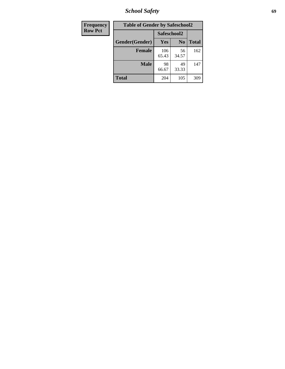*School Safety* **69**

| <b>Frequency</b> | <b>Table of Gender by Safeschool2</b> |              |                |              |  |
|------------------|---------------------------------------|--------------|----------------|--------------|--|
| <b>Row Pct</b>   |                                       | Safeschool2  |                |              |  |
|                  | Gender(Gender)                        | <b>Yes</b>   | N <sub>0</sub> | <b>Total</b> |  |
|                  | <b>Female</b>                         | 106<br>65.43 | 56<br>34.57    | 162          |  |
|                  | <b>Male</b>                           | 98<br>66.67  | 49<br>33.33    | 147          |  |
|                  | <b>Total</b>                          | 204          | 105            | 309          |  |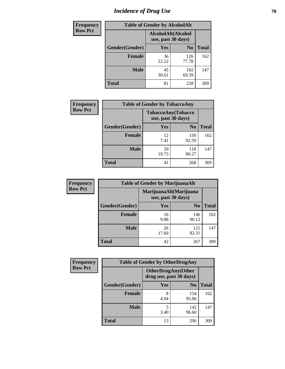# *Incidence of Drug Use* **70**

| <b>Frequency</b> | <b>Table of Gender by AlcoholAlt</b> |                                          |                |              |  |
|------------------|--------------------------------------|------------------------------------------|----------------|--------------|--|
| <b>Row Pct</b>   |                                      | AlcoholAlt(Alcohol<br>use, past 30 days) |                |              |  |
|                  | Gender(Gender)                       | <b>Yes</b>                               | N <sub>0</sub> | <b>Total</b> |  |
|                  | <b>Female</b>                        | 36<br>22.22                              | 126<br>77.78   | 162          |  |
|                  | <b>Male</b>                          | 45<br>30.61                              | 102<br>69.39   | 147          |  |
|                  | <b>Total</b>                         | 81                                       | 228            | 309          |  |

| <b>Frequency</b> | <b>Table of Gender by TobaccoAny</b> |                    |                    |              |
|------------------|--------------------------------------|--------------------|--------------------|--------------|
| <b>Row Pct</b>   |                                      | use, past 30 days) | TobaccoAny(Tobacco |              |
|                  | Gender(Gender)                       | Yes                | N <sub>0</sub>     | <b>Total</b> |
|                  | <b>Female</b>                        | 12<br>7.41         | 150<br>92.59       | 162          |
|                  | <b>Male</b>                          | 29<br>19.73        | 118<br>80.27       | 147          |
|                  | <b>Total</b>                         | 41                 | 268                | 309          |

| <b>Frequency</b> | <b>Table of Gender by MarijuanaAlt</b> |             |                                              |              |
|------------------|----------------------------------------|-------------|----------------------------------------------|--------------|
| <b>Row Pct</b>   |                                        |             | MarijuanaAlt(Marijuana<br>use, past 30 days) |              |
|                  | Gender(Gender)                         | <b>Yes</b>  | N <sub>0</sub>                               | <b>Total</b> |
|                  | <b>Female</b>                          | 16<br>9.88  | 146<br>90.12                                 | 162          |
|                  | <b>Male</b>                            | 26<br>17.69 | 121<br>82.31                                 | 147          |
|                  | <b>Total</b>                           | 42          | 267                                          | 309          |

| <b>Frequency</b> | <b>Table of Gender by OtherDrugAny</b> |                                                      |                |              |  |
|------------------|----------------------------------------|------------------------------------------------------|----------------|--------------|--|
| <b>Row Pct</b>   |                                        | <b>OtherDrugAny(Other</b><br>drug use, past 30 days) |                |              |  |
|                  | Gender(Gender)                         | <b>Yes</b>                                           | N <sub>0</sub> | <b>Total</b> |  |
|                  | <b>Female</b>                          | 8<br>4.94                                            | 154<br>95.06   | 162          |  |
|                  | <b>Male</b>                            | 5<br>3.40                                            | 142<br>96.60   | 147          |  |
|                  | <b>Total</b>                           | 13                                                   | 296            | 309          |  |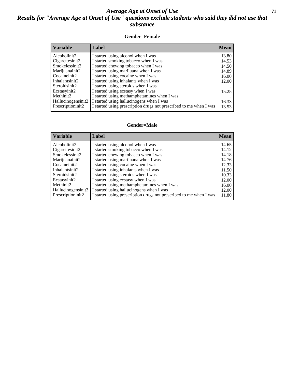### *Average Age at Onset of Use* **71** *Results for "Average Age at Onset of Use" questions exclude students who said they did not use that substance*

#### **Gender=Female**

| <b>Variable</b>                 | Label                                                              | <b>Mean</b> |
|---------------------------------|--------------------------------------------------------------------|-------------|
| Alcoholinit2                    | I started using alcohol when I was                                 | 13.80       |
| Cigarettesinit2                 | I started smoking tobacco when I was                               | 14.53       |
| Smokelessinit2                  | I started chewing tobacco when I was                               | 14.50       |
| Marijuanainit2                  | I started using marijuana when I was                               | 14.89       |
| Cocaineinit2                    | I started using cocaine when I was                                 | 16.00       |
| Inhalantsinit2                  | I started using inhalants when I was                               | 12.00       |
| Steroidsinit2                   | I started using steroids when I was                                |             |
| Ecstasyinit2                    | I started using ecstasy when I was                                 | 15.25       |
| Methinit2                       | I started using methamphetamines when I was                        |             |
| Hallucinogensinit2              | I started using hallucinogens when I was                           | 16.33       |
| Prescription in it <sub>2</sub> | I started using prescription drugs not prescribed to me when I was | 13.53       |

#### **Gender=Male**

| <b>Variable</b>                 | Label                                                              | <b>Mean</b> |
|---------------------------------|--------------------------------------------------------------------|-------------|
| Alcoholinit2                    | I started using alcohol when I was                                 | 14.65       |
| Cigarettesinit2                 | I started smoking tobacco when I was                               | 14.12       |
| Smokelessinit2                  | I started chewing tobacco when I was                               | 14.18       |
| Marijuanainit2                  | I started using marijuana when I was                               | 14.76       |
| Cocaineinit2                    | I started using cocaine when I was                                 | 12.33       |
| Inhalantsinit2                  | I started using inhalants when I was                               | 11.50       |
| Steroidsinit2                   | I started using steroids when I was                                | 10.33       |
| Ecstasyinit2                    | I started using ecstasy when I was                                 | 12.00       |
| Methinit2                       | I started using methamphetamines when I was                        | 16.00       |
| Hallucinogensinit2              | I started using hallucinogens when I was                           | 12.00       |
| Prescription in it <sub>2</sub> | I started using prescription drugs not prescribed to me when I was | 11.80       |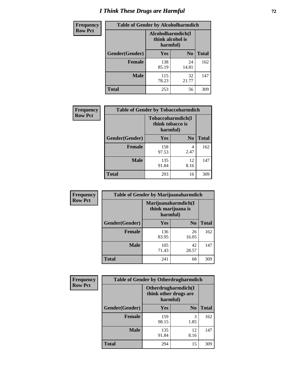# *I Think These Drugs are Harmful* **72**

| <b>Frequency</b> |                | <b>Table of Gender by Alcoholharmdich</b> |                |              |  |
|------------------|----------------|-------------------------------------------|----------------|--------------|--|
| <b>Row Pct</b>   |                | Alcoholharmdich(I<br>think alcohol is     | harmful)       |              |  |
|                  | Gender(Gender) | <b>Yes</b>                                | N <sub>0</sub> | <b>Total</b> |  |
|                  | <b>Female</b>  | 138<br>85.19                              | 24<br>14.81    | 162          |  |
|                  | <b>Male</b>    | 115<br>78.23                              | 32<br>21.77    | 147          |  |
|                  | <b>Total</b>   | 253                                       | 56             | 309          |  |

| Frequency      | <b>Table of Gender by Tobaccoharmdich</b> |                              |                   |              |  |
|----------------|-------------------------------------------|------------------------------|-------------------|--------------|--|
| <b>Row Pct</b> |                                           | think tobacco is<br>harmful) | Tobaccoharmdich(I |              |  |
|                | Gender(Gender)                            | Yes                          | N <sub>0</sub>    | <b>Total</b> |  |
|                | <b>Female</b>                             | 158<br>97.53                 | 4<br>2.47         | 162          |  |
|                | <b>Male</b>                               | 135<br>91.84                 | 12<br>8.16        | 147          |  |
|                | <b>Total</b>                              | 293                          | 16                | 309          |  |

| Frequency      | <b>Table of Gender by Marijuanaharmdich</b> |                                                       |                |              |  |
|----------------|---------------------------------------------|-------------------------------------------------------|----------------|--------------|--|
| <b>Row Pct</b> |                                             | Marijuanaharmdich(I<br>think marijuana is<br>harmful) |                |              |  |
|                | Gender(Gender)                              | <b>Yes</b>                                            | N <sub>0</sub> | <b>Total</b> |  |
|                | <b>Female</b>                               | 136<br>83.95                                          | 26<br>16.05    | 162          |  |
|                | <b>Male</b>                                 | 105<br>71.43                                          | 42<br>28.57    | 147          |  |
|                | <b>Total</b>                                | 241                                                   | 68             | 309          |  |

| <b>Frequency</b> | <b>Table of Gender by Otherdrugharmdich</b> |                                                          |                |              |  |
|------------------|---------------------------------------------|----------------------------------------------------------|----------------|--------------|--|
| <b>Row Pct</b>   |                                             | Otherdrugharmdich(I<br>think other drugs are<br>harmful) |                |              |  |
|                  | Gender(Gender)                              | <b>Yes</b>                                               | N <sub>0</sub> | <b>Total</b> |  |
|                  | <b>Female</b>                               | 159<br>98.15                                             | 3<br>1.85      | 162          |  |
|                  | <b>Male</b>                                 | 135<br>91.84                                             | 12<br>8.16     | 147          |  |
|                  | <b>Total</b>                                | 294                                                      | 15             | 309          |  |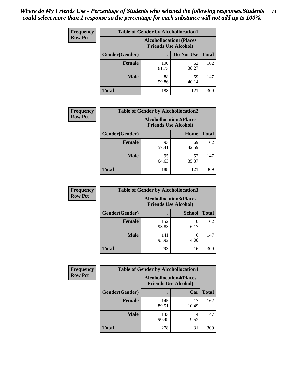| <b>Frequency</b> | <b>Table of Gender by Alcohollocation1</b> |                                                               |             |              |
|------------------|--------------------------------------------|---------------------------------------------------------------|-------------|--------------|
| <b>Row Pct</b>   |                                            | <b>Alcohollocation1(Places</b><br><b>Friends Use Alcohol)</b> |             |              |
|                  | Gender(Gender)                             |                                                               | Do Not Use  | <b>Total</b> |
|                  | <b>Female</b>                              | 100<br>61.73                                                  | 62<br>38.27 | 162          |
|                  | <b>Male</b>                                | 88<br>59.86                                                   | 59<br>40.14 | 147          |
|                  | <b>Total</b>                               | 188                                                           | 121         | 309          |

| <b>Frequency</b> | <b>Table of Gender by Alcohollocation2</b> |             |                                                               |              |
|------------------|--------------------------------------------|-------------|---------------------------------------------------------------|--------------|
| <b>Row Pct</b>   |                                            |             | <b>Alcohollocation2(Places</b><br><b>Friends Use Alcohol)</b> |              |
|                  | Gender(Gender)                             |             | Home                                                          | <b>Total</b> |
|                  | <b>Female</b>                              | 93<br>57.41 | 69<br>42.59                                                   | 162          |
|                  | <b>Male</b>                                | 95<br>64.63 | 52<br>35.37                                                   | 147          |
|                  | <b>Total</b>                               | 188         | 121                                                           | 309          |

| Frequency      | <b>Table of Gender by Alcohollocation3</b> |                                                               |               |              |
|----------------|--------------------------------------------|---------------------------------------------------------------|---------------|--------------|
| <b>Row Pct</b> |                                            | <b>Alcohollocation3(Places</b><br><b>Friends Use Alcohol)</b> |               |              |
|                | Gender(Gender)                             |                                                               | <b>School</b> | <b>Total</b> |
|                | <b>Female</b>                              | 152<br>93.83                                                  | 10<br>6.17    | 162          |
|                | <b>Male</b>                                | 141<br>95.92                                                  | 6<br>4.08     | 147          |
|                | <b>Total</b>                               | 293                                                           | 16            | 309          |

| Frequency      | <b>Table of Gender by Alcohollocation4</b> |                                                               |             |              |
|----------------|--------------------------------------------|---------------------------------------------------------------|-------------|--------------|
| <b>Row Pct</b> |                                            | <b>Alcohollocation4(Places</b><br><b>Friends Use Alcohol)</b> |             |              |
|                | <b>Gender</b> (Gender)                     |                                                               | Car         | <b>Total</b> |
|                | <b>Female</b>                              | 145<br>89.51                                                  | 17<br>10.49 | 162          |
|                | <b>Male</b>                                | 133<br>90.48                                                  | 14<br>9.52  | 147          |
|                | <b>Total</b>                               | 278                                                           | 31          | 309          |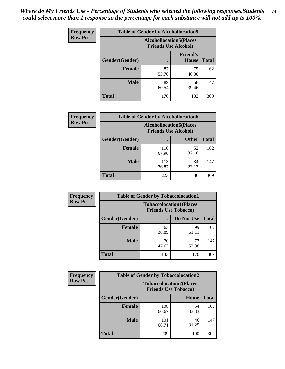| <b>Frequency</b> |                | <b>Table of Gender by Alcohollocation5</b>                     |                                 |              |
|------------------|----------------|----------------------------------------------------------------|---------------------------------|--------------|
| <b>Row Pct</b>   |                | <b>Alcohollocation5</b> (Places<br><b>Friends Use Alcohol)</b> |                                 |              |
|                  | Gender(Gender) | $\bullet$                                                      | <b>Friend's</b><br><b>House</b> | <b>Total</b> |
|                  | <b>Female</b>  | 87<br>53.70                                                    | 75<br>46.30                     | 162          |
|                  | <b>Male</b>    | 89<br>60.54                                                    | 58<br>39.46                     | 147          |
|                  | <b>Total</b>   | 176                                                            | 133                             | 309          |

| Frequency      |                        | <b>Table of Gender by Alcohollocation6</b>                    |              |              |
|----------------|------------------------|---------------------------------------------------------------|--------------|--------------|
| <b>Row Pct</b> |                        | <b>Alcohollocation6(Places</b><br><b>Friends Use Alcohol)</b> |              |              |
|                | <b>Gender</b> (Gender) |                                                               | <b>Other</b> | <b>Total</b> |
|                | <b>Female</b>          | 110<br>67.90                                                  | 52<br>32.10  | 162          |
|                | <b>Male</b>            | 113<br>76.87                                                  | 34<br>23.13  | 147          |
|                | <b>Total</b>           | 223                                                           | 86           | 309          |

| Frequency      | <b>Table of Gender by Tobaccolocation1</b> |                                                               |             |              |  |
|----------------|--------------------------------------------|---------------------------------------------------------------|-------------|--------------|--|
| <b>Row Pct</b> |                                            | <b>Tobaccolocation1(Places</b><br><b>Friends Use Tobacco)</b> |             |              |  |
|                | Gender(Gender)                             |                                                               | Do Not Use  | <b>Total</b> |  |
|                | Female                                     | 63<br>38.89                                                   | 99<br>61.11 | 162          |  |
|                | <b>Male</b>                                | 70<br>47.62                                                   | 77<br>52.38 | 147          |  |
|                | <b>Total</b>                               | 133                                                           | 176         | 309          |  |

| <b>Frequency</b> |                |                             | <b>Table of Gender by Tobaccolocation2</b> |              |  |
|------------------|----------------|-----------------------------|--------------------------------------------|--------------|--|
| <b>Row Pct</b>   |                | <b>Friends Use Tobacco)</b> | <b>Tobaccolocation2(Places</b>             |              |  |
|                  | Gender(Gender) |                             | Home                                       | <b>Total</b> |  |
|                  | Female         | 108<br>66.67                | 54<br>33.33                                | 162          |  |
|                  | <b>Male</b>    | 101<br>68.71                | 46<br>31.29                                | 147          |  |
|                  | <b>Total</b>   | 209                         | 100                                        | 309          |  |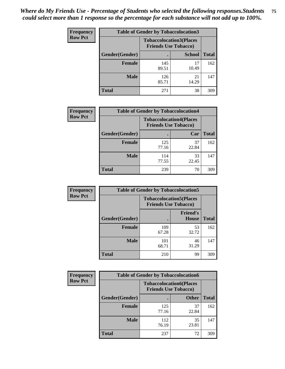| <b>Frequency</b> | <b>Table of Gender by Tobaccolocation3</b> |                                                               |               |              |
|------------------|--------------------------------------------|---------------------------------------------------------------|---------------|--------------|
| <b>Row Pct</b>   |                                            | <b>Tobaccolocation3(Places</b><br><b>Friends Use Tobacco)</b> |               |              |
|                  | <b>Gender</b> (Gender)                     |                                                               | <b>School</b> | <b>Total</b> |
|                  | <b>Female</b>                              | 145<br>89.51                                                  | 17<br>10.49   | 162          |
|                  | <b>Male</b>                                | 126<br>85.71                                                  | 21<br>14.29   | 147          |
|                  | <b>Total</b>                               | 271                                                           | 38            | 309          |

| <b>Frequency</b> | <b>Table of Gender by Tobaccolocation4</b> |                             |                                |              |
|------------------|--------------------------------------------|-----------------------------|--------------------------------|--------------|
| <b>Row Pct</b>   |                                            | <b>Friends Use Tobacco)</b> | <b>Tobaccolocation4(Places</b> |              |
|                  | Gender(Gender)                             |                             | Car                            | <b>Total</b> |
|                  | <b>Female</b>                              | 125<br>77.16                | 37<br>22.84                    | 162          |
|                  | <b>Male</b>                                | 114<br>77.55                | 33<br>22.45                    | 147          |
|                  | <b>Total</b>                               | 239                         | 70                             | 309          |

| <b>Frequency</b> | <b>Table of Gender by Tobaccolocation5</b> |                                                               |                                 |              |
|------------------|--------------------------------------------|---------------------------------------------------------------|---------------------------------|--------------|
| <b>Row Pct</b>   |                                            | <b>Tobaccolocation5(Places</b><br><b>Friends Use Tobacco)</b> |                                 |              |
|                  | Gender(Gender)                             |                                                               | <b>Friend's</b><br><b>House</b> | <b>Total</b> |
|                  | <b>Female</b>                              | 109<br>67.28                                                  | 53<br>32.72                     | 162          |
|                  | <b>Male</b>                                | 101<br>68.71                                                  | 46<br>31.29                     | 147          |
|                  | <b>Total</b>                               | 210                                                           | 99                              | 309          |

| <b>Frequency</b> | <b>Table of Gender by Tobaccolocation6</b> |                                                               |              |              |
|------------------|--------------------------------------------|---------------------------------------------------------------|--------------|--------------|
| <b>Row Pct</b>   |                                            | <b>Tobaccolocation6(Places</b><br><b>Friends Use Tobacco)</b> |              |              |
|                  | Gender(Gender)                             |                                                               | <b>Other</b> | <b>Total</b> |
|                  | Female                                     | 125<br>77.16                                                  | 37<br>22.84  | 162          |
|                  | <b>Male</b>                                | 112<br>76.19                                                  | 35<br>23.81  | 147          |
|                  | <b>Total</b>                               | 237                                                           | 72           | 309          |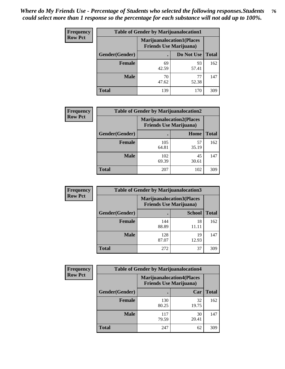| <b>Frequency</b> | <b>Table of Gender by Marijuanalocation1</b> |                                                                    |             |              |
|------------------|----------------------------------------------|--------------------------------------------------------------------|-------------|--------------|
| <b>Row Pct</b>   |                                              | <b>Marijuanalocation1(Places</b><br><b>Friends Use Marijuana</b> ) |             |              |
|                  | Gender(Gender)                               |                                                                    | Do Not Use  | <b>Total</b> |
|                  | <b>Female</b>                                | 69<br>42.59                                                        | 93<br>57.41 | 162          |
|                  | <b>Male</b>                                  | 70<br>47.62                                                        | 77<br>52.38 | 147          |
|                  | Total                                        | 139                                                                | 170         | 309          |

| <b>Frequency</b> | <b>Table of Gender by Marijuanalocation2</b> |                                                                    |             |              |  |
|------------------|----------------------------------------------|--------------------------------------------------------------------|-------------|--------------|--|
| <b>Row Pct</b>   |                                              | <b>Marijuanalocation2(Places</b><br><b>Friends Use Marijuana</b> ) |             |              |  |
|                  | Gender(Gender)                               |                                                                    | Home        | <b>Total</b> |  |
|                  | <b>Female</b>                                | 105<br>64.81                                                       | 57<br>35.19 | 162          |  |
|                  | <b>Male</b>                                  | 102<br>69.39                                                       | 45<br>30.61 | 147          |  |
|                  | <b>Total</b>                                 | 207                                                                | 102         | 309          |  |

| <b>Frequency</b> | <b>Table of Gender by Marijuanalocation3</b> |              |                                                                    |              |
|------------------|----------------------------------------------|--------------|--------------------------------------------------------------------|--------------|
| <b>Row Pct</b>   |                                              |              | <b>Marijuanalocation3(Places</b><br><b>Friends Use Marijuana</b> ) |              |
|                  | Gender(Gender)                               |              | <b>School</b>                                                      | <b>Total</b> |
|                  | Female                                       | 144<br>88.89 | 18<br>11.11                                                        | 162          |
|                  | <b>Male</b>                                  | 128<br>87.07 | 19<br>12.93                                                        | 147          |
|                  | <b>Total</b>                                 | 272          | 37                                                                 | 309          |

| Frequency      | <b>Table of Gender by Marijuanalocation4</b> |                                |                                  |              |
|----------------|----------------------------------------------|--------------------------------|----------------------------------|--------------|
| <b>Row Pct</b> |                                              | <b>Friends Use Marijuana</b> ) | <b>Marijuanalocation4(Places</b> |              |
|                | Gender(Gender)                               |                                | Car                              | <b>Total</b> |
|                | <b>Female</b>                                | 130<br>80.25                   | 32<br>19.75                      | 162          |
|                | <b>Male</b>                                  | 117<br>79.59                   | 30<br>20.41                      | 147          |
|                | <b>Total</b>                                 | 247                            | 62                               | 309          |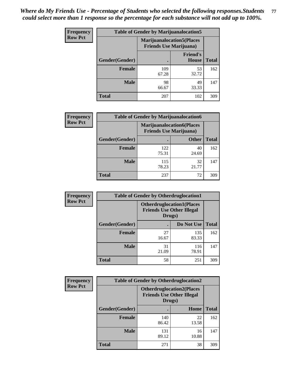| <b>Frequency</b> | <b>Table of Gender by Marijuanalocation5</b> |                                                                     |                                 |              |
|------------------|----------------------------------------------|---------------------------------------------------------------------|---------------------------------|--------------|
| <b>Row Pct</b>   |                                              | <b>Marijuanalocation5</b> (Places<br><b>Friends Use Marijuana</b> ) |                                 |              |
|                  | Gender(Gender)                               |                                                                     | <b>Friend's</b><br><b>House</b> | <b>Total</b> |
|                  | <b>Female</b>                                | 109<br>67.28                                                        | 53<br>32.72                     | 162          |
|                  | <b>Male</b>                                  | 98<br>66.67                                                         | 49<br>33.33                     | 147          |
|                  | <b>Total</b>                                 | 207                                                                 | 102                             | 309          |

| <b>Frequency</b> | <b>Table of Gender by Marijuanalocation6</b> |                                                                    |              |              |  |
|------------------|----------------------------------------------|--------------------------------------------------------------------|--------------|--------------|--|
| <b>Row Pct</b>   |                                              | <b>Marijuanalocation6(Places</b><br><b>Friends Use Marijuana</b> ) |              |              |  |
|                  | Gender(Gender)                               |                                                                    | <b>Other</b> | <b>Total</b> |  |
|                  | <b>Female</b>                                | 122<br>75.31                                                       | 40<br>24.69  | 162          |  |
|                  | <b>Male</b>                                  | 115<br>78.23                                                       | 32<br>21.77  | 147          |  |
|                  | <b>Total</b>                                 | 237                                                                | 72           | 309          |  |

| <b>Frequency</b> | <b>Table of Gender by Otherdruglocation1</b> |                                                                                |              |              |
|------------------|----------------------------------------------|--------------------------------------------------------------------------------|--------------|--------------|
| <b>Row Pct</b>   |                                              | <b>Otherdruglocation1(Places</b><br><b>Friends Use Other Illegal</b><br>Drugs) |              |              |
|                  | <b>Gender</b> (Gender)                       |                                                                                | Do Not Use   | <b>Total</b> |
|                  | <b>Female</b>                                | 27<br>16.67                                                                    | 135<br>83.33 | 162          |
|                  | <b>Male</b>                                  | 31<br>21.09                                                                    | 116<br>78.91 | 147          |
|                  | <b>Total</b>                                 | 58                                                                             | 251          | 309          |

| Frequency      | <b>Table of Gender by Otherdruglocation2</b> |                                                                                |             |              |
|----------------|----------------------------------------------|--------------------------------------------------------------------------------|-------------|--------------|
| <b>Row Pct</b> |                                              | <b>Otherdruglocation2(Places</b><br><b>Friends Use Other Illegal</b><br>Drugs) |             |              |
|                | Gender(Gender)                               |                                                                                | Home        | <b>Total</b> |
|                | Female                                       | 140<br>86.42                                                                   | 22<br>13.58 | 162          |
|                | <b>Male</b>                                  | 131<br>89.12                                                                   | 16<br>10.88 | 147          |
|                | <b>Total</b>                                 | 271                                                                            | 38          | 309          |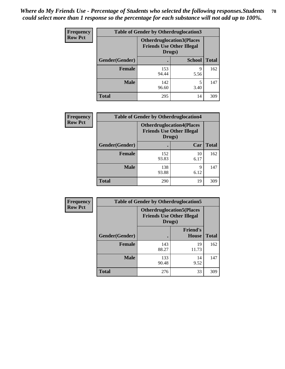| <b>Frequency</b> | <b>Table of Gender by Otherdruglocation3</b> |                                                                                |               |              |
|------------------|----------------------------------------------|--------------------------------------------------------------------------------|---------------|--------------|
| <b>Row Pct</b>   |                                              | <b>Otherdruglocation3(Places</b><br><b>Friends Use Other Illegal</b><br>Drugs) |               |              |
|                  | Gender(Gender)                               |                                                                                | <b>School</b> | <b>Total</b> |
|                  | <b>Female</b>                                | 153<br>94.44                                                                   | Q<br>5.56     | 162          |
|                  | <b>Male</b>                                  | 142<br>96.60                                                                   | 3.40          | 147          |
|                  | <b>Total</b>                                 | 295                                                                            | 14            | 309          |

| Frequency      | <b>Table of Gender by Otherdruglocation4</b> |                                                                                |            |              |
|----------------|----------------------------------------------|--------------------------------------------------------------------------------|------------|--------------|
| <b>Row Pct</b> |                                              | <b>Otherdruglocation4(Places</b><br><b>Friends Use Other Illegal</b><br>Drugs) |            |              |
|                | Gender(Gender)                               |                                                                                | Car        | <b>Total</b> |
|                | Female                                       | 152<br>93.83                                                                   | 10<br>6.17 | 162          |
|                | <b>Male</b>                                  | 138<br>93.88                                                                   | 9<br>6.12  | 147          |
|                | <b>Total</b>                                 | 290                                                                            | 19         | 309          |

| Frequency      | <b>Table of Gender by Otherdruglocation5</b> |                                                                                |                                 |              |
|----------------|----------------------------------------------|--------------------------------------------------------------------------------|---------------------------------|--------------|
| <b>Row Pct</b> |                                              | <b>Otherdruglocation5(Places</b><br><b>Friends Use Other Illegal</b><br>Drugs) |                                 |              |
|                | Gender(Gender)                               |                                                                                | <b>Friend's</b><br><b>House</b> | <b>Total</b> |
|                | <b>Female</b>                                | 143<br>88.27                                                                   | 19<br>11.73                     | 162          |
|                | <b>Male</b>                                  | 133<br>90.48                                                                   | 14<br>9.52                      | 147          |
|                | <b>Total</b>                                 | 276                                                                            | 33                              | 309          |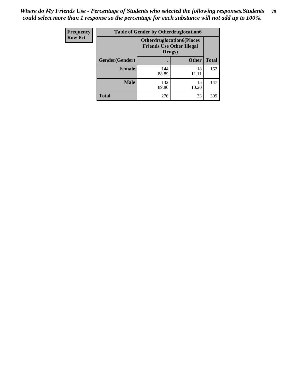| Frequency      | <b>Table of Gender by Otherdruglocation6</b> |                                                                                |              |              |
|----------------|----------------------------------------------|--------------------------------------------------------------------------------|--------------|--------------|
| <b>Row Pct</b> |                                              | <b>Otherdruglocation6(Places</b><br><b>Friends Use Other Illegal</b><br>Drugs) |              |              |
|                | Gender(Gender)                               |                                                                                | <b>Other</b> | <b>Total</b> |
|                | Female                                       | 144<br>88.89                                                                   | 18<br>11.11  | 162          |
|                | <b>Male</b>                                  | 132<br>89.80                                                                   | 15<br>10.20  | 147          |
|                | <b>Total</b>                                 | 276                                                                            | 33           | 309          |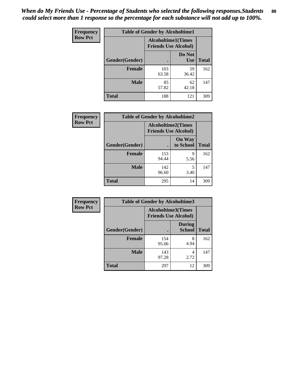| <b>Frequency</b> | <b>Table of Gender by Alcoholtime1</b> |                                                          |                      |              |
|------------------|----------------------------------------|----------------------------------------------------------|----------------------|--------------|
| <b>Row Pct</b>   |                                        | <b>Alcoholtime1(Times</b><br><b>Friends Use Alcohol)</b> |                      |              |
|                  | Gender(Gender)                         |                                                          | Do Not<br><b>Use</b> | <b>Total</b> |
|                  | <b>Female</b>                          | 103<br>63.58                                             | 59<br>36.42          | 162          |
|                  | <b>Male</b>                            | 85<br>57.82                                              | 62<br>42.18          | 147          |
|                  | <b>Total</b>                           | 188                                                      | 121                  | 309          |

| <b>Frequency</b> | <b>Table of Gender by Alcoholtime2</b> |                                                          |                            |              |
|------------------|----------------------------------------|----------------------------------------------------------|----------------------------|--------------|
| <b>Row Pct</b>   |                                        | <b>Alcoholtime2(Times</b><br><b>Friends Use Alcohol)</b> |                            |              |
|                  | Gender(Gender)                         |                                                          | <b>On Way</b><br>to School | <b>Total</b> |
|                  | <b>Female</b>                          | 153<br>94.44                                             | 9<br>5.56                  | 162          |
|                  | <b>Male</b>                            | 142<br>96.60                                             | 5<br>3.40                  | 147          |
|                  | <b>Total</b>                           | 295                                                      | 14                         | 309          |

| <b>Frequency</b> | <b>Table of Gender by Alcoholtime3</b> |                                                          |                                |              |
|------------------|----------------------------------------|----------------------------------------------------------|--------------------------------|--------------|
| <b>Row Pct</b>   |                                        | <b>Alcoholtime3(Times</b><br><b>Friends Use Alcohol)</b> |                                |              |
|                  | Gender(Gender)                         |                                                          | <b>During</b><br><b>School</b> | <b>Total</b> |
|                  | Female                                 | 154<br>95.06                                             | 8<br>4.94                      | 162          |
|                  | <b>Male</b>                            | 143<br>97.28                                             | 4<br>2.72                      | 147          |
|                  | <b>Total</b>                           | 297                                                      | 12                             | 309          |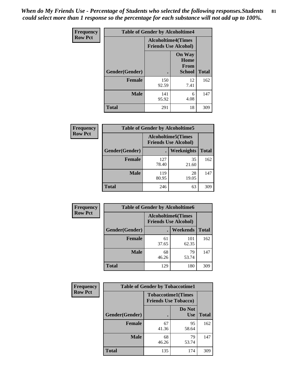*When do My Friends Use - Percentage of Students who selected the following responses.Students could select more than 1 response so the percentage for each substance will not add up to 100%.* **81**

| <b>Frequency</b> | <b>Table of Gender by Alcoholtime4</b> |                                                          |                                                |              |
|------------------|----------------------------------------|----------------------------------------------------------|------------------------------------------------|--------------|
| <b>Row Pct</b>   |                                        | <b>Alcoholtime4(Times</b><br><b>Friends Use Alcohol)</b> |                                                |              |
|                  | Gender(Gender)                         |                                                          | <b>On Way</b><br>Home<br>From<br><b>School</b> | <b>Total</b> |
|                  | <b>Female</b>                          | 150<br>92.59                                             | 12<br>7.41                                     | 162          |
|                  | <b>Male</b>                            | 141<br>95.92                                             | 6<br>4.08                                      | 147          |
|                  | <b>Total</b>                           | 291                                                      | 18                                             | 309          |

| <b>Frequency</b> | <b>Table of Gender by Alcoholtime5</b> |                                                           |             |              |
|------------------|----------------------------------------|-----------------------------------------------------------|-------------|--------------|
| <b>Row Pct</b>   |                                        | <b>Alcoholtime5</b> (Times<br><b>Friends Use Alcohol)</b> |             |              |
|                  | Gender(Gender)                         |                                                           | Weeknights  | <b>Total</b> |
|                  | <b>Female</b>                          | 127<br>78.40                                              | 35<br>21.60 | 162          |
|                  | <b>Male</b>                            | 119<br>80.95                                              | 28<br>19.05 | 147          |
|                  | <b>Total</b>                           | 246                                                       | 63          | 309          |

| Frequency      | <b>Table of Gender by Alcoholtime6</b> |                                                          |              |              |
|----------------|----------------------------------------|----------------------------------------------------------|--------------|--------------|
| <b>Row Pct</b> |                                        | <b>Alcoholtime6(Times</b><br><b>Friends Use Alcohol)</b> |              |              |
|                | Gender(Gender)                         |                                                          | Weekends     | <b>Total</b> |
|                | Female                                 | 61<br>37.65                                              | 101<br>62.35 | 162          |
|                | <b>Male</b>                            | 68<br>46.26                                              | 79<br>53.74  | 147          |
|                | <b>Total</b>                           | 129                                                      | 180          | 309          |

| Frequency      | <b>Table of Gender by Tobaccotime1</b> |                                                          |                      |              |
|----------------|----------------------------------------|----------------------------------------------------------|----------------------|--------------|
| <b>Row Pct</b> |                                        | <b>Tobaccotime1(Times</b><br><b>Friends Use Tobacco)</b> |                      |              |
|                | Gender(Gender)                         |                                                          | Do Not<br><b>Use</b> | <b>Total</b> |
|                | <b>Female</b>                          | 67<br>41.36                                              | 95<br>58.64          | 162          |
|                | <b>Male</b>                            | 68<br>46.26                                              | 79<br>53.74          | 147          |
|                | <b>Total</b>                           | 135                                                      | 174                  | 309          |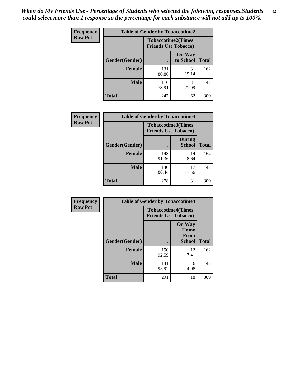*When do My Friends Use - Percentage of Students who selected the following responses.Students could select more than 1 response so the percentage for each substance will not add up to 100%.* **82**

| Frequency      | <b>Table of Gender by Tobaccotime2</b> |                                                          |                            |              |
|----------------|----------------------------------------|----------------------------------------------------------|----------------------------|--------------|
| <b>Row Pct</b> |                                        | <b>Tobaccotime2(Times</b><br><b>Friends Use Tobacco)</b> |                            |              |
|                | Gender(Gender)                         |                                                          | <b>On Way</b><br>to School | <b>Total</b> |
|                | <b>Female</b>                          | 131<br>80.86                                             | 31<br>19.14                | 162          |
|                | <b>Male</b>                            | 116<br>78.91                                             | 31<br>21.09                | 147          |
|                | <b>Total</b>                           | 247                                                      | 62                         | 309          |

| Frequency      | <b>Table of Gender by Tobaccotime3</b> |                                                          |                                |              |
|----------------|----------------------------------------|----------------------------------------------------------|--------------------------------|--------------|
| <b>Row Pct</b> |                                        | <b>Tobaccotime3(Times</b><br><b>Friends Use Tobacco)</b> |                                |              |
|                | Gender(Gender)                         |                                                          | <b>During</b><br><b>School</b> | <b>Total</b> |
|                | <b>Female</b>                          | 148<br>91.36                                             | 14<br>8.64                     | 162          |
|                | <b>Male</b>                            | 130<br>88.44                                             | 17<br>11.56                    | 147          |
|                | <b>Total</b>                           | 278                                                      | 31                             | 309          |

| <b>Frequency</b> | <b>Table of Gender by Tobaccotime4</b> |                                                          |                                                |              |
|------------------|----------------------------------------|----------------------------------------------------------|------------------------------------------------|--------------|
| <b>Row Pct</b>   |                                        | <b>Tobaccotime4(Times</b><br><b>Friends Use Tobacco)</b> |                                                |              |
|                  | Gender(Gender)                         |                                                          | <b>On Way</b><br>Home<br><b>From</b><br>School | <b>Total</b> |
|                  | <b>Female</b>                          | 150                                                      | 12                                             | 162          |
|                  |                                        | 92.59                                                    | 7.41                                           |              |
|                  | <b>Male</b>                            | 141<br>95.92                                             | 6<br>4.08                                      | 147          |
|                  | <b>Total</b>                           | 291                                                      | 18                                             | 309          |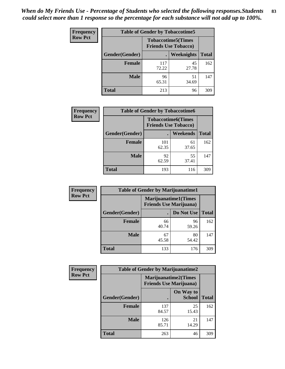*When do My Friends Use - Percentage of Students who selected the following responses.Students could select more than 1 response so the percentage for each substance will not add up to 100%.* **83**

| <b>Frequency</b> |                |              | <b>Table of Gender by Tobaccotime5</b>                    |              |  |
|------------------|----------------|--------------|-----------------------------------------------------------|--------------|--|
| <b>Row Pct</b>   |                |              | <b>Tobaccotime5</b> (Times<br><b>Friends Use Tobacco)</b> |              |  |
|                  | Gender(Gender) |              | Weeknights                                                | <b>Total</b> |  |
|                  | <b>Female</b>  | 117<br>72.22 | 45<br>27.78                                               | 162          |  |
|                  | <b>Male</b>    | 96<br>65.31  | 51<br>34.69                                               | 147          |  |
|                  | Total          | 213          | 96                                                        | 309          |  |

| <b>Frequency</b> | <b>Table of Gender by Tobaccotime6</b> |                                                          |             |              |
|------------------|----------------------------------------|----------------------------------------------------------|-------------|--------------|
| <b>Row Pct</b>   |                                        | <b>Tobaccotime6(Times</b><br><b>Friends Use Tobacco)</b> |             |              |
|                  | Gender(Gender)                         |                                                          | Weekends    | <b>Total</b> |
|                  | <b>Female</b>                          | 101<br>62.35                                             | 61<br>37.65 | 162          |
|                  | <b>Male</b>                            | 92<br>62.59                                              | 55<br>37.41 | 147          |
|                  | <b>Total</b>                           | 193                                                      | 116         | 309          |

| Frequency      | <b>Table of Gender by Marijuanatime1</b> |                                |                             |              |  |
|----------------|------------------------------------------|--------------------------------|-----------------------------|--------------|--|
| <b>Row Pct</b> |                                          | <b>Friends Use Marijuana</b> ) | <b>Marijuanatime1(Times</b> |              |  |
|                | Gender(Gender)                           |                                | Do Not Use                  | <b>Total</b> |  |
|                | <b>Female</b>                            | 66<br>40.74                    | 96<br>59.26                 | 162          |  |
|                | <b>Male</b>                              | 67<br>45.58                    | 80<br>54.42                 | 147          |  |
|                | <b>Total</b>                             | 133                            | 176                         | 309          |  |

| <b>Frequency</b> | <b>Table of Gender by Marijuanatime2</b> |                             |                                |              |  |
|------------------|------------------------------------------|-----------------------------|--------------------------------|--------------|--|
| <b>Row Pct</b>   |                                          | <b>Marijuanatime2(Times</b> | <b>Friends Use Marijuana</b> ) |              |  |
|                  | Gender(Gender)                           |                             | On Way to<br><b>School</b>     | <b>Total</b> |  |
|                  | <b>Female</b>                            | 137<br>84.57                | 25<br>15.43                    | 162          |  |
|                  | <b>Male</b>                              | 126<br>85.71                | 21<br>14.29                    | 147          |  |
|                  | <b>Total</b>                             | 263                         | 46                             | 309          |  |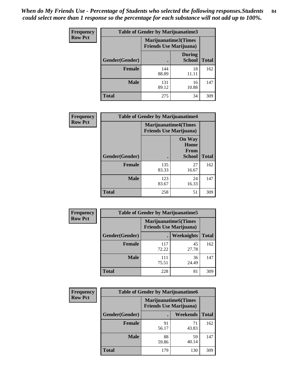*When do My Friends Use - Percentage of Students who selected the following responses.Students could select more than 1 response so the percentage for each substance will not add up to 100%.* **84**

| <b>Frequency</b> | Table of Gender by Marijuanatime3 |                                                        |                                |              |
|------------------|-----------------------------------|--------------------------------------------------------|--------------------------------|--------------|
| <b>Row Pct</b>   |                                   | Marijuanatime3(Times<br><b>Friends Use Marijuana</b> ) |                                |              |
|                  | Gender(Gender)                    |                                                        | <b>During</b><br><b>School</b> | <b>Total</b> |
|                  | <b>Female</b>                     | 144<br>88.89                                           | 18<br>11.11                    | 162          |
|                  | <b>Male</b>                       | 131<br>89.12                                           | 16<br>10.88                    | 147          |
|                  | <b>Total</b>                      | 275                                                    | 34                             | 309          |

| Frequency      | <b>Table of Gender by Marijuanatime4</b> |                                |                                                       |              |
|----------------|------------------------------------------|--------------------------------|-------------------------------------------------------|--------------|
| <b>Row Pct</b> |                                          | <b>Friends Use Marijuana</b> ) | <b>Marijuanatime4</b> (Times                          |              |
|                | Gender(Gender)                           |                                | <b>On Way</b><br>Home<br><b>From</b><br><b>School</b> | <b>Total</b> |
|                | <b>Female</b>                            | 135<br>83.33                   | 27<br>16.67                                           | 162          |
|                | <b>Male</b>                              | 123<br>83.67                   | 24<br>16.33                                           | 147          |
|                | <b>Total</b>                             | 258                            | 51                                                    | 309          |

| <b>Frequency</b> | <b>Table of Gender by Marijuanatime5</b> |              |                                                                |              |
|------------------|------------------------------------------|--------------|----------------------------------------------------------------|--------------|
| <b>Row Pct</b>   |                                          |              | <b>Marijuanatime5</b> (Times<br><b>Friends Use Marijuana</b> ) |              |
|                  | Gender(Gender)                           |              | Weeknights                                                     | <b>Total</b> |
|                  | <b>Female</b>                            | 117<br>72.22 | 45<br>27.78                                                    | 162          |
|                  | <b>Male</b>                              | 111<br>75.51 | 36<br>24.49                                                    | 147          |
|                  | <b>Total</b>                             | 228          | 81                                                             | 309          |

| <b>Frequency</b> | <b>Table of Gender by Marijuanatime6</b> |                                                               |                 |              |  |
|------------------|------------------------------------------|---------------------------------------------------------------|-----------------|--------------|--|
| <b>Row Pct</b>   |                                          | <b>Marijuanatime6(Times</b><br><b>Friends Use Marijuana</b> ) |                 |              |  |
|                  | Gender(Gender)                           |                                                               | <b>Weekends</b> | <b>Total</b> |  |
|                  | <b>Female</b>                            | 91<br>56.17                                                   | 71<br>43.83     | 162          |  |
|                  | <b>Male</b>                              | 88<br>59.86                                                   | 59<br>40.14     | 147          |  |
|                  | <b>Total</b>                             | 179                                                           | 130             | 309          |  |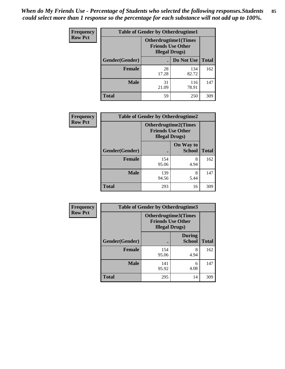*When do My Friends Use - Percentage of Students who selected the following responses.Students could select more than 1 response so the percentage for each substance will not add up to 100%.* **85**

| <b>Frequency</b> | <b>Table of Gender by Otherdrugtime1</b> |                                                                                   |              |              |  |
|------------------|------------------------------------------|-----------------------------------------------------------------------------------|--------------|--------------|--|
| <b>Row Pct</b>   |                                          | <b>Otherdrugtime1(Times</b><br><b>Friends Use Other</b><br><b>Illegal Drugs</b> ) |              |              |  |
|                  | Gender(Gender)                           |                                                                                   | Do Not Use   | <b>Total</b> |  |
|                  | <b>Female</b>                            | 28<br>17.28                                                                       | 134<br>82.72 | 162          |  |
|                  | <b>Male</b>                              | 31<br>21.09                                                                       | 116<br>78.91 | 147          |  |
|                  | <b>Total</b>                             | 59                                                                                | 250          | 309          |  |

| Frequency      | <b>Table of Gender by Otherdrugtime2</b> |                        |                                                         |              |
|----------------|------------------------------------------|------------------------|---------------------------------------------------------|--------------|
| <b>Row Pct</b> |                                          | <b>Illegal Drugs</b> ) | <b>Otherdrugtime2(Times</b><br><b>Friends Use Other</b> |              |
|                | Gender(Gender)                           |                        | On Way to<br><b>School</b>                              | <b>Total</b> |
|                | <b>Female</b>                            | 154<br>95.06           | 8<br>4.94                                               | 162          |
|                | <b>Male</b>                              | 139<br>94.56           | 8<br>5.44                                               | 147          |
|                | <b>Total</b>                             | 293                    | 16                                                      | 309          |

| Frequency      |                | <b>Table of Gender by Otherdrugtime3</b> |                                                         |              |
|----------------|----------------|------------------------------------------|---------------------------------------------------------|--------------|
| <b>Row Pct</b> |                | <b>Illegal Drugs</b> )                   | <b>Otherdrugtime3(Times</b><br><b>Friends Use Other</b> |              |
|                | Gender(Gender) |                                          | <b>During</b><br><b>School</b>                          | <b>Total</b> |
|                | <b>Female</b>  | 154<br>95.06                             | 8<br>4.94                                               | 162          |
|                | <b>Male</b>    | 141<br>95.92                             | 6<br>4.08                                               | 147          |
|                | <b>Total</b>   | 295                                      | 14                                                      | 309          |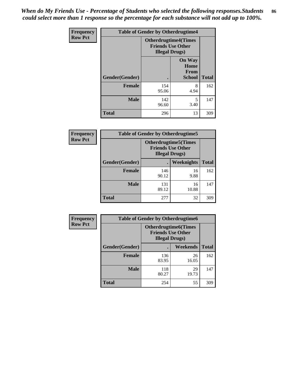*When do My Friends Use - Percentage of Students who selected the following responses.Students could select more than 1 response so the percentage for each substance will not add up to 100%.* **86**

| <b>Frequency</b> | <b>Table of Gender by Otherdrugtime4</b> |                                                    |                                                |              |
|------------------|------------------------------------------|----------------------------------------------------|------------------------------------------------|--------------|
| <b>Row Pct</b>   |                                          | <b>Friends Use Other</b><br><b>Illegal Drugs</b> ) | <b>Otherdrugtime4(Times</b>                    |              |
|                  | Gender(Gender)                           |                                                    | <b>On Way</b><br>Home<br>From<br><b>School</b> | <b>Total</b> |
|                  | Female                                   | 154<br>95.06                                       | 8<br>4.94                                      | 162          |
|                  | <b>Male</b>                              | 142<br>96.60                                       | 5<br>3.40                                      | 147          |
|                  | <b>Total</b>                             | 296                                                | 13                                             | 309          |

| Frequency      | <b>Table of Gender by Otherdrugtime5</b> |                                                                                    |             |              |
|----------------|------------------------------------------|------------------------------------------------------------------------------------|-------------|--------------|
| <b>Row Pct</b> |                                          | <b>Otherdrugtime5</b> (Times<br><b>Friends Use Other</b><br><b>Illegal Drugs</b> ) |             |              |
|                | Gender(Gender)                           |                                                                                    | Weeknights  | <b>Total</b> |
|                | Female                                   | 146<br>90.12                                                                       | 16<br>9.88  | 162          |
|                | <b>Male</b>                              | 131<br>89.12                                                                       | 16<br>10.88 | 147          |
|                | <b>Total</b>                             | 277                                                                                | 32          | 309          |

| <b>Frequency</b> | <b>Table of Gender by Otherdrugtime6</b> |                                                                                   |             |              |
|------------------|------------------------------------------|-----------------------------------------------------------------------------------|-------------|--------------|
| <b>Row Pct</b>   |                                          | <b>Otherdrugtime6(Times</b><br><b>Friends Use Other</b><br><b>Illegal Drugs</b> ) |             |              |
|                  | Gender(Gender)                           |                                                                                   | Weekends    | <b>Total</b> |
|                  | <b>Female</b>                            | 136<br>83.95                                                                      | 26<br>16.05 | 162          |
|                  | <b>Male</b>                              | 118<br>80.27                                                                      | 29<br>19.73 | 147          |
|                  | <b>Total</b>                             | 254                                                                               | 55          | 309          |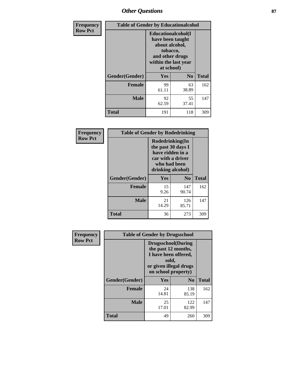## *Other Questions* **87**

| Frequency      | <b>Table of Gender by Educationalcohol</b> |                                                                                                                               |                |              |  |
|----------------|--------------------------------------------|-------------------------------------------------------------------------------------------------------------------------------|----------------|--------------|--|
| <b>Row Pct</b> |                                            | Educationalcohol(I<br>have been taught<br>about alcohol,<br>tobacco,<br>and other drugs<br>within the last year<br>at school) |                |              |  |
|                | Gender(Gender)                             | <b>Yes</b>                                                                                                                    | N <sub>0</sub> | <b>Total</b> |  |
|                | <b>Female</b>                              | 99<br>61.11                                                                                                                   | 63<br>38.89    | 162          |  |
|                | <b>Male</b>                                | 92<br>62.59                                                                                                                   | 55<br>37.41    | 147          |  |
|                | <b>Total</b>                               | 191                                                                                                                           | 118            | 309          |  |

| Frequency      | <b>Table of Gender by Rodedrinking</b> |                                                                                                                     |              |              |  |
|----------------|----------------------------------------|---------------------------------------------------------------------------------------------------------------------|--------------|--------------|--|
| <b>Row Pct</b> |                                        | Rodedrinking(In<br>the past 30 days I<br>have ridden in a<br>car with a driver<br>who had been<br>drinking alcohol) |              |              |  |
|                | Gender(Gender)                         | Yes                                                                                                                 | $\bf N_0$    | <b>Total</b> |  |
|                | <b>Female</b>                          | 15<br>9.26                                                                                                          | 147<br>90.74 | 162          |  |
|                | <b>Male</b>                            | 21<br>14.29                                                                                                         | 126<br>85.71 | 147          |  |
|                | <b>Total</b>                           | 36                                                                                                                  | 273          | 309          |  |

| Frequency      | <b>Table of Gender by Drugsschool</b> |                                                                                                                                     |                |              |  |
|----------------|---------------------------------------|-------------------------------------------------------------------------------------------------------------------------------------|----------------|--------------|--|
| <b>Row Pct</b> |                                       | <b>Drugsschool</b> (During<br>the past 12 months,<br>I have been offered,<br>sold,<br>or given illegal drugs<br>on school property) |                |              |  |
|                | Gender(Gender)                        | Yes                                                                                                                                 | N <sub>0</sub> | <b>Total</b> |  |
|                | <b>Female</b>                         | 24<br>14.81                                                                                                                         | 138<br>85.19   | 162          |  |
|                | <b>Male</b>                           | 25<br>17.01                                                                                                                         | 122<br>82.99   | 147          |  |
|                | <b>Total</b>                          | 49                                                                                                                                  | 260            | 309          |  |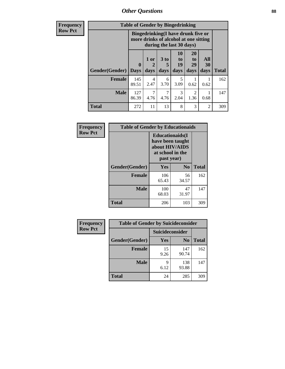*Other Questions* **88**

**Frequency Row Pct**

| <b>Table of Gender by Bingedrinking</b> |                  |                                                                                                                |                              |                        |                        |                   |              |
|-----------------------------------------|------------------|----------------------------------------------------------------------------------------------------------------|------------------------------|------------------------|------------------------|-------------------|--------------|
|                                         |                  | <b>Bingedrinking(I have drunk five or</b><br>more drinks of alcohol at one sitting<br>during the last 30 days) |                              |                        |                        |                   |              |
| <b>Gender</b> (Gender)                  | 0<br><b>Days</b> | 1 or<br>days                                                                                                   | 3 <sub>to</sub><br>5<br>days | 10<br>to<br>19<br>days | 20<br>to<br>29<br>days | All<br>30<br>days | <b>Total</b> |
| <b>Female</b>                           | 145<br>89.51     | 4<br>2.47                                                                                                      | 6<br>3.70                    | 5<br>3.09              | 0.62                   | 0.62              | 162          |
|                                         |                  |                                                                                                                |                              |                        |                        |                   |              |
| <b>Male</b>                             | 127<br>86.39     | 7<br>4.76                                                                                                      | 4.76                         | 3<br>2.04              | $\mathfrak{D}$<br>1.36 | 0.68              | 147          |

| Frequency      | <b>Table of Gender by Educationaids</b> |                                                                                                 |             |              |  |
|----------------|-----------------------------------------|-------------------------------------------------------------------------------------------------|-------------|--------------|--|
| <b>Row Pct</b> |                                         | <b>Educationaids</b> (I<br>have been taught<br>about HIV/AIDS<br>at school in the<br>past year) |             |              |  |
|                | Gender(Gender)                          | Yes                                                                                             | $\bf N_0$   | <b>Total</b> |  |
|                | <b>Female</b>                           | 106<br>65.43                                                                                    | 56<br>34.57 | 162          |  |
|                | <b>Male</b>                             | 100<br>68.03                                                                                    | 47<br>31.97 | 147          |  |
|                | <b>Total</b>                            | 206                                                                                             | 103         | 309          |  |

| Frequency      | <b>Table of Gender by Suicideconsider</b> |                 |                |              |  |
|----------------|-------------------------------------------|-----------------|----------------|--------------|--|
| <b>Row Pct</b> |                                           | Suicideconsider |                |              |  |
|                | Gender(Gender)                            | Yes             | N <sub>0</sub> | <b>Total</b> |  |
|                | <b>Female</b>                             | 15<br>9.26      | 147<br>90.74   | 162          |  |
|                | <b>Male</b>                               | Q<br>6.12       | 138<br>93.88   | 147          |  |
|                | <b>Total</b>                              | 24              | 285            | 309          |  |